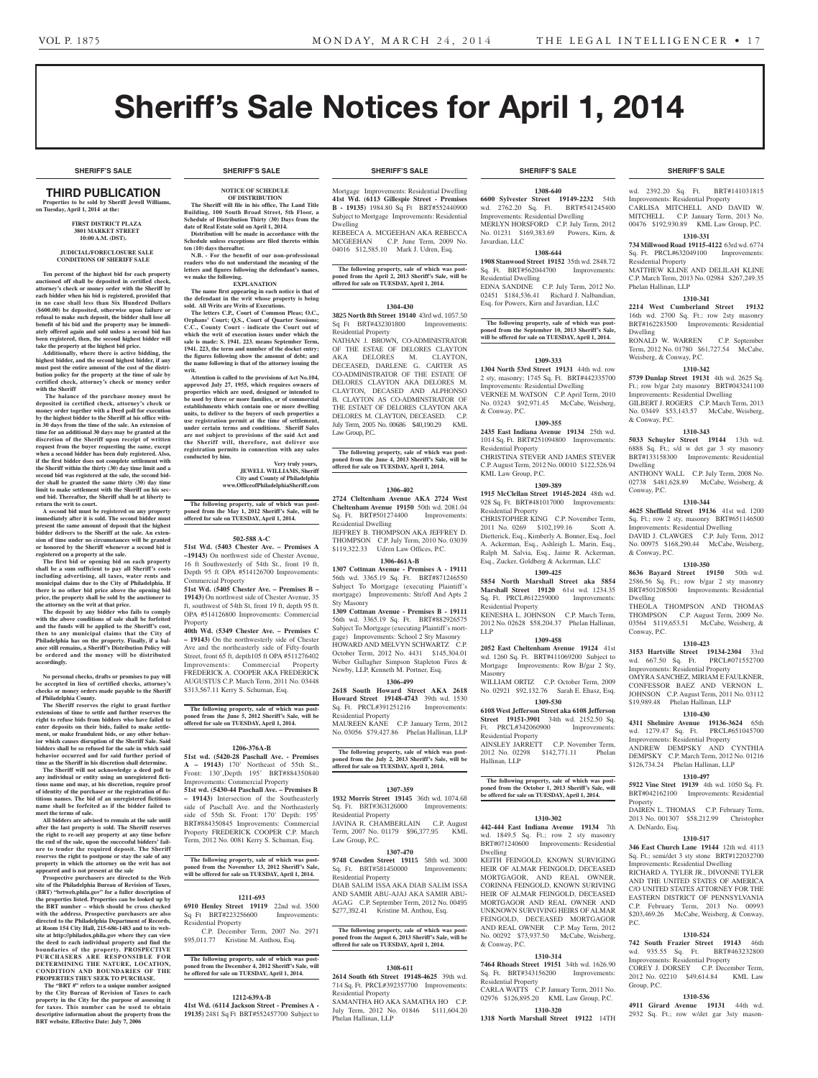**SHERIFF'S SALE SHERIFF'S SALE SHERIFF'S SALE SHERIFF'S SALE SHERIFF'S SALE**

# Sheriff's Sale Notices for April 1, 2014

# THIRD PUBLICATION

**Properties to be sold by Sheriff Jewell Williams, on Tuesday, April 1, 2014 at the:** 

#### **First District Plaza 3801 Market Street 10:00 A.M. (DST).**

#### **JUDICIAL/FORECLOSURE SALE CONDITIONS OF SHERIFF SALE**

**Ten percent of the highest bid for each property auctioned off shall be deposited in certified check, attorney's check or money order with the Sheriff by each bidder when his bid is registered, provided that in no case shall less than Six Hundred Dollars (\$600.00) be deposited, otherwise upon failure or refusal to make such deposit, the bidder shall lose all benefit of his bid and the property may be immediately offered again and sold unless a second bid has been registered, then, the second highest bidder will take the property at the highest bid price.**

**Additionally, where there is active bidding, the highest bidder, and the second highest bidder, if any must post the entire amount of the cost of the distri-bution policy for the property at the time of sale by certified check, attorney's check or money order with the Sheriff**

 **The balance of the purchase money must be deposited in certified check, attorney's check or money order together with a Deed poll for execution by the highest bidder to the Sheriff at his office within 30 days from the time of the sale. An extension of time for an additional 30 days may be granted at the discretion of the Sheriff upon receipt of written request from the buyer requesting the same, except when a second bidder has been duly registered. Also, if the first bidder does not complete settlement with the Sheriff within the thirty (30) day time limit and a second bid was registered at the sale, the second bid-der shall be granted the same thirty (30) day time limit to make settlement with the Sheriff on his second bid. Thereafter, the Sheriff shall be at liberty to return the writ to court.**

**A second bid must be registered on any property immediately after it is sold. The second bidder must present the same amount of deposit that the highest bidder delivers to the Sheriff at the sale. An extension of time under no circumstances will be granted or honored by the Sheriff whenever a second bid is registered on a property at the sale.** 

**The first bid or opening bid on each property shall be a sum sufficient to pay all Sheriff's costs including advertising, all taxes, water rents and municipal claims due to the City of Philadelphia. If there is no other bid price above the opening bid price, the property shall be sold by the auctioneer to the attorney on the writ at that price.**

**The deposit by any bidder who fails to comply with the above conditions of sale shall be forfeited and the funds will be applied to the Sheriff's cost, then to any municipal claims that the City of Philadelphia has on the property. Finally, if a bal-ance still remains, a Sheriff's Distribution Policy will be ordered and the money will be distributed accordingly.**

**No personal checks, drafts or promises to pay will be accepted in lieu of certified checks, attorney's checks or money orders made payable to the Sheriff of Philadelphia County.**

**The Sheriff reserves the right to grant further extensions of time to settle and further reserves the right to refuse bids from bidders who have failed to enter deposits on their bids, failed to make settle-ment, or make fraudulent bids, or any other behavior which causes disruption of the Sheriff Sale. Said**  bidders shall be so refused for the sale in which sa **behavior occurred and for said further period of** 

**time as the Sheriff in his discretion shall determine. The Sheriff will not acknowledge a deed poll to any individual or entity using an unregistered fictitious name and may, at his discretion, require proof of identity of the purchaser or the registration of fictitious names. The bid of an unregistered fictitious name shall be forfeited as if the bidder failed to meet the terms of sale.**

**All bidders are advised to remain at the sale until after the last property is sold. The Sheriff reserves the right to re-sell any property at any time before the end of the sale, upon the successful bidders' failure to tender the required deposit. The Sheriff reserves the right to postpone or stay the sale of any property in which the attorney on the writ has not** 

**appeared and is not present at the sale Prospective purchasers are directed to the Web site of the Philadelphia Bureau of Revision of Taxes, (BRT) "brtweb.phila.gov" for a fuller description of the properties listed. Properties can be looked up by the BRT number – which should be cross checked with the address. Prospective purchasers are also directed to the Philadelphia Department of Records, at Room 154 City Hall, 215-686-1483 and to its website at http://philadox.phila.gov where they can view the deed to each individual property and find the boundaries of the property. PROSPECTIVE PURCHASERS ARE RESPONSIBLE FOR** DETERMINING THE NATURE, LOCATION,<br>CONDITION AND BOUNDARIES OF THE **PROPERTIES THEY SEEK TO PURCHASE.**

**The "BRT #" refers to a unique number assigned by the City Bureau of Revision of Taxes to each property in the City for the purpose of assessing it for taxes. This number can be used to obtain descriptive information about the property from the BRT website. Effective Date: July 7, 2006**

#### **SHERIFF'S SALE SHERIFF'S SALE SHERIFF'S SALE SHERIFF'S SALE SHERIFF'S SALE**

**NOTICE OF SCHEDULE OF DISTRIBUTION The Sheriff will file in his office, The Land Title Building, 100 South Broad Street, 5th Floor, a Schedule of Distribution Thirty (30) Days from the date of Real Estate sold on April 1, 2014.**

**Distribution will be made in accordance with the Schedule unless exceptions are filed thereto within** 

**N.B. - For the benefit of our non-professional readers who do not understand the meaning of the letters and figures following the defendant's names,** 

**EXPLANATION The name first appearing in each notice is that of the defendant in the writ whose property is being** 

**The letters C.P., Court of Common Pleas; O.C., Orphans' Court; Q.S., Court of Quarter Sessions; C.C., County Court - indicate the Court out of which the writ of execution issues under which the sale is made: S. 1941. 223. means September Term, 1941. 223, the term and number of the docket entry; the figures following show the amount of debt; and the name following is that of the attorney issuing the** 

**Attention is called to the provisions of Act No.104, approved July 27, 1955, which requires owners of properties which are used, designed or intended to be used by three or more families, or of commercial ents which contain one or more dwelling units, to deliver to the buyers of such properties a use registration permit at the time of settlement, under certain terms and conditions. Sheriff Sales are not subject to provisions of the said Act and the Sheriff will, therefore, not deliver use registration permits in connection with any sales** 

**The following property, sale of which was post-poned from the May 1, 2012 Sheriff's Sale, will be offered for sale on TUESDAY, April 1, 2014.**

**502-588 A-C 51st Wd. (5403 Chester Ave. – Premises A –19143)** On northwest side of Chester Avenue, 16 ft Southwesterly of 54th St., front 19 ft, Depth 95 ft OPA #514126700 Improvements:

**51st Wd. (5405 Chester Ave. – Premises B – 19143)** On northwest side of Chester Avenue, 35 ft, southwest of 54th St, front 19 ft, depth 95 ft. OPA #514126800 Improvements: Commercial

**40th Wd. (5349 Chester Ave. – Premises C – 19143)** On the northwesterly side of Chester Ave and the northeasterly side of Fifty-fourth Street, front 65 ft, depth105 ft OPA #511276402 Improvements: Commercial Property FREDERICK A. COOPER AKA FREDERICK AUGUSTUS C.P. March Term, 2011 No. 03448 \$313,567.11 Kerry S. Schuman, Esq.

**The following property, sale of which was postponed from the June 5, 2012 Sheriff's Sale, will be offered for sale on TUESDAY, April 1, 2014.**

**1206-376A-B 51st wd. (5420-28 Paschall Ave. - Premises A – 19143)** 170' Northeast of 55th St., Front: 130',Depth 195' BRT#884350840 Improvements: Commercial Property **51st wd. (5430-44 Paschall Ave. – Premises B – 19143)** Intersection of the Southeasterly side of Paschall Ave. and the Northeasterly side of 55th St. Front: 170' Depth: 195' BRT#884350845 Improvements: Commercial Property FREDERICK COOPER C.P. March Term, 2012 No. 0081 Kerry S. Schuman, Esq. **The following property, sale of which was postponed from the November 13, 2012 Sheriff's Sale, will be offered for sale on TUESDAY, April 1, 2014.**

**1211-693 6910 Henley Street 19119** 22nd wd. 3500 Sq Ft BRT#223256600 Improvements:

\$95,011.77 Kristine M. Anthou, Esq.

C.P. December Term, 2007 No. 2971

**The following property, sale of which was postponed from the December 4, 2012 Sheriff's Sale, will be offered for sale on TUESDAY, April 1, 2014.**

**1212-639A-B 41st Wd. (6114 Jackson Street - Premises A - 19135)** 2481 Sq Ft BRT#552457700 Subject to

Residential Property

**Very truly yours, JEWELL WILLIAMS, Sheriff City and County of Philadelphia www.OfficeofPhiladelphiaSheriff.com**

**sold. All Writs are Writs of Executions.**

**ten (10) days thereafter.**

**we make the following.**

**writ.**

**conducted by him.**

Commercial Property

Property

Mortgage Improvements: Residential Dwelling **41st Wd. (6113 Gillespie Street - Premises B - 19135)** 1984.80 Sq Ft BRT#552440900 Subject to Mortgage Improvements: Residential

Dwelling REBEECA A. MCGEEHAN AKA REBECCA MCGEEHAN C.P. June Term, 2009 No. 04016 \$12,585.10 Mark J. Udren, Esq.

**The following property, sale of which was postponed from the April 2, 2013 Sheriff's Sale, will be offered for sale on TUESDAY, April 1, 2014.**

#### **1304-430**

**3825 North 8th Street 19140** 43rd wd. 1057.50 Sq Ft BRT#432301800 Improvements: Residential Property NATHAN J. BROWN, CO-ADMINISTRATOR

OF THE ESTAE OF DELORES CLAYTON AKA DELORES M. CLAYTON, DECEASED, DARLENE G. CARTER AS CO-ADMINISTRATOR OF THE ESTATE OF DELORES CLAYTON AKA DELORES M. CLAYTON, DECASED AND ALPHONSO B. CLAYTON AS CO-ADMINSTRATOR OF THE ESTAET OF DELORES CLAYTON AKA DELORES M. CLAYTON, DECEASED. C.P. July Term, 2005 No. 00686 \$40,190.29 KML Law Group, P.C.

**The following property, sale of which was postponed from the June 4, 2013 Sheriff's Sale, will be offered for sale on TUESDAY, April 1, 2014.**

#### **1306-402**

**2724 Cleltenham Avenue AKA 2724 West Cheltenham Avenue 19150** 50th wd. 2081.04 Sq. Ft. BRT#501274400 Improvements: Residential Dwelling

JEFFREY B. THOMPSON AKA JEFFREY D. THOMPSON C.P. July Term, 2010 No. 03039 \$119,322.33 Udren Law Offices, P.C.

#### **1306-461A-B**

**1307 Cottman Avenue - Premises A - 19111**  56th wd. 3365.19 Sq. Ft. BRT#871246550 Subject To Mortgage (executing Plaintiff's mortgage) Improvements: Str/off And Apts 2 Sty Masonry

**1309 Cottman Avenue - Premises B - 19111**  56th wd. 3365.19 Sq. Ft. BRT#882926575 Subject To Mortgage (executing Plaintiff's mortgage) Improvements: School 2 Sty Masonry HOWARD AND MELVYN SCHWARTZ C.P. October Term, 2012 No. 4431 \$145,304.01 Weber Gallagher Simpson Stapleton Fires & Newby, LLP, Kenneth M. Portner, Esq.

#### **1306-499**

**2618 South Howard Street AKA 2618 Howard Street 19148-4743** 39th wd. 1530 Sq. Ft. PRCL#391251216 Improvements: Residential Property MAUREEN KANE C.P. January Term, 2012 No. 03056 \$79,427.86 Phelan Hallinan, LLP

**The following property, sale of which was postponed from the July 2, 2013 Sheriff's Sale, will be offered for sale on TUESDAY, April 1, 2014.**

#### **1307-359**

**1932 Morris Street 19145** 36th wd. 1074.68 Sq. Ft. BRT#363126000 Improvements: Residential Property JAVINA R. CHAMBERLAIN C.P. August Term, 2007 No. 01179 \$96,377.95 KML Law Group, P.C.

#### **1307-470**

**9748 Cowden Street 19115** 58th wd. 3000<br>Sq. Ft. BRT#581450000 Improvements: Sq. Ft. BRT#581450000 Residential Property DIAB SALIM ISSA AKA DIAB SALIM ISSA AND SAMIR ABU-AJAJ AKA SAMIR ABU-AGAG C.P. September Term, 2012 No. 00495 \$277,392.41 Kristine M. Anthou, Esq.

**The following property, sale of which was post-poned from the August 6, 2013 Sheriff's Sale, will be offered for sale on TUESDAY, April 1, 2014.**

#### **1308-611**

**2614 South 6th Street 19148-4625** 39th wd. 714 Sq. Ft. PRCL#392357700 Improvements: Residential Property SAMANTHA HO AKA SAMATHA HO C.P. July Term, 2012 No. 01846 \$111,604.20 Phelan Hallinan, LLP

**1308-640 6600 Sylvester Street 19149-2232** 54th wd. 2762.20 Sq. Ft. BRT#541245400 Improvements: Residential Dwelling MERLYN HORSFORD C.P. July Term, 2012<br>No. 01231 \$169,383.69 Powers, Kirn, & No. 01231 \$169,383.69 Javardian, LLC

#### **1308-644**

**1908 Stanwood Street 19152** 35th wd. 2848.72 Sq. Ft. BRT#562044700 Improvements: Residential Dwelling EDNA SANDINE C.P. July Term, 2012 No. 02451 \$184,536.41 Richard J. Nalbandian, Esq. for Powers, Kirn and Javardian, LLC

**The following property, sale of which was postponed from the September 10, 2013 Sheriff's Sale, will be offered for sale on TUESDAY, April 1, 2014.**

#### **1309-333**

**1304 North 53rd Street 19131** 44th wd. row 2 sty, masonry; 1745 Sq. Ft. BRT#442335700 Improvements: Residential Dwelling VERNEE M. WATSON C.P. April Term, 2010 No. 03243 \$92,971.45 McCabe, Weisberg, & Conway, P.C.

#### **1309-355**

**2435 East Indiana Avenue 19134** 25th wd. 1014 Sq. Ft. BRT#251094800 Improvements: Residential Property CHRISTINA STEVER AND JAMES STEVER C.P. August Term, 2012 No. 00010 \$122,526.94 KML Law Group, P.C.

#### **1309-389**

**1915 McClellan Street 19145-2024** 48th wd. 928 Sq. Ft. BRT#481017000 Improvements: Residential Property CHRISTOPHER KING C.P. November Term,

2011 No. 0269 \$102,199.16 Scott A. Dietterick, Esq., Kimberly A. Bonner, Esq., Joel A. Ackerman, Esq., Ashleigh L. Marin, Esq., Ralph M. Salvia, Esq., Jaime R. Ackerman, Esq., Zucker, Goldberg & Ackerman, LLC

#### **1309-425**

**5854 North Marshall Street aka 5854 Marshall Street 19120** 61st wd. 1234.35 Sq. Ft. PRCL#612259000 Improvements: Residential Property

KENESHA L. JOHNSON C.P. March Term, 2012 No. 02628 \$58,204.37 Phelan Hallinan, LLP **1309-458**

#### **2052 East Cheltenham Avenue 19124** 41st

wd. 1260 Sq. Ft. BRT#411069200 Subject to Mortgage Improvements: Row B/gar 2 Sty, Masonry WILLIAM ORTIZ C.P. October Term, 2009 No. 02921 \$92,132.76 Sarah E. Ehasz, Esq.

#### **1309-530 6108 West Jefferson Street aka 6108 Jefferson**

**Street 19151-3901** 34th wd. 2152.50 Sq. PRCL#342060900 Improvements: Residential Property

AINSLEY JARRETT C.P. November Term, 2012 No. 02298 \$142,771.11 Phelan Hallinan, LLP

# **The following property, sale of which was post-poned from the October 1, 2013 Sheriff's Sale, will be offered for sale on TUESDAY, April 1, 2014.**

#### **1310-302**

**442-444 East Indiana Avenue 19134** 7th wd. 1849.5 Sq. Ft.; row 2 sty masonry BRT#071240600 Improvements: Residential

Dwelling KEITH FEINGOLD, KNOWN SURVIGING HEIR OF ALMAR FEINGOLD, DECEASED MORTGAGOR, AND REAL OWNER, CORINNA FEINGOLD, KNOWN SURIVING HEIR OF ALMAR FEINGOLD, DECEASED MORTGAGOR AND REAL OWNER AND UNKNOWN SURVIVING HEIRS OF ALMAR FEINGOLD, DECEASED MORTGAGOR AND REAL OWNER C.P. May Term, 2012 No. 00292 \$73,937.50 McCabe, Weisberg, & Conway, P.C.

#### **1310-314**

**7464 Rhoads Street 19151** 34th wd. 1626.90 Sq. Ft. BRT#343156200 Improvements: Residential Property

CARLA WATTS C.P. January Term, 2011 No. 02976 \$126,895.20 KML Law Group, P.C. **1310-320**

**1318 North Marshall Street 19122** 14TH

wd. 2392.20 Sq. Ft. BRT#141031815 Improvements: Residential Property CARLISA MITCHELL AND DAVID W. MITCHELL C.P. January Term, 2013 No. 00476 \$192,930.89 KML Law Group, P.C.

#### **1310-331 734 Millwood Road 19115-4122** 63rd wd. 6774

Sq. Ft. PRCL#632049100 Improvements: Residential Property MATTHEW KLINE AND DELILAH KLINE C.P. March Term, 2013 No. 02984 \$267,249.35

Phelan Hallinan, LLP

# **1310-341**

**2214 West Cumberland Street 19132**  16th wd. 2700 Sq. Ft.; row 2sty masonry BRT#162283500 Improvements: Residential Dwelling

RONALD W. WARREN C.P. September Term, 2012 No. 01780 \$61,727.54 McCabe, Weisberg, & Conway, P.C.

#### **1310-342**

**5739 Dunlap Street 19131** 4th wd. 2625 Sq. Ft.; row b/gar 2sty masonry BRT#043241100 Improvements: Residential Dwelling GILBERT J. ROGERS C.P. March Term, 2013 No. 03449 \$53,143.57 McCabe, Weisberg,

# & Conway, P.C.

**1310-343 5033 Schuyler Street 19144** 13th wd. 6888 Sq. Ft.; s/d w det gar 3 sty masonry BRT#133158300 Improvements: Residential Dwelling ANTHONY WALL C.P. July Term, 2008 No.

02738 \$481,628.89 McCabe, Weisberg, & Conway, P.C.

### **1310-344**

**4625 Sheffield Street 19136** 41st wd. 1200 Sq. Ft.; row 2 sty, masonry BRT#651146500 Improvements: Residential Dwelling DAVID J. CLAWGES C.P. July Term, 2012 No. 00975 \$168,290.44 McCabe, Weisberg, & Conway, P.C.

#### **1310-350**

**8636 Bayard Street 19150** 50th wd. 2586.56 Sq. Ft.; row b/gar 2 sty masonry BRT#501208500 Improvements: Residential Dwelling

THEOLA THOMPSON AND THOMAS THOMPSON C.P. August Term, 2009 No. 03564 \$119,653.51 McCabe, Weisberg, & Conway, P.C.

#### **1310-423**

**3153 Hartville Street 19134-2304** 33rd wd. 667.50 Sq. Ft. PRCL#071552700 Improvements: Residential Property OMYRA SANCHEZ, MIRIAM E FAULKNER, CONFESSOR BAEZ AND VERNON L. JOHNSON C.P. August Term, 2011 No. 03112 \$19,989.48 Phelan Hallinan, LLP

#### **1310-430**

**4311 Shelmire Avenue 19136-3624** 65th wd. 1279.47 Sq. Ft. PRCL#651045700 Improvements: Residential Property ANDREW DEMPSKY AND CYNTHIA DEMPSKY C.P. March Term, 2012 No. 01216 \$126,734.24 Phelan Hallinan, LLP

#### **1310-497**

**5922 Vine Stret 19139** 4th wd. 1050 Sq. Ft. BRT#042162100 Improvements: Residential Property

DAIREN L. THOMAS C.P. February Term, 2013 No. 001307 \$58,212.99 Christopher A. DeNardo, Esq.

#### **1310-517**

P.C.

Group, P.C.

**346 East Church Lane 19144** 12th wd. 4113 Sq. Ft.; semi/det 3 sty stone BRT#122032700 Improvements: Residential Dwelling RICHARD A. TYLER JR., DIVONNE TYLER

AND THE UNITED STATES OF AMERICA C/O UNITED STATES ATTORNEY FOR THE EASTERN DISTRICT OF PENNSYLVANIA C.P. February Term, 2013 No. 00993 \$203,469.26 McCabe, Weisberg, & Conway,

**1310-524 742 South Frazier Street 19143** 46th wd. 935.55 Sq. Ft. BRT#463232800 Improvements: Residential Property COREY J. DORSEY C.P. December Term, 2012 No. 02210 \$49,614.84 KML Law

**1310-536 4911 Girard Avenue 19131** 44th wd. 2932 Sq. Ft.; row w/det gar 3sty mason-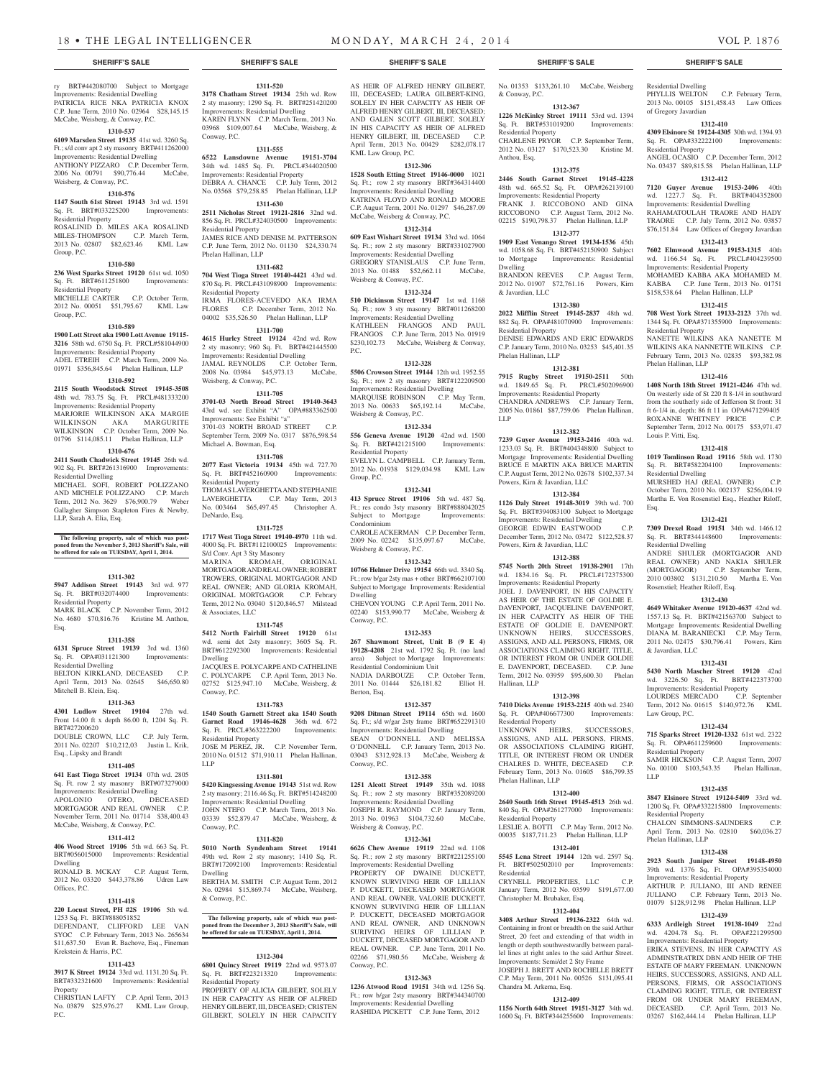ry BRT#442080700 Subject to Mortgage Improvements: Residential Dwelling PATRICIA RICE NKA PATRICIA KNOX C.P. June Term, 2010 No. 02964 \$28,145.15 McCabe, Weisberg, & Conway, P.C.

### **1310-537**

**6109 Marsden Street 19135** 41st wd. 3260 Sq. Ft.; s/d conv apt 2 sty masonry BRT#411262000 Improvements: Residential Dwelling ANTHONY PIZZARO C.P. December Term, 2006 No. 00791 \$90,776.44 McCabe, Weisberg, & Conway, P.C.

### **1310-576**

**1147 South 61st Street 19143** 3rd wd. 1591 Sq. Ft. BRT#033225200 Improvements: Residential Property ROSALINID D. MILES AKA ROSALIND MILES-THOMPSON C.P. March Term, 2013 No. 02807 \$82,623.46 KML Law Group, P.C.

## **1310-580**

**236 West Sparks Street 19120** 61st wd. 1050 Sq. Ft. BRT#611251800 Improvements: Residential Property MICHELLE CARTER C.P. October Term, 2012 No. 00051 \$51,795.67 KML Law

#### **1310-589**

Group, P.C.

**1900 Lott Street aka 1900 Lott Avenue 19115- 3216** 58th wd. 6750 Sq. Ft. PRCL#581044900 Improvements: Residential Property ADEL ETREIH C.P. March Term, 2009 No. 01971 \$356,845.64 Phelan Hallinan, LLP **1310-592**

# **2115 South Woodstock Street 19145-3508**

48th wd. 783.75 Sq. Ft. PRCL#481333200 Improvements: Residential Property MARJORIE WILKINSON AKA MARGIE WILKINSON AKA MARGURITE WILKINSON C.P. October Term, 2009 No. 01796 \$114,085.11 Phelan Hallinan, LLP

# **1310-676**

**2411 South Chadwick Street 19145** 26th wd. 902 Sq. Ft. BRT#261316900 Improvements: Residential Dwelling

MICHAEL SOFI, ROBERT POLIZZANO AND MICHELE POLIZZANO C.P. March Term, 2012 No. 3629 \$76,900.79 Weber Gallagher Simpson Stapleton Fires & Newby, LLP, Sarah A. Elia, Esq.

#### **The following property, sale of which was postponed from the November 5, 2013 Sheriff's Sale, will be offered for sale on TUESDAY, April 1, 2014.**

#### **1311-302**

**5947 Addison Street 19143** 3rd wd. 977 Sq. Ft. BRT#032074400 Improvements:

#### Residential Property MARK BLACK C.P. November Term, 2012 No. 4680 \$70,816.76 Kristine M. Anthou, Esq.

#### **1311-358 6131 Spruce Street 19139** 3rd wd. 1360

Sq. Ft. OPA#031121300 Improvements: Residential Dwelling BELTON KIRKLAND, DECEASED C.P. April Term, 2013 No. 02645 \$46,650.80 Mitchell B. Klein, Esq.

# **1311-363**

**4301 Ludlow Street 19104** 27th wd. Front 14.00 ft x depth 86.00 ft, 1204 Sq. Ft. BRT#27200620

DOUBLE CROWN, LLC C.P. July Term, 2011 No. 02207 \$10,212,03 Justin L. Krik, Esq., Lipsky and Brandt

# **1311-405**

**641 East Tioga Street 19134** 07th wd. 2805 Sq. Ft. row 2 sty masonry BRT#073279000 Improvements: Residential Dwelling

APOLONIO OTERO, DECEASED MORTGAGOR AND REAL OWNER C.P. November Term, 2011 No. 01714 \$38,400.43 McCabe, Weisberg, & Conway, P.C.

# **1311-412**

**406 Wood Street 19106** 5th wd. 663 Sq. Ft. BRT#056015000 Improvements: Residential Dwelling

RONALD B. MCKAY C.P. August Term, 2012 No. 03320 \$443,378.86 Udren Law Offices, P.C.

# **1311-418**

**220 Locust Street, PH #2S 19106** 5th wd. 1253 Sq. Ft. BRT#888051852 DEFENDANT, CLIFFORD LEE VAN SYOC C.P. February Term, 2013 No. 265634 \$11,637.50 Evan R. Bachove, Esq., Fineman Krekstein & Harris, P.C.

#### **1311-423**

**3917 K Street 19124** 33rd wd. 1131.20 Sq. Ft. BRT#332321600 Improvements: Residential **Property** CHRISTIAN LAFTY C.P. April Term, 2013

No. 03879 \$25,976.27 KML Law Group, P.C.

# **1311-520**

**3178 Chatham Street 19134** 25th wd. Row 2 sty masonry; 1290 Sq. Ft. BRT#251420200 Improvements: Residential Dwelling KAREN FLYNN C.P. March Term, 2013 No. 03968 \$109,007.64 McCabe, Weisberg, & Conway, P.C.

**1311-555**

#### **6522 Lansdowne Avenue 19151-3704**  34th wd. 1485 Sq. Ft. PRCL#344020500 Improvements: Residential Property DEBRA A. CHANCE C.P. July Term, 2012 No. 03568 \$79,258.85 Phelan Hallinan, LLP

**1311-630 2511 Nicholas Street 19121-2816** 32nd wd. 856 Sq. Ft. PRCL#324030500 Improvements: Residential Property JAMES RICE AND DENISE M. PATTERSON

C.P. June Term, 2012 No. 01130 \$24,330.74 Phelan Hallinan, LLP **1311-682**

**704 West Tioga Street 19140-4421** 43rd wd. 870 Sq. Ft. PRCL#431098900 Improvements: Residential Property IRMA FLORES-ACEVEDO AKA IRMA

FLORES C.P. December Term, 2012 No. 04002 \$35,526.50 Phelan Hallinan, LLP

# **1311-700**

**4615 Hurley Street 19124** 42nd wd. Row 2 sty masonry; 960 Sq. Ft. BRT#421445500 Improvements: Residential Dwelling JAMAL REYNOLDS C.P. October Term, 2008 No. 03984 \$45,973.13 McCabe, Weisberg, & Conway, P.C.

#### **1311-705**

**3701-03 North Broad Street 19140-3643**  43rd wd. see Exhibit "A" OPA#883362500 Improvements: See Exhibit "a" 3701-03 NORTH BROAD STREET C.P. September Term, 2009 No. 0317 \$876,598.54 Michael A. Bowman, Esq.

# **1311-708**

**2077 East Victoria 19134** 45th wd. 727.70 Sq. Ft. BRT#452160900 Improvements: Residential Property THOMAS LAVERGHETTA AND STEPHANIE LAVERGHETTA C.P. May Term, 2013 No. 003464 \$65,497.45 Christopher A. DeNardo, Esq.

**1311-725**

**1717 West Tioga Street 19140-4970** 11th wd. 4000 Sq. Ft. BRT#112100025 Improvements: S/d Conv. Apt 3 Sty Masonry MARINA KROMAH, ORIGINAL MORTGAGOR AND REAL OWNER; ROBERT TROWERS, ORIGINAL MORTGAGOR AND REAL OWNER; AND GLORIA KROMAH, ORIGINAL MORTGAGOR C.P. Febrary Term, 2012 No. 03040 \$120,846.57 Milstead & Associates, LLC

#### **1311-745**

**5412 North Fairhill Street 19120** 61st wd. semi det 2sty masonry; 3605 Sq. Ft. BRT#612292300 Improvements: Residential Dwelling JACQUES E. POLYCARPE AND CATHELINE C. POLYCARPE C.P. April Term, 2013 No. 02752 \$125,947.10 McCabe, Weisberg, & Conway, P.C.

#### **1311-783**

**1540 South Garnett Street aka 1540 South Garnet Road 19146-4628** 36th wd. 672 Sq. Ft. PRCL#363222200 Improvements: Residential Property JOSE M PEREZ, JR. C.P. November Term,

2010 No. 01512 \$71,910.11 Phelan Hallinan, LLP

### **1311-801**

**5420 Kingsessing Avenue 19143** 51st wd. Row 2 sty masonry; 2116.46 Sq. Ft. BRT#514248200 Improvements: Residential Dwelling JOHN NTEFO C.P. March Term, 2013 No.

03339 \$52,879.47 McCabe, Weisberg, & Conway, P.C. **1311-820**

# **5010 North Syndenham Street 19141**

49th wd. Row 2 sty masonry; 1410 Sq. Ft. BRT#172092100 Improvements: Residential Dwelling BERTHA M. SMITH C.P. August Term, 2012

No. 02984 \$15,869.74 McCabe, Weisberg, & Conway, P.C.

# **The following property, sale of which was post-poned from the December 3, 2013 Sheriff's Sale, will be offered for sale on TUESDAY, April 1, 2014.**

#### **1312-304**

**6801 Quincy Street 19119** 22nd wd. 9573.07 Sq. Ft. BRT#223213320 Improvements: Residential Property

PROPERTY OF ALICIA GILBERT, SOLELY IN HER CAPACITY AS HEIR OF ALFRED HENRY GILBERT, III, DECEASED; CRISTEN GILBERT, SOLELY IN HER CAPACITY

AS HEIR OF ALFRED HENRY GILBERT, III, DECEASED; LAURA GILBERT-KING,

SOLELY IN HER CAPACITY AS HEIR OF ALFRED HENRY GILBERT, III, DECEASED; AND GALEN SCOTT GILBERT, SOLELY IN HIS CAPACITY AS HEIR OF ALFRED HENRY GILBERT, III, DECEASED C.P. April Term, 2013 No. 00429 \$282,078.17 KML Law Group, P.C.

# **1312-306**

**1528 South Etting Street 19146-0000** 1021 Sq. Ft.; row 2 sty masonry BRT#364314400 Improvements: Residential Dwelling KATRINA FLOYD AND RONALD MOORE C.P. August Term, 2001 No. 01297 \$46,287.09 McCabe, Weisberg & Conway, P.C.

#### **1312-314**

**609 East Wishart Street 19134** 33rd wd. 1064 Sq. Ft.; row 2 sty masonry BRT#331027900 Improvements: Residential Dwelling GREGORY STANISLAUS C.P. June Term, 2013 No. 01488 \$52,662.11 McCabe, Weisberg & Conway, P.C.

#### **1312-324**

**510 Dickinson Street 19147** 1st wd. 1168 Sq. Ft.; row 3 sty masonry BRT#011268200 Improvements: Residential Dwelling KATHLEEN FRANGOS AND PAUL FRANGOS C.P. June Term, 2013 No. 01919 \$230,102.73 McCabe, Weisberg & Conway, P.C.

#### **1312-328**

**5506 Crowson Street 19144** 12th wd. 1952.55 Sq. Ft.; row 2 sty masonry BRT#122209500 Improvements: Residential Dwelling MARQUISE ROBINSON C.P. May Term, 2013 No. 00633 \$65,192.14 McCabe, Weisberg & Conway, P.C.

#### **1312-334 556 Geneva Avenue 19120** 42nd wd. 1500

Sq. Ft. BRT#421215100 Improvements: Residential Property EVELYN L. CAMPBELL C.P. January Term, 2012 No. 01938 \$129,034.98 KML Law Group, P.C.

#### **1312-341**

**413 Spruce Street 19106** 5th wd. 487 Sq. Ft.; res condo 3sty masonry BRT#888042025 Subject to Mortgage Improvements: Condominium

CAROLE ACKERMAN C.P. December Term, 2009 No. 02242 \$135,097.67 McCabe, Weisberg & Conway, P.C.

#### **1312-342**

**10766 Helmer Drive 19154** 66th wd. 3340 Sq. Ft.; row b/gar 2sty mas + other BRT#662107100 Subject to Mortgage Improvements: Residential Dwelling

CHEVON YOUNG C.P. April Term, 2011 No. 02240 \$153,990.77 McCabe, Weisberg & Conway, P.C.

#### **1312-353**

**267 Shawmont Street, Unit B (9 E 4) 19128-4208** 21st wd. 1792 Sq. Ft. (no land area) Subject to Mortgage Improvements: Residential Condominium Unit NADIA DARBOUZE C.P. October Term, 2011 No. 01444 \$26,181.82 Elliot H. Berton, Esq.

#### **1312-357**

**9208 Ditman Street 19114** 65th wd. 1600 Sq. Ft.; s/d w/gar 2sty frame BRT#652291310 Improvements: Residential Dwelling SEAN O'DONNELL AND MELISSA O'DONNELL C.P. January Term, 2013 No.

03043 \$312,928.13 McCabe, Weisberg & Conway, P.C. **1312-358**

**1251 Alcott Street 19149** 35th wd. 1088 Sq. Ft.; row 2 sty masonry BRT#352089200 Improvements: Residential Dwelling JOSEPH R. RAYMOND C.P. January Term, 2013 No. 01963 \$104,732.60 McCabe, Weisberg & Conway, P.C.

### **1312-361**

**6626 Chew Avenue 19119** 22nd wd. 1108 Sq. Ft.; row 2 sty masonry BRT#221255100 Improvements: Residential Dwelling

PROPERTY OF DWAINE DUCKETT KNOWN SURVIVING HEIR OF LILLIAN P. DUCKETT, DECEASED MORTGAGOR AND REAL OWNER, VALORIE DUCKETT, KNOWN SURVIVING HEIR OF LILLIAN P. DUCKETT, DECEASED MORTGAGOR AND REAL OWNER, AND UNKNOWN SURIVING HEIRS OF LILLIAN P. DUCKETT, DECEASED MORTGAGOR AND REAL OWNER. C.P. June Term, 2011 No. 02266 \$71,980.56 McCabe, Weisberg & Conway, P.C.

# **1312-363**

**1236 Atwood Road 19151** 34th wd. 1256 Sq. Ft.; row b/gar 2sty masonry BRT#344340700 Improvements: Residential Dwelling RASHIDA PICKETT C.P. June Term, 2012

No. 01353 \$133,261.10 McCabe, Weisberg & Conway, P.C. **1312-367**

Residential Dwelling

of Gregory Javardian

Residential Property

Residential Property

Phelan Hallinan, LLP

Louis P. Vitti, Esq.

Residential Dwelling

Residential Dwelling

& Javardian, LLC

Law Group, P.C.

Residential Property

Residential Property

Phelan Hallinan, LLP

LLP

Rosenstiel; Heather Riloff, Esq.

Esq.

PHYLLIS WELTON C.P. February Term, 2013 No. 00105 \$151,458.43 Law Offices

**1312-410 4309 Elsinore St 19124-4305** 30th wd. 1394.93 Sq. Ft. OPA#332222100 Improvements:

ANGEL OCASIO C.P. December Term, 2012 No. 03437 \$89,815.58 Phelan Hallinan, LLP **1312-412 7120 Guyer Avenue 19153-2406** 40th wd. 1227.7 Sq. Ft. BRT#404352800 Improvements: Residential Dwelling RAHAMATOULAH TRAORE AND HADY TRAORE C.P. July Term, 2012 No. 03857 \$76,151.84 Law Offices of Gregory Javardian **1312-413 7602 Elmwood Avenue 19153-1315** 40th wd. 1166.54 Sq. Ft. PRCL#404239500 Improvements: Residential Property MOHAMED KABBA AKA MOHAMED M. KABBA C.P. June Term, 2013 No. 01751 \$158,538.64 Phelan Hallinan, LLP **1312-415 708 West York Street 19133-2123** 37th wd. 1344 Sq. Ft. OPA#371355900 Improvements:

NANETTE WILKINS AKA NANETTE M WILKINS AKA NANNETTE WILKINS C.P. February Term, 2013 No. 02835 \$93,382.98

**1312-416 1408 North 18th Street 19121-4246** 47th wd. On westerly side of St 220 ft 8-1/4 in southward from the southerly side of Jefferson St front: 31 ft 6-1/4 in, depth: 86 ft 11 in OPA#471299405 ROXANNE WHITNEY PRICE C.P. September Term, 2012 No. 00175 \$53,971.47

**1312-418 1019 Tomlinson Road 19116** 58th wd. 1730 Sq. Ft. BRT#582204100 Improvements:

MURSHED HAJ (REAL OWNER) C.P. October Term, 2010 No. 002137 \$256,004.19 Martha E. Von Rosenstiel Esq., Heather Riloff,

**1312-421 7309 Drexel Road 19151** 34th wd. 1466.12 Sq. Ft. BRT#344148600 Improvements:

ANDRE SHULER (MORTGAGOR AND REAL OWNER) AND NAKIA SHULER (MORTGAGOR) C.P. September Term, 2010 003802 \$131,210.50 Martha E. Von

**1312-430 4649 Whitaker Avenue 19120-4637** 42nd wd. 1557.13 Sq. Ft. BRT#421563700 Subject to Mortgage Improvements: Residential Dwelling DIANA M. BARANIECKI C.P. May Term, 2011 No. 02475 \$30,796.41 Powers, Kirn

**1312-431 5430 North Mascher Street 19120** 42nd wd. 3226.50 Sq. Ft. BRT#422373700 Improvements: Residential Property LOURDES MERCADO C.P. September Term, 2012 No. 01615 \$140,972.76 KML

**1312-434 715 Sparks Street 19120-1332** 61st wd. 2322 Sq. Ft. OPA#611259600 Improvements:

SAMIR HICKSON C.P. August Term, 2007 No. 00100 \$103,543.35 Phelan Hallinan,

**1312-435 3847 Elsinore Street 19124-5409** 33rd wd. 1200 Sq. Ft. OPA#332215800 Improvements:

CHALON SIMMONS-SAUNDERS C.P. April Term, 2013 No. 02810 \$60,036.27

**1312-438 2923 South Juniper Street 19148-4950**  39th wd. 1376 Sq. Ft. OPA#395354000 Improvements: Residential Property ARTHUR P. JULIANO, III AND RENEE JULIANO C.P. February Term, 2013 No. 01079 \$128,912.98 Phelan Hallinan, LLP **1312-439 6333 Ardleigh Street 19138-1049** 22nd wd. 4204.78 Sq. Ft. OPA#221299500 Improvements: Residential Property ERIKA STEVENS, IN HER CAPACITY AS ADMINSTRATRIX DBN AND HEIR OF THE ESTATE OF MARY FREEMAN. UNKNOWN HEIRS, SUCCESSORS, ASSIGNS, AND ALL PERSONS, FIRMS, OR ASSOCIATIONS CLAIMING RIGHT, TITLE, OR INTEREST FROM OR UNDER MARY FREEMAN, DECEASED. C.P. April Term, 2013 No. 03267 \$162,444.14 Phelan Hallinan, LLP

**1226 McKinley Street 19111** 53rd wd. 1394 Sq. Ft. BRT#531019200 Improvements:

CHARLENE PRYOR C.P. September Term, 2012 No. 03127 \$170,523.30 Kristine M.

**1312-375 2446 South Garnet Street 19145-4228**  48th wd. 665.52 Sq. Ft. OPA#262139100 Improvements: Residential Property FRANK J. RICCOBONO AND GINA RICCOBONO C.P. August Term, 2012 No. 02215 \$190,798.37 Phelan Hallinan, LLP **1312-377 1909 East Venango Street 19134-1536** 45th wd. 1058.68 Sq. Ft. BRT#452150900 Subject to Mortgage Improvements: Residential

BRANDON REEVES C.P. August Term, 2012 No. 01907 \$72,761.16 Powers, Kirn

**1312-380 2022 Mifflin Street 19145-2837** 48th wd. 882 Sq. Ft. OPA#481070900 Improvements:

DENISE EDWARDS AND ERIC EDWARDS C.P. January Term, 2010 No. 03253 \$45,401.35

**1312-381 7915 Rugby Street 19150-2511** 50th wd. 1849.65 Sq. Ft. PRCL#502096900 Improvements: Residential Property CHANDRA ANDREWS C.P. January Term, 2005 No. 01861 \$87,759.06 Phelan Hallinan,

**1312-382 7239 Guyer Avenue 19153-2416** 40th wd. 1233.03 Sq. Ft. BRT#404348800 Subject to Mortgage Improvements: Residential Dwelling BRUCE E MARTIN AKA BRUCE MARTIN C.P. August Term, 2012 No. 02678 \$102,337.34

**1312-384 1126 Daly Street 19148-3019** 39th wd. 700 Sq. Ft. BRT#394083100 Subject to Mortgage Improvements: Residential Dwelling GEORGE EDWIN EASTWOOD C.P. December Term, 2012 No. 03472 \$122,528.37

**1312-388 5745 North 20th Street 19138-2901** 17th wd. 1834.16 Sq. Ft. PRCL#172375300 Improvements: Residential Property JOEL J. DAVENPORT, IN HIS CAPACITY AS HEIR OF THE ESTATE OF GOLDIE E. DAVENPORT, JACQUELINE DAVENPORT, IN HER CAPACITY AS HEIR OF THE ESTATE OF GOLDIE E. DAVENPORT. UNKNOWN HEIRS, SUCCESSORS, ASSIGNS, AND ALL PERSONS, FIRMS, OR ASSOCIATIONS CLAIMING RIGHT, TITLE, OR INTEREST FROM OR UNDER GOLDIE E. DAVENPORT, DECEASED. C.P. June Term, 2012 No. 03959 \$95,600.30 Phelan

**1312-398 7410 Dicks Avenue 19153-2215** 40th wd. 2340 Sq. Ft. OPA#406677300 Improvements:

UNKNOWN HEIRS, SUCCESSORS, ASSIGNS, AND ALL PERSONS, FIRMS, OR ASSOCIATIONS CLAIMING RIGHT, TITLE, OR INTEREST FROM OR UNDER CHALRES D. WHITE, DECEASED C.P. February Term, 2013 No. 01605 \$86,799.35

**1312-400 2640 South 16th Street 19145-4513** 26th wd. 840 Sq. Ft. OPA#261277000 Improvements:

LESLIE A. BOTTI C.P. May Term, 2012 No. 00035 \$187,711.23 Phelan Hallinan, LLP **1312-401 5545 Lena Street 19144** 12th wd. 2597 Sq. Ft. BRT#502502010 per Improvements:

CRYNELL PROPERTIES, LLC C.P. January Term, 2012 No. 03599 \$191,677.00

**1312-404 3408 Arthur Street 19136-2322** 64th wd. Containing in front or breadth on the said Arthur Street, 20 feet and extending of that width in length or depth southwestwardly between parallel lines at right anles to the said Arthur Street. Improvements: Semi/det 2 Sty Frame JOSEPH J. BRETT AND ROCHELLE BRETT C.P. May Term, 2011 No. 00526 \$131,095.41

**1312-409 1156 North 64th Street 19151-3127** 34th wd. 1600 Sq. Ft. BRT#344255600 Improvements:

Christopher M. Brubaker, Esq.

Chandra M. Arkema, Esq.

Powers, Kirn & Javardian, LLC

Powers, Kirn & Javardian, LLC

Hallinan, LLP

Residential Property

Phelan Hallinan, LLP

Residential Property

Residential

Residential Property

Anthou, Esq.

Dwelling

& Javardian, LLC

Residential Property

Phelan Hallinan, LLP

LLP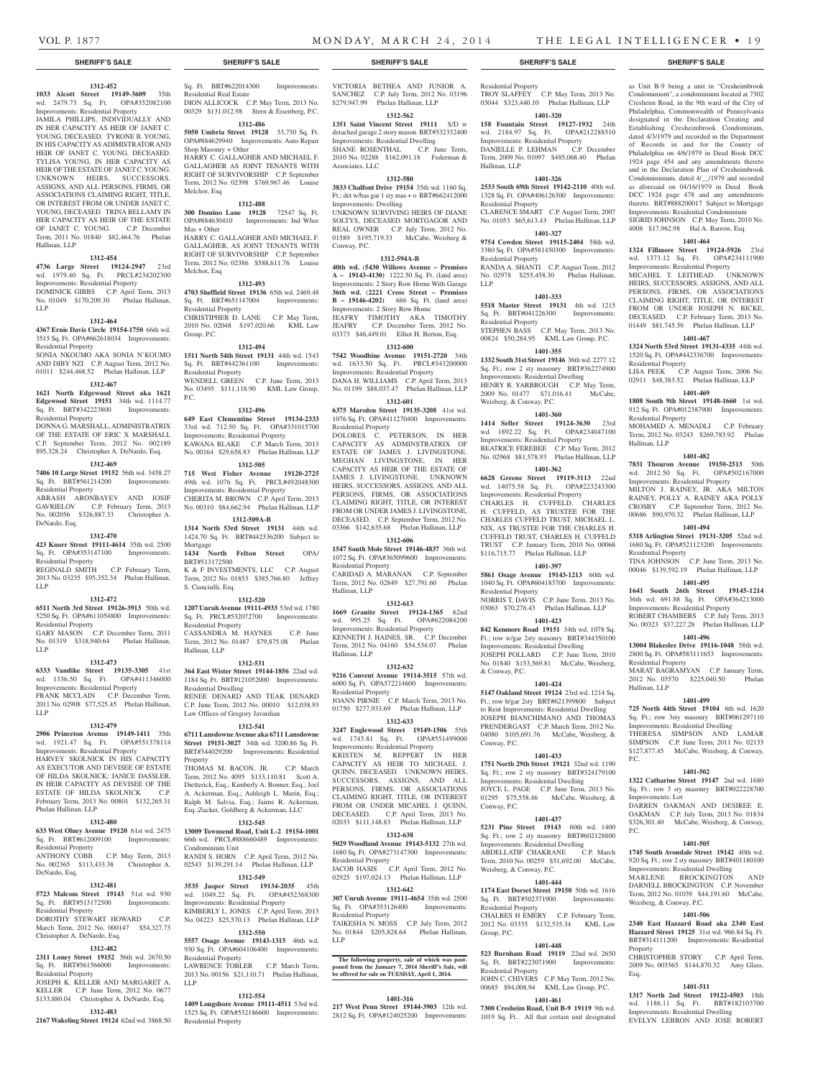Residential Property<br>LISA PEEK C.P.

Residential Property

Residential Property

Residential Property

Hallinan, LLP

Improvements: Lot

Weisberg, & Conway, P.C.

P.C.

P.C.

Property

Esq.

Hallinan, LLP

C.P. August Term, 2006 No.

02911 \$48,383.52 Phelan Hallinan, LLP **1401-469 1808 South 9th Street 19148-1660** 1st wd. 912 Sq. Ft. OPA#012387900 Improvements:

MOHAMED A. MENADLI C.P. February Term, 2012 No. 03243 \$269,783.92 Phelan

**1401-482 7831 Thouron Avenue 19150-2513** 50th wd. 2012.50 Sq. Ft. OPA#502167000 Improvements: Residential Property MILTON J. RAINEY, JR. AKA MILTON RAINEY, POLLY A. RAINEY AKA POLLY CROSBY C.P. September Term, 2012 No. 00686 \$90,970.32 Phelan Hallinan, LLP **1401-494 5318 Arlington Street 19131-3205** 52nd wd. 1680 Sq. Ft. OPA#521123200 Improvements:

TINA JOHNSON C.P. June Term, 2013 No. 00046 \$139,592.19 Phelan Hallinan, LLP **1401-495 1641 South 26th Street 19145-1214**  36th wd. 691.88 Sq. Ft. OPA#364213000 Improvements: Residential Property ROBERT CHAMBERS C.P. July Term, 2013 No. 00323 \$37,227.28 Phelan Hallinan, LLP **1401-496 13004 Blakeslee Drive 19116-1048** 58th wd. 2800 Sq. Ft. OPA#583111653 Improvements:

MARAT BAGRAMYAN C.P. January Term, 2012 No. 03570 \$225,040.50 Phelan

**1401-499 725 North 44th Street 19104** 6th wd. 1620 Sq. Ft.; row 3sty masonry BRT#061297110 Improvements: Residential Dwelling THERESA SIMPSON AND LAMAR SIMPSON C.P. June Term, 2011 No. 02133 \$127,877.45 McCabe, Weisberg, & Conway,

**1401-502 1322 Catharine Street 19147** 2nd wd. 1680 Sq. Ft.; row 3 sty masonry BRT#022228700

DARREN OAKMAN AND DESIREE E. OAKMAN C.P. July Term, 2013 No. 01834 \$326,301.40 McCabe, Weisberg, & Conway,

**1401-505 1745 South Avondale Street 19142** 40th wd. 920 Sq. Ft.; row 2 sty masonry BRT#401180100 Improvements: Residential Dwelling MARLENE BROCKINGTON AND DARNELL BROCKINGTON C.P. November Term, 2012 No. 01039 \$44,191.60 McCabe,

**1401-506 2340 East Hazzard Road aka 2340 East Hazzard Street 19125** 31st wd. 966.84 Sq. Ft. BRT#314111200 Improvements: Residential

CHRISTOPHER STORY C.P. April Term, 2009 No. 003565 \$144,870.32 Amy Glass,

**1401-511 1317 North 2nd Street 19122-4503** 18th wd. 1186.11 Sq. Ft. BRT#182103700 Improvements: Residential Dwelling EVELYN LEBRON AND JOSE ROBERT

as Unit B-9 being a unit in "Cresheimbrook Condominium", a condominium located at 7302 Cresheim Road, in the 9th ward of the City of Philadelphia, Commonwealth of Pennsylvania designated in the Declaration Creating and Establishing Cresheimbrook Condominum, dated 4/3/1979 and recorded in the Department of Records in and for the County of Philadelphia on 4/6/1979 in Deed Book DCC 1924 page 454 and any amendments thereto and in the Declaration Plan of Cresheimbrook Condominimum, dated 4/\_\_/1979 and recorded as aforesaid on 04/16/1979 in Deed Book DCC 1924 page 478 and any amendments thereto. BRT#888200017 Subject to Mortgage Improvements: Residential Condominium SIGRID JOHNSON C.P. May Term, 2010 No. 4008 \$17,962.98 Hal A. Barrow, Esq. **1401-464 1324 Fillmore Street 19124-5926** 23rd wd. 1373.12 Sq. Ft. OPA#234111900 Improvements: Residential Property MICAHEL T. LEITHEAD. UNKNOWN HEIRS, SUCCESSORS, ASSIGNS, AND ALL PERSONS, FIRMS, OR ASSOCIATIONS CLAIMING RIGHT, TITLE, OR INTEREST FROM OR UNDER JOSEPH N. BICKE, DECEASED. C.P. February Term, 2013 No. 01449 \$81,745.39 Phelan Hallinan, LLP **1401-467 1324 North 53rd Street 19131-4335** 44th wd. 1520 Sq. Ft. OPA#442336700 Improvements:

# **SHERIFF'S SALE SHERIFF'S SALE SHERIFF'S SALE SHERIFF'S SALE SHERIFF'S SALE**

# **1312-452**

**1033 Alcott Street 19149-3609** 35th wd. 2479.73 Sq. Ft. OPA#352082100 Improvements: Residential Property JAMILA PHILLIPS, INDIVIDUALLY AND

IN HER CAPACITY AS HEIR OF JANET C. YOUNG, DECEASED. TYRONE B. YOUNG, IN HIS CAPACITY AS ADIMISTRATOR AND HEIR OF JANET C. YOUNG, DECEASED. TYLISA YOUNG, IN HER CAPACITY AS HEIR OF THE ESTATE OF JANET C. YOUNG. UNKNOWN HEIRS, SUCCESSORS, ASSIGNS, AND ALL PERSONS, FIRMS, OR ASSOCIATIONS CLAIMING RIGHT, TITLE, OR INTEREST FROM OR UNDER JANET C. YOUNG, DECEASED. TRINA BELLAMY IN HER CAPACITY AS HEIR OF THE ESTATE OF JANET C. YOUNG. C.P. December Term, 2011 No. 01840 \$82,464.76 Phelan Hallinan, LLP

#### **1312-454**

**4736 Large Street 19124-2947** 23rd wd. 1979.40 Sq. Ft. PRCL#234202300 Improvements: Residential Property DOMINICK GIBBS C.P. April Term, 2013 No. 01049 \$170,209.30 Phelan Hallinan, LLP

#### **1312-464**

#### **4367 Ernie Davis Circle 19154-1750** 66th wd. 3515 Sq. Ft. OPA#662618034 Improvements: Residential Property SONIA NKOUMO AKA SONIA N'KOUMO

AND DIBY NZI C.P. August Term, 2012 No. 01011 \$244,468.52 Phelan Hallinan, LLP

## **1312-467**

**1621 North Edgewood Street aka 1621 Edgewood Street 19151** 34th wd. 1114.77 Sq. Ft. BRT#342223800 Improvements: Residential Property

DONNA G. MARSHALL, ADMINISTRATRIX OF THE ESTATE OF ERIC X MARSHALL C.P. September Term, 2012 No. 002189 \$95,328.24 Christopher A. DeNardo, Esq.

# **1312-469**

**7406 10 Large Street 19152** 56th wd. 3458.27 Sq. Ft. BRT#561214200 Improvements: Residential Property ABRASH ARONBAYEV AND IOSIF

GAVRIELOV C.P. February Term, 2013 No. 002056 \$326,887.33 Christopher A. DeNardo, Esq.

# **1312-470**

LLP

**423 Knorr Street 19111-4614** 35th wd. 2500 Sq. Ft. OPA#353147100 Improvements:

Residential Property REGINALD SMITH C.P. February Term, 2013 No. 03235 \$95,352.34 Phelan Hallinan,

## **1312-472**

**6511 North 3rd Street 19126-3913** 50th wd. 5250 Sq. Ft. OPA#611054800 Improvements: Residential Property GARY MASON C.P. December Term, 2011 No. 01319 \$318,940.64 Phelan Hallinan,

LLP **1312-473**

#### **6333 Vandike Street 19135-3305** 41st wd. 1336.50 Sq. Ft. OPA#411346000

Improvements: Residential Property FRANK MCCLAIN C.P. December Term, 2011 No. 02908 \$77,525.45 Phelan Hallinan, LLP

#### **1312-479**

**2906 Princeton Avenue 19149-1411** 35th wd. 1921.47 Sq. Ft. OPA#551378114 Improvements: Residential Property HARVEY SKOLNICK IN HIS CAPACITY AS EXECUTOR AND DEVISEE OF ESTATE OF HILDA SKOLNICK; JANICE DASSLER, IN HEIR CAPACITY AS DEVISEE OF THE ESTATE OF HILDA SKOLNICK C.P. February Term, 2013 No. 00801 \$132,265.31 Phelan Hallinan, LLP

#### **1312-480**

#### **633 West Olney Avenue 19120** 61st wd. 2475 Sq. Ft. BRT#612009100 Improvements: Residential Property

ANTHONY COBB C.P. May Term, 2013 No. 002365 \$113,433.38 Christopher A. DeNardo, Esq.

#### **1312-481**

**5723 Malcom Street 19143** 51st wd. 930 Sq. Ft. BRT#513172500 Improvements: Residential Property

DOROTHY STEWART HOWARD C.P. March Term, 2012 No. 000147 \$54,327.73 Christopher A. DeNardo, Esq.

#### **1312-482**

**2311 Loney Street 19152** 56th wd. 2670.50 Sq. Ft. BRT#561566000 Improvements: Residential Property JOSEPH K. KELLER AND MARGARET A.

KELLER C.P. June Term, 2012 No. 0677 \$133,880.04 Christopher A. DeNardo, Esq.

**1312-483 2167 Wakeling Street 19124** 62nd wd. 3868.50

# Sq. Ft. BRT#622014300 Improvements: Residential Real Estate

DION ALLICOCK C.P. May Term, 2013 No. 00329 \$131,012.98 Stern & Eisenberg, P.C. **1312-486**

# **5050 Umbria Street 19128** 53,750 Sq. Ft.

OPA#884629940 Improvements: Auto Repair Shop Masonry + Other HARRY C. GALLAGHER AND MICHAEL F. GALLAGHER AS JOINT TENANTS WITH RIGHT OF SURVIVORSHIP C.P. September

Term, 2012 No. 02398 \$769,967.46 Louise Melchor, Esq

# **1312-488**

**300 Domino Lane 19128** 72547 Sq. Ft. OPA#884630410 Improvements: Ind Whse Mas + Other HARRY C. GALLAGHER AND MICHAEL F. GALLAGHER, AS JOINT TENANTS WITH RIGHT OF SURVIVORSHIP C.P. September Term, 2012 No. 02386 \$588,611.76 Louise Melchor, Esq

# **1312-493**

**4703 Sheffield Street 19136** 65th wd. 2469.48 Sq. Ft. BRT#651147004 Improvements: Residential Property CHRISTIPHER D. LANE C.P. May Term,

2010 No. 02048 \$197,020.66 KML Law Group, P.C.

# **1312-494**

**1511 North 54th Street 19131** 44th wd. 1543 Sq. Ft. BRT#442361100 Improvements: Residential Property WENDELL GREEN C.P. June Term, 2013 No. 03495 \$111,118.90 KML Law Group,  $PC$ 

#### **1312-496**

**649 East Clementine Street 19134-2333**  33rd wd. 712.50 Sq. Ft. OPA#331015700 Improvements: Residential Property KAWANA BLAKE C.P. March Term, 2013 No. 00164 \$29,658.83 Phelan Hallinan, LLP

#### **1312-505**

**715 West Fisher Avenue 19120-2725**  49th wd. 1076 Sq. Ft. PRCL#492048300 Improvements: Residential Property CHERITA M. BROWN C.P. April Term, 2013 No. 00310 \$84,662.94 Phelan Hallinan, LLP **1312-509A-B**

**1314 North 53rd Street 19131** 44th wd.

1424.70 Sq. Ft. BRT#442336200 Subject to Mortgage **1434 North Felton Street** OPA/

BRT#513172500 K & F INVESTMENTS, LLC C.P. August Term, 2012 No. 01853 \$385,766.80 Jeffrey S. Cianciulli, Esq.

#### **1312-520**

**1207 Unruh Avenue 19111-4933** 53rd wd. 1780 Sq. Ft. PRCL#532072700 Improvements: Residential Property CASSANDRA M. HAYNES C.P. June

Term, 2012 No. 01487 \$79,875.08 Phelan Hallinan, LLP **1312-531**

### **364 East Wister Street 19144-1856** 22nd wd.

1184 Sq. Ft. BRT#121052000 Improvements: Residential Dwelling RENEE DENARD AND TEAK DENARD C.P. June Term, 2012 No. 00010 \$12,038.93 Law Offices of Gregory Javardian

#### **1312-541**

**6711 Lansdowne Avenue aka 6711 Lansdowne Street 19151-3027** 34th wd. 3200.86 Sq. Ft. BRT#344029200 Improvements: Residential Property THOMAS M. BACON, JR. C.P. March Term, 2012 No. 4095 \$133,110.81 Scott A.

Dietterick, Esq.; Kimberly A. Bonner, Esq.; Joel A. Ackerman, Esq.; Ashleigh L. Marin, Esq.; Ralph M. Salvia, Esq.; Jaime R. Ackerman, Esq.;Zucker, Goldberg & Ackerman, LLC **1312-545**

#### **13009 Townsend Road, Unit L-2 19154-1001**  66th wd. PRCL#888660489 Improvements:

Condominium Unit RANDI S. HORN C.P. April Term, 2012 No. 02543 \$139,291.14 Phelan Hallinan, LLP

### **1312-549**

**3535 Jasper Street 19134-2035** 45th wd. 1049.22 Sq. Ft. OPA#452368300 Improvements: Residential Property KIMBERLY L. JONES C.P. April Term, 2013 No. 04223 \$25,570.13 Phelan Hallinan, LLP

#### **1312-550**

**5557 Osage Avenue 19143-1315** 46th wd. 930 Sq. Ft. OPA#604106400 Improvements: Residential Property LAWRENCE TOBLER C.P. March Term,

2013 No. 00156 \$21,110.71 Phelan Hallinan, LLP

#### **1312-554**

**1409 Longshore Avenue 19111-4511** 53rd wd. 1525 Sq. Ft. OPA#532186600 Improvements: Residential Property

VICTORIA BETHEA AND JUNIOR A. SANCHEZ C.P. July Term, 2012 No. 03196 \$279,947.99 Phelan Hallinan, LLP

Residential Property

Hallinan, LLP

Residential Property

Residential Property

Residential Property

Weisberg, & Conway, P.C.

Residential Property

& Conway, P.C.

Conway, P.C.

Conway, P.C.

Weisberg, & Conway, P.C.

Residential Property

Residential Property

Group, P.C.

LLP

TROY SLAFFEY C.P. May Term, 2013 No. 03044 \$323,440.10 Phelan Hallinan, LLP **1401-320 158 Fountain Street 19127-1932** 24th wd. 2184.97 Sq. Ft. OPA#212288510 Improvements: Residential Property DANIELLE P. LEHMAN C.P. December Term, 2009 No. 01097 \$485,068.40 Phelan

**1401-326 2533 South 69th Street 19142-2110** 40th wd. 1328 Sq. Ft. OPA#406126300 Improvements:

CLARENCE SMART C.P. August Term, 2007 No. 01053 \$65,613.43 Phelan Hallinan, LLP **1401-327 9754 Cowden Street 19115-2404** 58th wd. 3380 Sq. Ft. OPA#581450300 Improvements:

RANDA A. SHANTI C.P. August Term, 2012 No. 02978 \$255,458.30 Phelan Hallinan,

**1401-333 5518 Master Street 19131** 4th wd. 1215 Sq. Ft. BRT#041226300 Improvements:

STEPHEN BASS C.P. May Term, 2013 No. 00824 \$50,284.95 KML Law Group, P.C. **1401-355 1332 South 31st Street 19146** 36th wd. 2277.12 Sq. Ft.; row 2 sty masonry BRT#362274900 Improvements: Residential Dwelling HENRY R. YARBROUGH C.P. May Term, 2009 No. 01477 \$71,016.41 McCabe,

**1401-360 1414 Seller Street 19124-3630** 23rd wd. 1892.22 Sq. Ft. OPA#234047100 Improvements: Residential Property BEATRICE FEREBEE C.P. May Term, 2012 No. 02968 \$81,578.93 Phelan Hallinan, LLP **1401-362 6628 Greene Street 19119-3113** 22nd wd. 14075.58 Sq. Ft. OPA#223243300 Improvements: Residential Property CHARLES H. CUFFELD, CHARLES H. CUFFELD, AS TRUSTEE FOR THE CHARLES CUFFELD TRUST, MICHAEL L. NIX, AS TRUSTEE FOR THE CHARLES H. CUFFELD TRUST, CHARLES H. CUFFELD TRUST C.P. January Term, 2010 No. 00068 \$116,715.77 Phelan Hallinan, LLP **1401-397 5861 Osage Avenue 19143-1213** 60th wd. 1040 Sq. Ft. OPA#604183700 Improvements:

NORRIS T. DAVIS C.P. June Term, 2013 No. 03063 \$70,276.43 Phelan Hallinan, LLP **1401-423 842 Kenmore Road 19151** 34th wd. 1078 Sq. Ft.; row w/gar 2sty masonry BRT#344350100 Improvements: Residential Dwelling JOSEPH POLLARD C.P. June Term, 2010 No. 01840 \$153,569.81 McCabe, Weisberg,

**1401-424 5147 Oakland Street 19124** 23rd wd. 1214 Sq. Ft.; row b/gar 2sty BRT#621399800 Subject to Rent Improvements: Residential Dwelling JOSEPH BIANCHIMANO AND THOMAS PRENDERGAST C.P. March Term, 2012 No. 04080 \$105,691.76 McCabe, Weisberg, &

**1401-433 1751 North 29th Street 19121** 32nd wd. 1190 Sq. Ft.; row 2 sty masonry BRT#324179100 Improvements: Residential Dwelling JOYCE L. PAGE C.P. June Term, 2013 No. 01295 \$75,558.46 McCabe, Weisberg, &

**1401-437 5231 Pine Street 19143** 60th wd. 1400 Sq. Ft.; row 2 sty masonry BRT#602128800 Improvements: Residential Dwelling ABDELLATIF CHAKRANE C.P. March Term, 2010 No. 00259 \$51,692.00 McCabe,

**1401-444 1174 East Dorset Street 19150** 50th wd. 1616 Sq. Ft. BRT#502371900 Improvements:

CHALRES H EMERY C.P. February Term, 2012 No. 03335 \$132,535.34 KML Law

**1401-448 523 Burnham Road 19119** 22nd wd. 2650 Sq. Ft. BRT#223071900 Improvements:

JOHN C. CHIVERS C.P. May Term, 2012 No. 00685 \$94,008.94 KML Law Group, P.C. **1401-461 7300 Cresheim Road, Unit B-9 19119** 9th wd. 1019 Sq. Ft.. All that certain unit designated

#### **1312-562**

**1351 Saint Vincent Street 19111** S/D w detached garage 2 story mason BRT#532332400 Improvements: Residential Dwelling SHANE ROSENTHAL C.P. June Term, 2010 No. 02288 \$162,091.18 Federman & Associates, LLC

#### **1312-580**

**3833 Chalfont Drive 19154** 35th wd. 1160 Sq. Ft.; det w/bas gar 1 sty mas + o BRT#662412000 Improvements: Dwelling UNKNOWN SURVIVING HEIRS OF DIANE SOLTYS, DECEASED MORTGAGOR AND REAL OWNER C.P. July Term, 2012 No. 01589 \$195,719.33 McCabe, Weisberg & Conway, P.C.

#### **1312-594A-B**

**40th wd.** (**5430 Willows Avenue – Premises A – 19143-4130)** 1222.50 Sq. Ft. (land area) Improvements: 2 Story Row Home With Garage **36th wd.** (**2221 Cross Street – Premises B – 19146-4202)** 686 Sq. Ft. (land area) Improvements: 2 Story Row Home JEAFRY TIMOTHY AKA TIMOTHY JEAFRY C.P. December Term, 2012 No. 03373 \$46,449.01 Elliot H. Berton, Esq.

#### **1312-600**

**7542 Woodbine Avenue 19151-2720** 34th wd. 1633.50 Sq. Ft. PRCL#343200000 Improvements: Residential Property DANA H. WILLIAMS C.P. April Term, 2013 No. 01199 \$88,037.47 Phelan Hallinan, LLP

# **1312-601**

**6375 Marsden Street 19135-3208** 41st wd. 1076 Sq. Ft. OPA#411270400 Improvements: Residential Property DOLORES C. PETERSON, IN HER CAPACITY AS ADMINSTRATRIX OF ESTATE OF JAMES J. LIVINGSTONE. MEGHAN LIVINGSTONE, IN HER CAPACITY AS HEIR OF THE ESTATE OF JAMES J. LIVINGSTONE. UNKNOWN HEIRS, SUCCESSORS, ASSIGNS, AND ALL PERSONS, FIRMS, OR ASSOCIATIONS CLAIMING RIGHT, TITLE, OR INTEREST FROM OR UNDER JAMES J. LIVINGSTONE DECEASED. C.P. September Term, 2012 No. 03366 \$142,635.68 Phelan Hallinan, LLP

#### **1312-606**

**1547 South Mole Street 19146-4837** 36th wd. 1072 Sq. Ft. OPA#365099600 Improvements: Residential Property CARIDAD A. MARANAN C.P. September Term, 2012 No. 02849 \$27,791.60 Phelan Hallinan, LLP

#### **1312-613**

**1669 Granite Street 19124-1365** 62nd wd. 995.25 Sq. Ft. Improvements: Residential Property KENNETH J. HAINES, SR. C.P. December Term, 2012 No. 04160 \$54,534.07 Phelan Hallinan, LLP

#### **1312-632**

**9216 Convent Avenue 19114-3515** 57th wd. 6000 Sq. Ft. OPA572214600 Improvements: Residential Property JOANN PIRNIE C.P. March Term, 2013 No. 01750 \$277,933.69 Phelan Hallinan, LLP

# **1312-633**

**3247 Englewood Street 19149-1506** 55th wd. 1743.81 Sq. Ft. OPA#551499000 Improvements: Residential Property KRISTEN M. REPPERT IN HER CAPACITY AS HEIR TO MICHAEL J. QUINN, DECEASED. UNKNOWN HEIRS, SUCCESSORS, ASSIGNS, AND ALL PERSONS, FIRMS, OR ASSOCIATIONS CLAIMING RIGHT, TITLE, OR INTEREST FROM OR UNDER MICAHEL J. QUINN, DECEASED. C.P. April Term, 2013 No. 02033 \$111,148.83 Phelan Hallinan, LLP

#### **1312-638**

**5029 Woodland Avenue 19143-5132** 27th wd. 1680 Sq. Ft. OPA#273147300 Improvements: Residential Property JACOB HASIS C.P. April Term, 2012 No. 02925 \$197,024.13 Phelan Hallinan, LLP

# **1312-642**

**307 Unruh Avenue 19111-4654** 35th wd. 2500 Sq. Ft. OPA#353126400 Improvements: Residential Property

TAIKESHA N. MOSS C.P. July Term, 2012 No. 01844 \$205,828.64 Phelan Hallinan, LLP

# **The following property, sale of which was post-poned from the January 7, 2014 Sheriff's Sale, will be offered for sale on TUESDAY, April 1, 2014.**

#### **1401-316 217 West Penn Street 19144-3903** 12th wd.

2812 Sq. Ft. OPA#124025200 Improvements: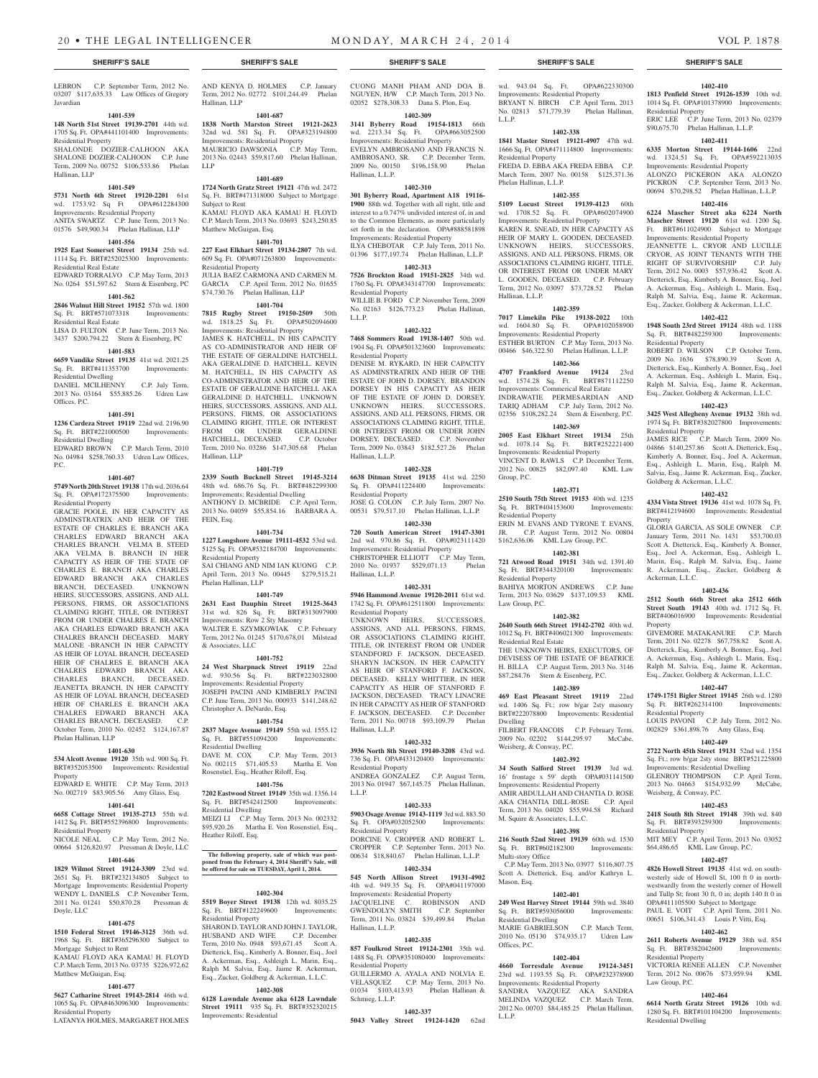#### **SHERIFF'S SALE SHERIFF'S SALE SHERIFF'S SALE SHERIFF'S SALE SHERIFF'S SALE**

LEBRON C.P. September Term, 2012 No. 03207 \$117,635.33 Law Offices of Gregory Javardian

#### **1401-539**

#### **148 North 51st Street 19139-2701** 44th wd. 1705 Sq. Ft. OPA#441101400 Improvements: Residential Property

SHALONDE DOZIER-CALHOON AKA SHALONE DOZIER-CALHOON C.P. June Term, 2009 No. 00752 \$106,533.86 Phelan Hallinan, LLP

#### **1401-549**

#### **5731 North 6th Street 19120-2201** 61st<br>wd. 1753.92 Sq Ft OPA#612284300 wd. 1753.92 Sq Ft Improvements: Residential Property

ANITA SWARTZ C.P. June Term, 2013 No. 01576 \$49,900.34 Phelan Hallinan, LLP

#### **1401-556**

**1925 East Somerset Street 19134** 25th wd. 1114 Sq. Ft. BRT#252025300 Improvements: Residential Real Estate EDWARD TORRALVO C.P. May Term, 2013

No. 0264 \$51,597.62 Stern & Eisenberg, PC **1401-562**

# **2846 Walnut Hill Street 19152** 57th wd. 1800

Sq. Ft. BRT#571073318 Improvements: Residential Real Estate LISA D. FULTON C.P. June Term, 2013 No.

3437 \$200,794.22 Stern & Eisenberg, PC **1401-583**

**6659 Vandike Street 19135** 41st wd. 2021.25 Sq. Ft. BRT#411353700 Improvements:

### Residential Dwelling DANIEL MCILHENNY C.P. July Term,

2013 No. 03164 \$55,885.26 Udren Law Offices, P.C.

### **1401-591**

**1236 Cardeza Street 19119** 22nd wd. 2196.90 Sq. Ft. BRT#221000500 Improvements: Residential Dwelling

EDWARD BROWN C.P. March Term, 2010 No. 04984 \$258,760.33 Udren Law Offices, P.C.

#### **1401-607**

**5749 North 20th Street 19138** 17th wd. 2036.64 Sq. Ft. OPA#172375500 Improvements: Residential Property

GRACIE POOLE, IN HER CAPACITY AS ADMINSTRATRIX AND HEIR OF THE ESTATE OF CHARLES E. BRANCH AKA CHARLES EDWARD BRANCH AKA CHARLES BRANCH. VELMA B. STEED AKA VELMA B. BRANCH IN HER CAPACITY AS HEIR OF THE STATE OF CHARLES E. BRANCH AKA CHARLES EDWARD BRANCH AKA CHARLES BRANCH, DECEASED. UNKNOWN HEIRS, SUCCESSORS, ASSIGNS, AND ALL PERSONS, FIRMS, OR ASSOCIATIONS CLAIMING RIGHT, TITLE, OR INTEREST FROM OR UNDER CHALRES E. BRANCH AKA CHARLES EDWARD BRANCH AKA CHALRES BRANCH DECEASED. MARY MALONE -BRANCH IN HER CAPACITY AS HEIR OF LOYAL BRANCH, DECEASED HEIR OF CHALRES E. BRANCH AKA CHALRES EDWARD BRANCH AKA CHARLES BRANCH, DECEASED. JEANETTA BRANCH, IN HER CAPACITY AS HEIR OF LOYAL BRANCH, DECEASED HEIR OF CHARLES E. BRANCH AKA CHALRES EDWARD BRANCH AKA CHARLES BRANCH, DECEASED. C.P. October Term, 2010 No. 02452 \$124,167.87 Phelan Hallinan, LLP

### **1401-630**

**534 Alcott Avenue 19120** 35th wd. 900 Sq. Ft. BRT#352053500 Improvements: Residential Property

EDWARD E. WHITE C.P. May Term, 2013 No. 002719 \$83,905.56 Amy Glass, Esq.

#### **1401-641**

**6658 Cottage Street 19135-2713** 55th wd. 1412 Sq. Ft. BRT#552396800 Improvements: Residential Property

NICOLE NEAL C.P. May Term, 2012 No. 00664 \$126,820.97 Pressman & Doyle, LLC

# **1401-646**

**1829 Wilmot Street 19124-3309** 23rd wd. 2651 Sq. Ft. BRT#232134805 Subject to Mortgage Improvements: Residential Property WENDY L. DANIELS C.P. November Term, 2011 No. 01241 \$50,870.28 Pressman & Doyle, LLC

#### **1401-675**

**1510 Federal Street 19146-3125** 36th wd. 1968 Sq. Ft. BRT#365296300 Subject to Mortgage Subject to Rent

#### KAMAU FLOYD AKA KAMAU H. FLOYD C.P. March Term, 2013 No. 03735 \$226,972.62 Matthew McGuigan, Esq.

# **1401-677**

**5627 Catharine Street 19143-2814** 46th wd. 1065 Sq. Ft. OPA#463096300 Improvements: Residential Property LATANYA HOLMES, MARGARET HOLMES

AND KENYA D. HOLMES C.P. January Term, 2012 No. 02772 \$101,244.49 Phelan Hallinan, LLP

### **1401-687**

**1838 North Marston Street 19121-2623**  32nd wd. 581 Sq. Ft. OPA#323194800 Improvements: Residential Property MAURICIO DAWSONIA C.P. May Term, 2013 No. 02443 \$59,817.60 Phelan Hallinan, LLP

Sq. Ft. BRT#471318000 Subject to Mortgage Subject to Rent KAMAU FLOYD AKA KAMAU H. FLOYD C.P. March Term, 2013 No. 03693 \$243,250.85 Matthew McGuigan, Esq.

**227 East Elkhart Street 19134-2807** 7th wd. 609 Sq. Ft. OPA#071263800 Improvements: Residential Property

GARCIA C.P. April Term, 2012 No. 01655

**7815 Rugby Street 19150-2509** 50th wd. 1818.25 Sq. Ft. OPA#502094600 Improvements: Residential Property JAMES K. HATCHELL, IN HIS CAPACITY AS CO-ADMINISTRATOR AND HEIR OF THE ESTATE OF GERALDINE HATCHELL AKA GERALDINE D. HATCHELL. KEVIN

M. HATCHELL, IN HIS CAPACITY AS CO-ADMINISTRATOR AND HEIR OF THE ESTATE OF GERALDINE HATCHELL AKA GERALDINE D. HATCHELL. UNKNOWN HEIRS, SUCCESSORS, ASSIGNS, AND ALL PERSONS, FIRMS, OR ASSOCIATIONS CLAIMING RIGHT, TITLE, OR INTEREST FROM OR UNDER GERALDINE HATCHELL, DECEASED. C.P. October Term, 2010 No. 03286 \$147,305.68 Phelan Hallinan, LLP

#### **1401-719**

**2339 South Bucknell Street 19145-3214**  48th wd. 686.76 Sq. Ft. BRT#482299300 ANTHONY D. MCBRIDE C.P. April Term, 2013 No. 04059 \$55,854.16 BARBARA A. FEIN, Esq.

#### **1401-734**

**1227 Longshore Avenue 19111-4532** 53rd wd. 5125 Sq. Ft. OPA#532184700 Improvements: Residential Property SAI CHIANG AND NIM IAN KUONG C.P.

**1401-749**

# Improvements: Row 2 Sty Masonry

Term, 2012 No. 01245 \$170,678,01 Milstead & Associates, LLC

#### **1401-752**

wd. 930.56 Sq. Ft. BRT#223032800 Improvements: Residential Property JOSEPH PACINI AND KIMBERLY PACINI C.P. June Term, 2013 No. 000933 \$141,248.62 Christopher A. DeNardo, Esq.

**2837 Magee Avenue 19149** 55th wd. 1555.12 Residential Dwelling No. 002115 \$71,405.53 Martha E. Von Rosenstiel, Esq., Heather Riloff, Esq.

#### **1401-756**

**7202 Eastwood Street 19149** 35th wd. 1356.14 Sq. Ft. BRT#542412500 Improvements: Residential Dwelling MEIZI LI C.P. May Term, 2013 No. 002332<br>\$95.920.26 Martha E. Von Rosenstiel. Esq.,

Heather Riloff, Esq.

# **The following property, sale of which was post-poned from the February 4, 2014 Sheriff's Sale, will be offered for sale on TUESDAY, April 1, 2014.**

**1402-304**

**5519 Boyer Street 19138** 12th wd. 8035.25<br>Sq. Ft. BRT#122249600 Improvements: Sq. Ft. BRT#122249600 Residential Property

SHARON D. TAYLOR AND JOHN J. TAYLOR, HUSBAND AND WIFE C.P. December Term, 2010 No. 0948 \$93,671.45 Scott A.

#### **1402-308**

**6128 Lawndale Avenue aka 6128 Lawndale Street 19111** 935 Sq. Ft. BRT#352320215 Improvements: Residential

CUONG MANH PHAM AND DOA B. NGUYEN, H/W C.P. March Term, 2013 No. 02052 \$278,308.33 Dana S. Plon, Esq. **1402-309**

wd. 943.04 Sq. Ft. OPA#622330300 Improvements: Residential Property BRYANT N. BIRCH C.P. April Term, 2013 No. 02813 \$71,779.39 Phelan Hallinan,

**1402-410 1813 Penfield Street 19126-1539** 10th wd. 1014 Sq. Ft. OPA#101378900 Improvements:

ERIC LEE C.P. June Term, 2013 No. 02379 \$90,675.70 Phelan Hallinan, L.L.P. **1402-411 6335 Morton Street 19144-1606** 22nd wd. 1324.51 Sq. Ft. OPA#592213035 Improvements: Residential Property ALONZO PICKERON AKA ALONZO PICKRON C.P. September Term, 2013 No. 00694 \$70,298.52 Phelan Hallinan, L.L.P. **1402-416 6224 Mascher Street aka 6224 North Mascher Street 19120** 61st wd. 1200 Sq. Ft. BRT#611024900 Subject to Mortgage Improvements: Residential Property JEANNETTE L. CRYOR AND LUCILLE CRYOR, AS JOINT TENANTS WITH THE RIGHT OF SURVIVORSHIP C.P. July Term, 2012 No. 0003 \$57,936.42 Scott A. Dietterick, Esq., Kimberly A. Bonner, Esq., Joel A. Ackerman, Esq., Ashleigh L. Marin, Esq., Ralph M. Salvia, Esq., Jaime R. Ackerman, Esq., Zucker, Goldberg & Ackerman, L.L.C. **1402-422 1948 South 23rd Street 19124** 48th wd. 1188 Sq. Ft. BRT#482259300 Improvements:

Residential Property

Residential Property

Residential Property

Property

Property

Ackerman, L.L.C.

Sq. Ft. BRT#262314100 Residential Property

Weisberg, & Conway, P.C.

Residential Property

Residential Property

Residential Dwelling

Law Group, P.C.

Goldberg & Ackerman, L.L.C.

ROBERT D. WILSON C.P. October Term, 2009 No. 1636 \$78,890.39 Scott A. Dietterick, Esq., Kimberly A. Bonner, Esq., Joel A. Ackerman, Esq., Ashleigh L. Marin, Esq., Ralph M. Salvia, Esq., Jaime R. Ackerman, Esq., Zucker, Goldberg & Ackerman, L.L.C. **1402-423 3425 West Allegheny Avenue 19132** 38th wd. 1974 Sq. Ft. BRT#382027800 Improvements:

JAMES RICE C.P. March Term, 2009 No. 04866 \$140,257.86 Scott A. Dietterick, Esq., Kimberly A. Bonner, Esq., Joel A. Ackerman, Esq., Ashleigh L. Marin, Esq., Ralph M. Salvia, Esq., Jaime R. Ackerman, Esq., Zucker,

**1402-432 4334 Vista Street 19136** 41st wd. 1078 Sq. Ft. BRT#412194600 Improvements: Residential

GLORIA GARCIA, AS SOLE OWNER C.P. January Term, 2011 No. 1431 \$53,700.03 Scott A. Dietterick, Esq., Kimberly A. Bonner, Esq., Joel A. Ackerman, Esq., Ashleigh L. Marin, Esq., Ralph M. Salvia, Esq., Jaime R. Ackerman, Esq., Zucker, Goldberg &

 **1402-436 2512 South 66th Street aka 2512 66th Street South 19143** 40th wd. 1712 Sq. Ft. BRT#406016900 Improvements: Residential

GIVEMORE MATAKANURE C.P. March Term, 2011 No. 02278 \$67,758.82 Scott A. Dietterick, Esq., Kimberly A. Bonner, Esq., Joel A. Ackerman, Esq., Ashleigh L. Marin, Esq., Ralph M. Salvia, Esq., Jaime R. Ackerman, Esq., Zucker, Goldberg & Ackerman, L.L.C. **1402-447 1749-1751 Bigler Street 19145** 26th wd. 1280

LOUIS PAVONI C.P. July Term, 2012 No. 002829 \$361,898.76 Amy Glass, Esq. **1402-449 2722 North 45th Street 19131** 52nd wd. 1354 Sq. Ft.; row b/gar 2sty stone BRT#521225800 Improvements: Residential Dwelling GLENROY THOMPSON C.P. April Term, 2013 No. 04663 \$154,932.99 McCabe,

**1402-453 2418 South 8th Street 19148** 39th wd. 840 Sq. Ft. BRT#393259300 Improvements:

MIT MEY C.P. April Term, 2013 No. 03052 \$64,486.65 KML Law Group, P.C. **1402-457 4826 Howell Street 19135** 41st wd. on southwesterly side of Howell St, 100 ft 0 in northwestwardly from the westerly corner of Howell and Tullp St; front 30 ft, 0 in; depth 140 ft 0 in OPA#411105500 Subject to Mortgage PAUL E. VOIT C.P. April Term, 2011 No. 00651 \$106,341.43 Louis P. Vitti, Esq. **1402-462 2611 Roberts Avenue 19129** 38th wd. 854 Sq. Ft. BRT#382042600 Improvements:

VICTORIA RENEE ALLEN C.P. November Term, 2012 No. 00676 \$73,959.94 KML

**1402-464 6614 North Gratz Street 19126** 10th wd. 1280 Sq. Ft. BRT#101104200 Improvements:

**1402-338 1841 Master Street 19121-4907** 47th wd. 1666 Sq. Ft. OPA#471114800 Improvements:

FREDA D. EBBA AKA FREDA EBBA C.P. March Term, 2007 No. 00158 \$125,371.36

**1402-355 5109 Locust Street 19139-4123** 60th wd. 1708.52 Sq. Ft. OPA#602074900 Improvements: Residential Property KAREN R. SNEAD, IN HER CAPACITY AS HEIR OF MARY L. GOODEN, DECEASED. UNKNOWN HEIRS, SUCCESSORS, ASSIGNS, AND ALL PERSONS, FIRMS, OR ASSOCIATIONS CLAIMING RIGHT, TITLE, OR INTEREST FROM OR UNDER MARY L. GOODEN, DECEASED. C.P. February Term, 2012 No. 03097 \$73,728.52 Phelan

**1402-359 7017 Limekiln Pike 19138-2022** 10th wd. 1604.80 Sq. Ft. OPA#102058900 Improvements: Residential Property ESTHER BURTON C.P. May Term, 2013 No. 00466 \$46,322.50 Phelan Hallinan, L.L.P. **1402-366 4707 Frankford Avenue 19124** 23rd

**1402-371 2510 South 75th Street 19153** 40th wd. 1235 Sq. Ft. BRT#404153600 Improvements:

ERIN M. EVANS AND TYRONE T. EVANS, JR. C.P. August Term, 2012 No. 00804 \$162,636.06 KML Law Group, P.C. **1402-381 721 Atwood Road 19151** 34th wd. 1391.40 Sq. Ft. BRT#344320100 Improvements:

BAHIYA MORTON ANDREWS C.P. June Term, 2013 No. 03629 \$137,109.53 KML

**1402-382 2640 South 66th Street 19142-2702** 40th wd. 1012 Sq. Ft. BRT#406021300 Improvements:

THE UNKNOWN HEIRS, EXECUTORS, OF DEVISESS OF THE ESTATE OF BEATRICE H. BILLA C.P. August Term, 2013 No. 3146 \$87,284.76 Stern & Eisenberg, P.C. **1402-389 469 East Pleasant Street 19119** 22nd wd. 1406 Sq. Ft.; row b/gar 2sty masonry BRT#222078800 Improvements: Residential

FILBERT FRANCOIS C.P. February Term, 2009 No. 02202 \$144,295.97 McCabe,

**1402-392 34 South Salford Street 19139** 3rd wd. 16' frontage x 59' depth OPA#031141500 Improvements: Residential Property AMIR ABDULLAH AND CHANTIA D. ROSE AKA CHANTIA DILL-ROSE C.P. April Term, 2013 No. 04020 \$55,994.58 Richard

**1402-398 216 South 52nd Street 19139** 60th wd. 1530 Sq. Ft. BRT#602182300 Improvements:

 C.P. May Term, 2013 No. 03977 \$116,807.75 Scott A. Dietterick, Esq. and/or Kathryn L.

**1402-401 249 West Harvey Street 19144** 59th wd. 3840 Sq. Ft. BRT#593056000 Improvements:

MARIE GABRIELSON C.P. March Term, 2010 No. 05130 \$74,935.17 Udren Law

**1402-404 4660 Torresdale Avenue 19124-3451**  23rd wd. 1193.55 Sq. Ft. OPA#232378900 Improvements: Residential Property SANDRA VAZQUEZ AKA SANDRA MELINDA VAZQUEZ C.P. March Term, 2012 No. 00703 \$84,485.25 Phelan Hallinan,

L.L.P.

Residential Property

Phelan Hallinan, L.L.P.

Hallinan, L.L.P.

wd. 1574.28 Sq. Ft. Improvements: Commerical Real Estate INDRAWATIE PERMESARDIAN AND TARIQ ADHAM C.P. July Term, 2012 No. 02356 \$108,282.24 Stern & Eisenberg, P.C. **1402-369 2005 East Elkhart Street 19134** 25th wd. 1078.14 Sq. Ft. BRT#252221400 Improvements: Residential Property VINCENT D. RAWLS C.P. December Term, 2012 No. 00825 \$82,097.40 KML Law

Group, P.C.

Residential Property

Residential Property

Residential Real Estate

Weisberg, & Conway, P.C.

M. Squire & Associates, L.L.C.

Multi-story Office

Residential Dwelling

Mason, Esq.

Offices, P.C.

L.L.P.

Law Group, P.C.

Dwelling

**3141 Byberry Road 19154-1813** 66th wd. 2213.34 Sq. Ft. OPA#663052500 Improvements: Residential Property EVELYN AMBROSANO AND FRANCIS N. AMBROSANO, SR. C.P. December Term, 2009 No. 00150 \$196,158.90 Phelan

**1402-310 301 Byberry Road, Apartment A18 19116- 1900** 88th wd. Together with all right, title and interest to a 0.747% undivided interest of, in and to the Common Elements, as more particularly set forth in the declaration. OPA#888581898 Improvements: Residential Property ILYA CHEBOTAR C.P. July Term, 2011 No. 01396 \$177,197.74 Phelan Hallinan, L.L.P. **1402-313 7526 Brockton Road 19151-2825** 34th wd. 1760 Sq. Ft. OPA#343147700 Improvements:

WILLIE B. FORD C.P. November Term, 2009 No. 02163 \$126,773.23 Phelan Hallinan,

**1402-322 7468 Sommers Road 19138-1407** 50th wd. 1904 Sq. Ft. OPA#501323600 Improvements:

DENISE M. RYKARD, IN HER CAPACITY AS ADMINSTRATRIX AND HEIR OF THE

**1402-328 6638 Ditman Street 19135** 41st wd. 2250

JOSE G. COLON C.P. July Term, 2007 No. 00531 \$79,517.10 Phelan Hallinan, L.L.P. **1402-330 720 South American Street 19147-3301**  2nd wd. 970.86 Sq. Ft. OPA#023111420 Improvements: Residential Property CHRISTOPHER ELLIOTT C.P. May Term, 2010 No. 01937 \$529,071.13 Phelan

**1402-331 5946 Hammond Avenue 19120-2011** 61st wd. 1742 Sq. Ft. OPA#612511800 Improvements:

UNKNOWN HEIRS, SUCCESSORS, ASSIGNS, AND ALL PERSONS, FIRMS, OR ASSOCIATIONS CLAIMING RIGHT, TITLE, OR INTEREST FROM OR UNDER STANDFORD F. JACKSON, DECEASED. SHARYN JACKSON, IN HER CAPACITY AS HEIR OF STANFORD F. JACKSON, DECEASED. KELLY WHITTIER, IN HER CAPACITY AS HEIR OF STANFORD F. JACKSON, DECEASED. TRACY LINACRE IN HER CAPACITY AS HEIR OF STANFORD F. JACKSON, DECEASED. C.P. December Term, 2011 No. 00718 \$93,109.79 Phelan

**1402-332 3936 North 8th Street 19140-3208** 43rd wd. 736 Sq. Ft. OPA#433120400 Improvements:

ANDREA GONZALEZ C.P. August Term, 2013 No. 01947 \$67,145.75 Phelan Hallinan,

**1402-333 5903 Osage Avenue 19143-1119** 3rd wd. 883.50<br> **Sq. Ft.** OPA#032052500 Improvements:

DORCINE V. CROPPER AND ROBERT L. CROPPER C.P. September Term, 2013 No. 00634 \$18,840.67 Phelan Hallinan, L.L.P. **1402-334 545 North Allison Street 19131-4902**  4th wd. 949.35 Sq. Ft. OPA#041197000 Improvements: Residential Property

JACQUELINE C. ROBINSON AND<br>GWENDOLYN SMITH C.P. September

Term, 2011 No. 03824 \$39,499.84 Phelan

**1402-335 857 Foulkrod Street 19124-2301** 35th wd. 1488 Sq. Ft. OPA#351080400 Improvements:

GUILLERMO A. AYALA AND NOLVIA E. VELASQUEZ C.P. May Term, 2013 No. 01034 \$103,413.93 Phelan Hallinan &

**1402-337 5043 Valley Street 19124-1420** 62nd

Sq. Ft. OPA#411224400 Residential Property

Hallinan, L.L.P.

Residential Property

Hallinan, L.L.P.

Residential Property

Sq. Ft. OPA#032052500 Residential Property

GWENDOLYN SMITH

Hallinan, L.L.P.

Residential Property

Schmieg, L.L.P.

L.L.P.

Hallinan, L.L.P.

Residential Property

Residential Property

L.L.P.

### **1401-689**

**1724 North Gratz Street 19121** 47th wd. 2472

#### **1401-701**

JULIA BAEZ CARMONA AND CARMEN M. \$74,730.76 Phelan Hallinan, LLP

#### **1401-704**

ESTATE OF JOHN D. DORSEY. BRANDON DORSEY IN HIS CAPACITY AS HEIR OF THE ESTATE OF JOHN D. DORSEY. UNKNOWN HEIRS, SUCCESSORS, ASSIGNS, AND ALL PERSONS, FIRMS, OR ASSOCIATIONS CLAIMING RIGHT, TITLE, OR INTEREST FROM OR UNDER JOHN DORSEY, DECEASED. C.P. November Term, 2009 No. 03843 \$182,527.26 Phelan Hallinan, L.L.P.

Improvements: Residential Dwelling

April Term, 2013 No. 00445 \$279,515.21 Phelan Hallinan, LLP

**2631 East Dauphin Street 19125-3643**  31st wd. 826 Sq. Ft. BRT#313097900

WALTER E. SZYMKOWIAK C.P. February

**24 West Sharpnack Street 19119** 22nd

#### **1401-754**

Sq. Ft. BRT#551094200 Improvements: DAVE M. COX C.P. May Term, 2013

Martha E. Von Rosenstiel, Esq.,

Dietterick, Esq., Kimberly A. Bonner, Esq., Joel A. Ackerman, Esq., Ashleigh L. Marin, Esq., Ralph M. Salvia, Esq., Jaime R. Ackerman, Esq., Zucker, Goldberg & Ackerman, L.L.C.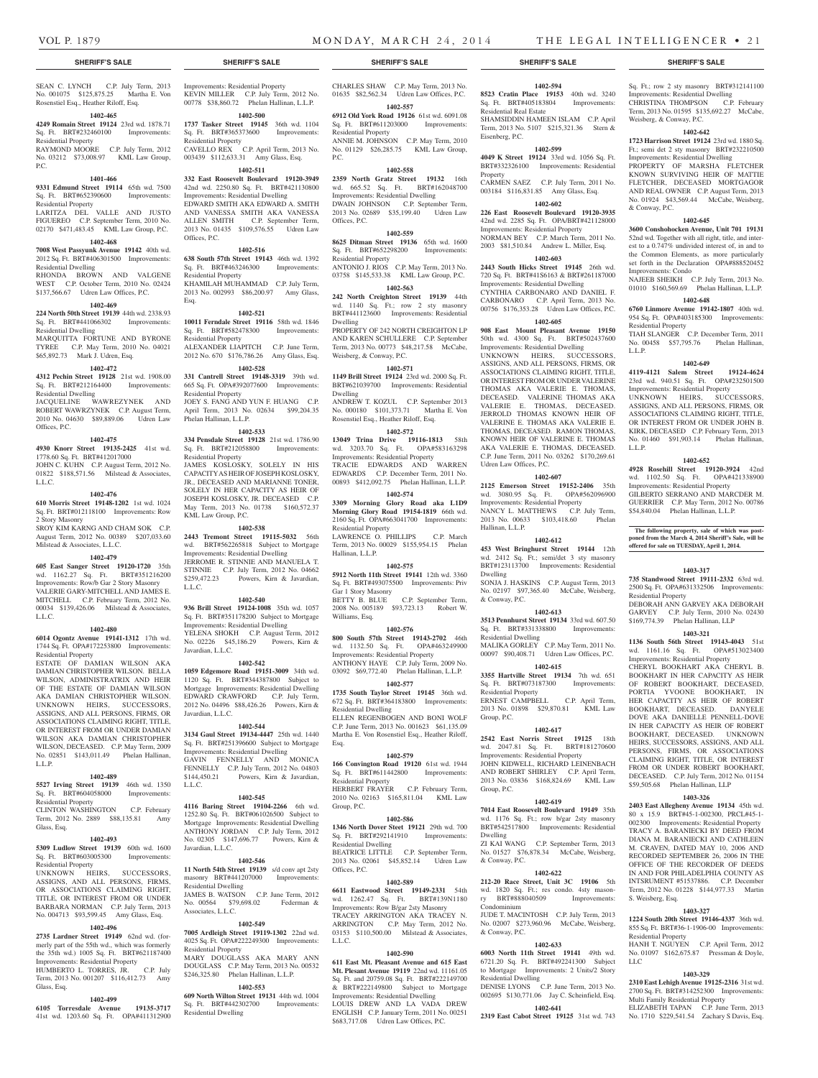Sq. Ft.; row 2 sty masonry BRT#312141100 Improvements: Residential Dwelling CHRISTINA THOMPSON C.P. February Term, 2013 No. 01595 \$135,692.27 McCabe,

**1402-642 1723 Harrison Street 19124** 23rd wd. 1880 Sq. Ft.; semi det 2 sty masonry BRT#232210500 Improvements: Residential Dwelling PROPERTY OF MARSHA FLETCHER KNOWN SURVIVING HEIR OF MATTIE FLETCHER, DECEASED MORTGAGOR AND REAL OWNER C.P. August Term, 2013 No. 01924 \$43,569.44 McCabe, Weisberg,

**1402-645 3600 Conshohocken Avenue, Unit 701 19131**  52nd wd. Together with all right, title, and interest to a 0.747% undivided interest of, in and to the Common Elements, as more particularly set forth in the Declaration OPA#888520452

NAJEEB SHEIKH C.P. July Term, 2013 No. 01010 \$160,569.69 Phelan Hallinan, L.L.P. **1402-648 6760 Linmore Avenue 19142-1807** 40th wd. 954 Sq. Ft. OPA#403185300 Improvements:

TIAH SLANGER C.P. December Term, 2011 No. 00458 \$57,795.76 Phelan Hallinan,

**1402-649 4119-4121 Salem Street 19124-4624**  23rd wd. 940.51 Sq. Ft. OPA#232501500 Improvements: Residential Property UNKNOWN HEIRS, SUCCESSORS, ASSIGNS, AND ALL PERSONS, FIRMS, OR ASSOCIATIONS CLAIMING RIGHT, TITLE, OR INTEREST FROM OR UNDER JOHN B. KIRK, DECEASED C.P. February Term, 2013 No. 01460 \$91,903.14 Phelan Hallinan,

**1402-652 4928 Rosehill Street 19120-3924** 42nd wd. 1102.50 Sq. Ft. OPA#421338900 Improvements: Residential Property GILBERTO SERRANO AND MARCDER M. GUERRIER C.P. May Term, 2012 No. 00786 \$54,840.04 Phelan Hallinan, L.L.P.

**The following property, sale of which was postponed from the March 4, 2014 Sheriff's Sale, will be offered for sale on TUESDAY, April 1, 2014.**

**1403-317 735 Standwood Street 19111-2332** 63rd wd. 2500 Sq. Ft. OPA#631332506 Improvements:

DEBORAH ANN GARVEY AKA DEBORAH GARVEY C.P. July Term, 2010 No. 02430 \$169,774.39 Phelan Hallinan, LLP **1403-321 1136 South 56th Street 19143-4043** 51st wd. 1161.16 Sq. Ft. OPA#513023400 Improvements: Residential Property CHERYL BOOKHART AKA CHERYL B. BOOKHART IN HER CAPACITY AS HEIR OF ROBERT BOOKHART, DECEASED, PORTIA YVOONE BOOKHART, IN HER CAPACITY AS HEIR OF ROBERT BOOKHART, DECEASED. DANYELE DOVE AKA DANIELLE PENNELL-DOVE IN HER CAPACITY AS HEIR OF ROBERT BOOKHART, DECEASED. UNKNOWN HEIRS, SUCCESSORS, ASSIGNS, AND ALL PERSONS, FIRMS, OR ASSOCIATIONS CLAIMING RIGHT, TITLE, OR INTEREST FROM OR UNDER ROBERT BOOKHART, DECEASED. C.P. July Term, 2012 No. 01154 \$59,505.68 Phelan Hallinan, LLP **1403-326 2403 East Allegheny Avenue 19134** 45th wd. 80 x 15.9 BRT#45-1-002300, PRCL#45-1- 002300 Improvements: Residential Property TRACY A. BARANIECKI BY DEED FROM DIANA M. BARANIECKI AND CATHLEEN M. CRAVEN, DATED MAY 10, 2006 AND RECORDED SEPTEMBER 26, 2006 IN THE OFFICE OF THE RECORDER OF DEEDS IN AND FOR PHILADELPHIA COUNTY AS INTSRUMENT #51537886. C.P. December Term, 2012 No. 01228 \$144,977.33 Martin

Residential Property

S. Weisberg, Esq.

Residential Property

LLC

**1403-327 1224 South 20th Street 19146-4337** 36th wd. 855 Sq. Ft. BRT#36-1-1906-00 Improvements:

HANH T. NGUYEN C.P. April Term, 2012 No. 01097 \$162,675.87 Pressman & Doyle,

**1403-329 2310 East Lehigh Avenue 19125-2316** 31st wd. 2700 Sq. Ft. BRT#314252300 Improvements:

ELIZABETH TAPAN C.P. June Term, 2013 No. 1710 \$229,541.54 Zachary S Davis, Esq.

Multi Family Residential Property

Weisberg, & Conway, P.C.

& Conway, P.C.

Improvements: Condo

Residential Property

L.L.P.

L.L.P.

**1402-594 8523 Cratin Place 19153** 40th wd. 3240 Sq. Ft. BRT#405183804 Improvements:

SHAMSIDDIN HAMEEN ISLAM C.P. April Term, 2013 No. 5107 \$215,321.36 Stern &

**1402-599 4049 K Street 19124** 33rd wd. 1056 Sq. Ft. BRT#332326100 Improvements: Residential

CARMEN SAEZ C.P. July Term, 2011 No. 003184 \$116,831.85 Amy Glass, Esq. **1402-602 226 East Roosevelt Boulevard 19120-3935**  42nd wd. 2285 Sq. Ft. OPA/BRT#421128000 Improvements: Residential Property NORMAN BEY C.P. March Term, 2011 No. 2003 \$81,510.84 Andrew L. Miller, Esq. **1402-603 2443 South Hicks Street 19145** 26th wd. 720 Sq. Ft. BRT#41S6163 & BRT#261187000 Improvements: Residential Dwelling CYNTHIA CARBONARO AND DANIEL F. CARBONARO C.P. April Term, 2013 No. 00756 \$176,353.28 Udren Law Offices, P.C. **1402-605 908 East Mount Pleasant Avenue 19150**  50th wd. 4300 Sq. Ft. BRT#502437600 Improvements: Residential Dwelling UNKNOWN HEIRS, SUCCESSORS, ASSIGNS, AND ALL PERSONS, FIRMS, OR ASSOCIATIONS CLAIMING RIGHT, TITLE, OR INTEREST FROM OR UNDER VALERINE THOMAS AKA VALERIE E. THOMAS, DECEASED. VALERINE THOMAS AKA VALERIE E. THOMAS, DECEASED. JERROLD THOMAS KNOWN HEIR OF VALERINE E. THOMAS AKA VALERIE E. THOMAS, DECEASED. RAMON THOMAS, KNOWN HEIR OF VALERINE E. THOMAS AKA VALERIE E. THOMAS, DECEASED. C.P. June Term, 2011 No. 03262 \$170,269.61

Residential Real Estate

Udren Law Offices, P.C.

Hallinan, L.L.P.

& Conway, P.C.

Residential Dwelling

Residential Property

Group, P.C.

Group, P.C.

Dwelling

& Conway, P.C.

Condominium

& Conway, P.C.

Residential Dwelling

Dwelling

**1402-607 2125 Emerson Street 19152-2406** 35th wd. 3080.95 Sq. Ft. OPA#562096900 Improvements: Residential Property NANCY L. MATTHEWS C.P. July Term, 2013 No. 00633 \$103,418.60 Phelan

**1402-612 453 West Bringhurst Street 19144** 12th wd. 2412 Sq. Ft.; semi/det 3 sty masonry BRT#123113700 Improvements: Residential

SONJA J. HASKINS C.P. August Term, 2013 No. 02197 \$97,365.40 McCabe, Weisberg,

**1402-613 3513 Pennhurst Street 19134** 33rd wd. 607.50 Sq. Ft. BRT#331338800 Improvements:

MALIKA GORLEY C.P. May Term, 2011 No. 00097 \$90,408.71 Udren Law Offices, P.C. **1402-615 3355 Hartville Street 19134** 7th wd. 651 Sq. Ft. BRT#073187300 Improvements:

ERNEST CAMPBELL C.P. April Term, 2013 No. 01898 \$29,870.81 KML Law

**1402-617 2542 East Norris Street 19125** 18th wd. 2047.81 Sq. Ft. BRT#181270600 Improvements: Residential Property JOHN KIDWELL, RICHARD LEINENBACH AND ROBERT SHIRLEY C.P. April Term, 2013 No. 03836 \$168,824.69 KML Law

**1402-619 7014 East Roosevelt Boulevard 19149** 35th wd. 1176 Sq. Ft.; row b/gar 2sty masonry BRT#542517800 Improvements: Residential

ZI KAI WANG C.P. September Term, 2013 No. 01527 \$76,878.34 McCabe, Weisberg,

**1402-622 212-20 Race Street, Unit 3C 19106** 5th wd. 1820 Sq. Ft.; res condo. 4sty mason-BRT#888040509 Improvements

JUDE T. MACINTOSH C.P. July Term, 2013 No. 02007 \$273,960.96 McCabe, Weisberg,

**1402-633 6003 North 11th Street 19141** 49th wd. 6721.20 Sq. Ft. BRT#492241300 Subject to Mortgage Improvements: 2 Units/2 Story

DENISE LYONS C.P. June Term, 2013 No. 002695 \$130,771.06 Jay C. Scheinfield, Esq. **1402-641 2319 East Cabot Street 19125** 31st wd. 743

Eisenberg, P.C.

Property

#### **SHERIFF'S SALE SHERIFF'S SALE SHERIFF'S SALE SHERIFF'S SALE SHERIFF'S SALE**

SEAN C. LYNCH C.P. July Term, 2013 No. 001075 \$125,875.25 Martha E. Von Rosenstiel Esq., Heather Riloff, Esq.

#### **1402-465**

# **4249 Romain Street 19124** 23rd wd. 1878.71

Sq. Ft. BRT#232460100 Improvements: Residential Property

RAYMOND MOORE C.P. July Term, 2012 No. 03212 \$73,008.97 KML Law Group, P.C.

#### **1401-466**

**9331 Edmund Street 19114** 65th wd. 7500 Sq. Ft. BRT#652390600 Improvements: Residential Property

LARITZA DEL VALLE AND JUSTO FIGUEREO C.P. September Term, 2010 No. 02170 \$471,483.45 KML Law Group, P.C.

#### **1402-468**

**7008 West Passyunk Avenue 19142** 40th wd. 2012 Sq. Ft. BRT#406301500 Improvements: Residential Dwelling RHONDA BROWN AND VALGENE

WEST C.P. October Term, 2010 No. 02424 \$137,566.67 Udren Law Offices, P.C.

# **1402-469**

**224 North 50th Street 19139** 44th wd. 2338.93 Sq. Ft. BRT#441066302 Improvements: Residential Dwelling

MARQUITTA FORTUNE AND BYRONE TYREE C.P. May Term, 2010 No. 04021 \$65,892.73 Mark J. Udren, Esq.

#### **1402-472**

**4312 Pechin Street 19128** 21st wd. 1908.00 Sq. Ft. BRT#212164400 Improvements: Residential Dwelling

JACQUELINE WAWREZYNEK AND ROBERT WAWRZYNEK C.P. August Term, 2010 No. 04630 \$89,889.06 Udren Law Offices, P.C.

#### **1402-475**

**4930 Knorr Street 19135-2425** 41st wd. 1778.60 Sq. Ft. BRT#412017000 JOHN C. KUHN C.P. August Term, 2012 No. 01822 \$188,571.56 Milstead & Associates, L.L.C.

#### **1402-476**

**610 Morris Street 19148-1202** 1st wd. 1024 Sq. Ft. BRT#012118100 Improvements: Row 2 Story Masonry SROY KIM KARNG AND CHAM SOK C.P. August Term, 2012 No. 00389 \$207,033.60 Milstead & Associates, L.L.C.

#### **1402-479**

**605 East Sanger Street 19120-1720** 35th wd. 1162.27 Sq. Ft. BRT#351216200 Improvements: Row/b Gar 2 Story Masonry VALERIE GARY-MITCHELL AND JAMES E. MITCHELL C.P. February Term, 2012 No. 00034 \$139,426.06 Milstead & Associates, L.L.C.

# **1402-480**

**6014 Ogontz Avenue 19141-1312** 17th wd. 1744 Sq. Ft. OPA#172253800 Improvements: Residential Property

ESTATE OF DAMIAN WILSON AKA DAMIAN CHRISTOPHER WILSON. BELLA WILSON, ADMINISTRATRIX AND HEIR OF THE ESTATE OF DAMIAN WILSON AKA DAMIAN CHRISTOPHER WILSON. UNKNOWN HEIRS, SUCCESSORS, ASSIGNS, AND ALL PERSONS, FIRMS, OR ASSOCIATIONS CLAIMING RIGHT, TITLE, OR INTEREST FROM OR UNDER DAMIAN WILSON AKA DAMIAN CHRISTOPHER WILSON, DECEASED. C.P. May Term, 2009 No. 02851 \$143,011.49 Phelan Hallinan, L.L.P.

# **1402-489**

**5527 Irving Street 19139** 46th wd. 1350 Sq. Ft. BRT#604058000 Improvements: Residential Property

CLINTON WASHINGTON C.P. February Term, 2012 No. 2889 \$88,135.81 Amy Glass, Esq.

#### **1402-493**

**5309 Ludlow Street 19139** 60th wd. 1600<br>Sq. Ft. BRT#603005300 Improvements:  $Sq. \; Ft. \; BRT#603005300$ Residential Property

UNKNOWN HEIRS, SUCCESSORS, ASSIGNS, AND ALL PERSONS, FIRMS, OR ASSOCIATIONS CLAIMING RIGHT, TITLE, OR INTEREST FROM OR UNDER BARBARA NORMAN C.P. July Term, 2013 No. 004713 \$93,599.45 Amy Glass, Esq.

#### **1402-496**

**2735 Lardner Street 19149** 62nd wd. (formerly part of the 55th wd., which was formerly<br>the 35th wd.) 1005 Sq. Ft. BRT#621187400 the 35th wd.) 1005 Sq. Ft. BRT#621187400 Improvements: Residential Property HUMBERTO L. TORRES, JR. C.P. July Term, 2013 No. 001207 \$116,412.73 Amy

#### **1402-499**

Glass, Esq.

**6105 Torresdale Avenue 19135-3717**  41st wd. 1203.60 Sq. Ft. OPA#411312900 Improvements: Residential Property KEVIN MILLER C.P. July Term, 2012 No. 00778 \$38,860.72 Phelan Hallinan, L.L.P.

#### **1402-500**

**1737 Tasker Street 19145** 36th wd. 1104 Sq. Ft. BRT#365373600 Improvements: Residential Property CAVELLO REX C.P. April Term, 2013 No. 003439 \$112,633.31 Amy Glass, Esq.

#### **1402-511**

**332 East Roosevelt Boulevard 19120-3949**  42nd wd. 2250.80 Sq. Ft. BRT#421130800 Improvements: Residential Dwelling EDWARD SMITH AKA EDWARD A. SMITH AND VANESSA SMITH AKA VANESSA ALLEN SMITH C.P. September Term, 2013 No. 01435 \$109,576.55 Udren Law Offices, P.C.

#### **1402-516**

**638 South 57th Street 19143** 46th wd. 1392 Sq. Ft. BRT#463246300 Improvements: Residential Property KHAMILAH MUHAMMAD C.P. July Term,

2013 No. 002993 \$86,200.97 Amy Glass, Esq. **1402-521**

**10011 Ferndale Street 19116** 58th wd. 1846 Sq. Ft. BRT#582478300 Improvements: Residential Property

#### ALEXANDER LIAPITCH C.P. June Term, 2012 No. 670 \$176,786.26 Amy Glass, Esq. **1402-528**

**331 Cantrell Street 19148-3319** 39th wd. 665 Sq. Ft. OPA#392077600 Improvements: Residential Property JOEY S. FANG AND YUN F. HUANG C.P. April Term, 2013 No. 02634 \$99,204.35

Phelan Hallinan, L.L.P. **1402-533**

**334 Pensdale Street 19128** 21st wd. 1786.90 Sq. Ft. BRT#212058800 Improvements: Residential Property JAMES KOSLOSKY, SOLELY IN HIS CAPACITY AS HEIR OF JOSEPH KOSLOSKY, JR., DECEASED AND MARIANNE TONER, SOLELY IN HER CAPACITY AS HEIR OF JOSEPH KOSLOSKY, JR. DECEASED C.P. May Term, 2013 No. 01738 \$160,572.37 KML Law Group, P.C.

#### **1402-538**

**2443 Tremont Street 19115-5032** 56th wd. BRT#562265818 Subject to Mortgage Improvements: Residential Dwelling JERROME R. STINNIE AND MANUELA T. STINNIE C.P. July Term, 2012 No. 04662 \$259,472.23 Powers, Kirn & Javardian, L.L.C.

#### **1402-540**

**936 Brill Street 19124-1008** 35th wd. 1057 Sq. Ft. BRT#351178200 Subject to Mortgage Improvements: Residential Dwelling YELENA SHOKH C.P. August Term, 2012 No. 02226 \$45,186.29 Powers, Kirn & Javardian, L.L.C.

#### **1402-542**

**1059 Edgemore Road 19151-3009** 34th wd. 1120 Sq. Ft. BRT#344387800 Subject to Mortgage Improvements: Residential Dwelling EDWARD CRAWFORD C.P. July Term, 2012 No. 04496 \$88,426.26 Powers, Kirn & Javardian, L.L.C.

#### **1402-544**

**3134 Gaul Street 19134-4447** 25th wd. 1440 Sq. Ft. BRT#251396600 Subject to Mortgage Improvements: Residential Dwelling GAVIN FENNELLY AND MONICA FENNELLY C.P. July Term, 2012 No. 04803 \$144,450.21 Powers, Kirn & Javardian, L.L.C.

#### **1402-545**

**4116 Baring Street 19104-2266** 6th wd. 1252.80 Sq. Ft. BRT#061026500 Subject to Mortgage Improvements: Residential Dwelling ANTHONY JORDAN C.P. July Term, 2012 No. 02305 \$147,696.77 Powers, Kirn & Javardian, L.L.C.

#### **1402-546**

**11 North 54th Street 19139** s/d conv apt 2sty masonry BRT#441207000 Improvements: Residential Dwelling JAMES B. WATSON C.P. June Term, 2012<br>No. 00564  $$79,698,02$  Eederman & No. 00564 \$79,698.02 Associates, L.L.C.

#### **1402-549**

**7005 Ardleigh Street 19119-1302** 22nd wd. 4025 Sq. Ft. OPA#222249300 Improvements: Residential Property MARY DOUGLASS AKA MARY ANN

DOUGLASS C.P. May Term, 2013 No. 00532 \$246,325.80 Phelan Hallinan, L.L.P. **1402-553**

**609 North Wilton Street 19131** 44th wd. 1004 Sq. Ft. BRT#442302700 Improvements: Residential Dwelling

CHARLES SHAW C.P. May Term, 2013 No. 01635 \$82,562.34 Udren Law Offices, P.C.

#### **1402-557 6912 Old York Road 19126** 61st wd. 6091.08

Sq. Ft. BRT#611203000 Improvements: Residential Property ANNIE M. JOHNSON C.P. May Term, 2010 No. 01129 \$26,285.75 KML Law Group, P.C.

#### **1402-558**

**2359 North Gratz Street 19132** 16th wd. 665.52 Sq. Ft. BRT#162048700 Improvements: Residential Dwelling DWAIN JOHNSON C.P. September Term, 2013 No. 02689 \$35,199.40 Udren Law Offices, P.C.

### **1402-559**

**8625 Ditman Street 19136** 65th wd. 1600 Sq. Ft. BRT#652298200 Improvements: Residential Property ANTONIO J. RIOS C.P. May Term, 2013 No.

03758 \$145,533.38 KML Law Group, P.C. **1402-563**

**242 North Creighton Street 19139** 44th wd. 1140 Sq. Ft.; row 2 sty masonry BRT#441123600 Improvements: Residential Dwelling

PROPERTY OF 242 NORTH CREIGHTON LP AND KAREN SCHULLERE C.P. September Term, 2013 No. 00773 \$48,217.58 McCabe, Weisberg, & Conway, P.C.

#### **1402-571**

**1149 Brill Street 19124** 23rd wd. 2000 Sq. Ft. BRT#621039700 Improvements: Residential Dwelling

ANDREW T. KOZUL C.P. September 2013 No. 000180 \$101,373.71 Martha E. Von Rosenstiel Esq., Heather Riloff, Esq.

# **1402-572**

**13049 Trina Drive 19116-1813** 58th wd. 3203.70 Sq. Ft. OPA#583163298 Improvements: Residential Property TRACIE EDWARDS AND WARREN EDWARDS C.P. December Term, 2011 No. 00893 \$412,092.75 Phelan Hallinan, L.L.P.

# **1402-574**

**3309 Morning Glory Road aka L1D9 Morning Glory Road 19154-1819** 66th wd. 2160 Sq. Ft. OPA#663041700 Improvements: Residential Property LAWRENCE O. PHILLIPS C.P. March

Term, 2013 No. 00029 \$155,954.15 Phelan Hallinan, L.L.P. **1402-575**

# **5912 North 11th Street 19141** 12th wd. 3360

Sq. Ft. BRT#493075500 Improvements: Priv Gar 1 Story Masonry BETTY B. BLUE C.P. September Term, 2008 No. 005189 \$93,723.13 Robert W. Williams, Esq.

#### **1402-576**

**800 South 57th Street 19143-2702** 46th wd. 1132.50 Sq. Ft. OPA#463249900 Improvements: Residential Property ANTHONY HAYE C.P. July Term, 2009 No. 03092 \$69,772.40 Phelan Hallinan, L.L.P.

#### **1402-577**

**1735 South Taylor Street 19145** 36th wd. 672 Sq. Ft. BRT#364183800 Improvements: Residential Dwelling ELLEN REGENBOGEN AND BONI WOLF C.P. June Term, 2013 No. 001623 \$61,135.09 Martha E. Von Rosenstiel Esq., Heather Riloff, Esq.

#### **1402-579**

**166 Convington Road 19120** 61st wd. 1944 Sq. Ft. BRT#611442800 Improvements: Residential Property HERBERT FRAYER C.P. February Term, 2010 No. 02163 \$165,811.04 KML Law

Group, P.C. **1402-586**

#### **1346 North Dover Steet 19121** 29th wd. 700 Sq. Ft. BRT#292141910 Improvements: esidential Dwelling BEATRICE LITTLE C.P. September Term, 2013 No. 02061 \$45,852.14 Udren Law

Offices, P.C. **1402-589**

**6611 Eastwood Street 19149-2331** 54th wd. 1262.47 Sq. Ft. BRT#139N1180 Improvements: Row B/gar 2sty Masonry TRACEY ARRINGTON AKA TRACEY N. ARRINGTON C.P. May Term, 2012 No. 03153 \$110,500.00 Milstead & Associates, L.L.C.

**1402-590 611 East Mt. Pleasant Avenue and 615 East Mt. Plesant Avenue 19119** 22nd wd. 11161.05 Sq. Ft. and 20759.08 Sq. Ft. BRT#222149700 & BRT#222149800 Subject to Mortgage Improvements: Residential Dwelling LOUIS DREW AND LA VADA DREW ENGLISH C.P. January Term, 2011 No. 00251 \$683,717.08 Udren Law Offices, P.C.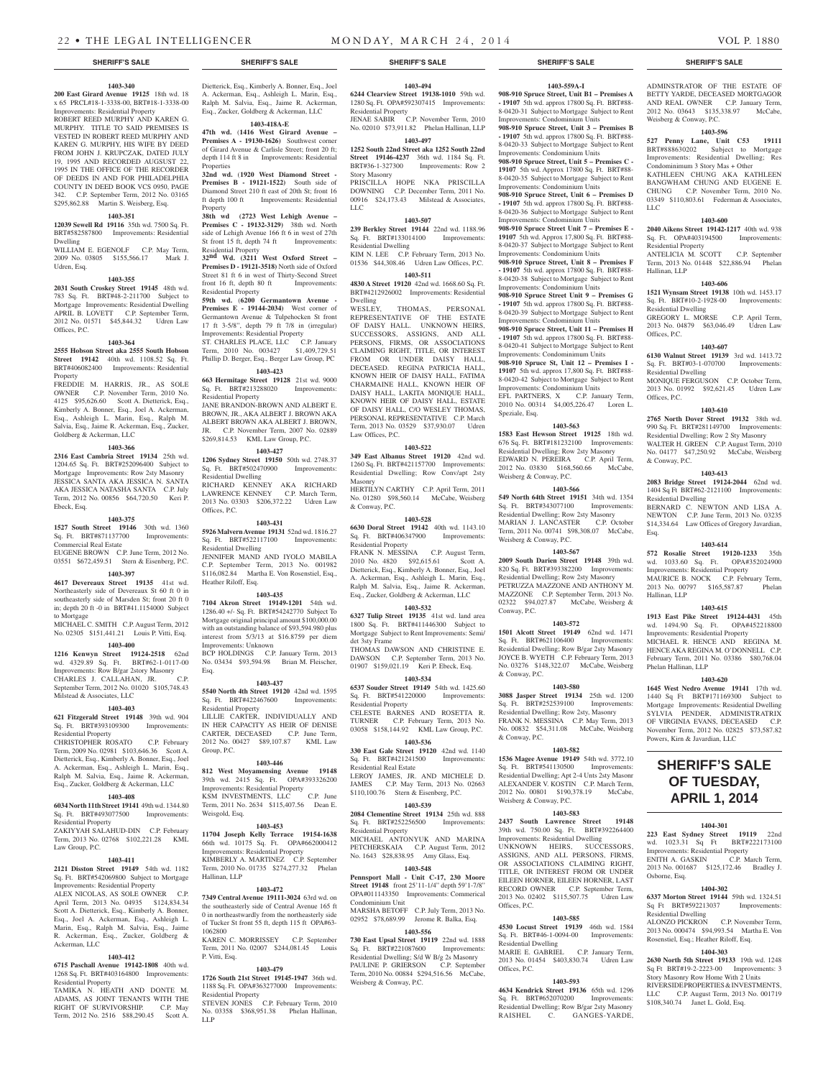#### **SHERIFF'S SALE SHERIFF'S SALE SHERIFF'S SALE SHERIFF'S SALE SHERIFF'S SALE**

#### **1403-340**

**200 East Girard Avenue 19125** 18th wd. 18 x 65 PRCL#18-1-3338-00, BRT#18-1-3338-00 Improvements: Residential Property

ROBERT REED MURPHY AND KAREN G. MURPHY. TITLE TO SAID PREMISES IS VESTED IN ROBERT REED MURPHY AND KAREN G. MURPHY, HIS WIFE BY DEED FROM JOHN J. KRUPCZAK, DATED JULY 19, 1995 AND RECORDED AUGSUST 22, 1995 IN THE OFFICE OF THE RECORDER OF DEEDS IN AND FOR PHILADELPHIA COUNTY IN DEED BOOK VCS 0950, PAGE 342. C.P. September Term, 2012 No. 03165 \$295,862.88 Martin S. Weisberg, Esq.

### **1403-351**

**12039 Sewell Rd 19116** 35th wd. 7500 Sq. Ft. BRT#582587800 Improvements: Residential Dwelling

WILLIAM E. EGENOLF C.P. May Term, 2009 No. 03805 \$155,566.17 Mark J. Udren, Esq.

#### **1403-355**

**2031 South Croskey Street 19145** 48th wd. 783 Sq. Ft. BRT#48-2-211700 Subject to Mortgage Improvements: Residential Dwelling APRIL B. LOVETT C.P. September Term, 2012 No. 01571 \$45,844.32 Udren Law Offices, P.C.

#### **1403-364**

**2555 Hobson Street aka 2555 South Hobson Street 19142** 40th wd. 1108.52 Sq. Ft. BRT#406082400 Improvements: Residential Property

FREDDIE M. HARRIS, JR., AS SOLE OWNER C.P. November Term, 2010 No. 4125 \$95,626.60 Scott A. Dietterick, Esq., Kimberly A. Bonner, Esq., Joel A. Ackerman, Esq., Ashleigh L. Marin, Esq., Ralph M. Salvia, Esq., Jaime R. Ackerman, Esq., Zucker, Goldberg & Ackerman, LLC

#### **1403-366**

**2316 East Cambria Street 19134** 25th wd. 1204.65 Sq. Ft. BRT#252096400 Subject to Mortgage Improvements: Row 2sty Masonry JESSICA SANTA AKA JESSICA N. SANTA AKA JESSICA NATASHA SANTA C.P. July Term, 2012 No. 00856 \$64,720.50 Keri P. Ebeck, Esq.

#### **1403-375**

**1527 South Street 19146** 30th wd. 1360<br>Sq. Ft. BRT#871137700 Improvements: Sq. Ft. BRT#871137700 Commercial Real Estate EUGENE BROWN C.P. June Term, 2012 No.

## 03551 \$672,459.51 Stern & Eisenberg, P.C. **1403-397**

#### **4617 Devereaux Street 19135** 41st wd.

Northeasterly side of Devereaux St 60 ft 0 in southeasterly side of Marsden St; front 20 ft 0 in; depth 20 ft -0 in BRT#41.1154000 Subject to Mortgage MICHAEL C. SMITH C.P. August Term, 2012

No. 02305 \$151,441.21 Louis P. Vitti, Esq. **1403-400**

**1216 Kenwyn Street 19124-2518** 62nd wd. 4329.89 Sq. Ft. BRT#62-1-0117-00 Improvements: Row B/gar 2story Masonry CHARLES J. CALLAHAN, JR. C.P. September Term, 2012 No. 01020 \$105,748.43 Milstead & Associates, LLC

#### **1403-403**

**621 Fitzgerald Street 19148** 39th wd. 904 Sq. Ft. BRT#393109300 Improvements: Residential Property

CHRISTOPHER ROSATO C.P. February Term, 2009 No. 02981 \$103,646.36 Scott A. Dietterick, Esq., Kimberly A. Bonner, Esq., Joel A. Ackerman, Esq., Ashleigh L. Marin, Esq., Ralph M. Salvia, Esq., Jaime R. Ackerman, Esq., Zucker, Goldberg & Ackerman, LLC

#### **1403-408**

**6034 North 11th Street 19141** 49th wd. 1344.80 Sq. Ft. BRT#493077500 Improvements: Residential Property

ZAKIYYAH SALAHUD-DIN C.P. February Term, 2013 No. 02768 \$102,221.28 KML Law Group, P.C.

### **1403-411**

**2121 Disston Street 19149** 54th wd. 1182 Sq. Ft. BRT#542069800 Subject to Mortgage Improvements: Residential Property ALEX NICOLAS, AS SOLE OWNER C.P.

April Term, 2013 No. 04935 \$124,834.34 Scott A. Dietterick, Esq., Kimberly A. Bonner, Esq., Joel A. Ackerman, Esq., Ashleigh L. Marin, Esq., Ralph M. Salvia, Esq., Jaime R. Ackerman, Esq., Zucker, Goldberg & Ackerman, LLC

#### **1403-412**

**6715 Paschall Avenue 19142-1808** 40th wd. 1268 Sq. Ft. BRT#403164800 Improvements: Residential Property

TAMIKA N. HEATH AND DONTE M. ADAMS, AS JOINT TENANTS WITH THE RIGHT OF SURVIVORSHIP. C.P. May Term, 2012 No. 2516 \$88,290.45 Scott A.

Dietterick, Esq., Kimberly A. Bonner, Esq., Joel A. Ackerman, Esq., Ashleigh L. Marin, Esq., Ralph M. Salvia, Esq., Jaime R. Ackerman, Esq., Zucker, Goldberg & Ackerman, LLC **1403-418A-E**

**47th wd.** (**1416 West Girard Avenue –**  Premises A - 19130-1626) Southwest corner of Girard Avenue & Carlisle Street; front 20 ft; depth 114 ft 8 in Improvements: Residential

**Properties 32nd wd.** (**1920 West Diamond Street - Premises B** - 19121-1522) South side of Diamond Street 210 ft east of 20th St; front 16 ft depth 100 ft Improvements: Residential Property

**38th wd (2723 West Lehigh Avenue – Premises C - 19132-3129)** 38th wd. North side of Lehigh Avenue 166 ft 6 in west of 27th St front 15 ft, depth 74 ft Improvements: Residential Property

**32nd Wd. (3211 West Oxford Street – Premises D - 19121-3518)** North side of Oxford Street 81 ft 6 in west of Thirty-Second Street front 16 ft, depth 80 ft Improvements: Residential Property

**59th wd.** (**6200 Germantown Avenue - Premises E - 19144-2034)** West corner of Germantown Avenue & Tulpehocken St front 17 ft 3-5/8", depth 79 ft 7/8 in (irregular) Improvements: Residential Property ST. CHARLES PLACE, LLC C.P. January Term, 2010 No. 003427 \$1,409,729.51 Phillip D. Berger, Esq., Berger Law Group, PC

# **1403-423 663 Hermitage Street 19128** 21st wd. 9000

Sq. Ft. BRT#213288020 Improvements: Residential Property JANE BRANDON-BROWN AND ALBERT E. BROWN, JR., AKA ALBERT J. BROWN AKA

ALBERT BROWN AKA ALBERT J. BROWN, JR. C.P. November Term, 2007 No. 02889 \$269,814.53 KML Law Group, P.C. **1403-427**

**1206 Sydney Street 19150** 50th wd. 2748.37 Sq. Ft. BRT#502470900 Improvements: Residential Dwelling RICHARD KENNEY AKA RICHARD

LAWRENCE KENNEY C.P. March Term, 2013 No. 03303 \$206,372.22 Udren Law Offices, P.C. **1403-431**

**5926 Malvern Avenue 19131** 52nd wd. 1816.27<br> **Sq. Ft. BRT#522117100** Improvements: Sq. Ft. BRT#522117100 Residential Dwelling JENNIFER MAND AND IYOLO MABILA

C.P. September Term, 2013 No. 001982 \$116,082.84 Martha E. Von Rosenstiel, Esq., Heather Riloff, Esq. **1403-435**

#### **7104 Akron Street 19149-1201** 54th wd.

1286.40 +/- Sq. Ft. BRT#54242770 Subject To Mortgage original principal amount \$100,000.00 with an outstanding balance of \$93,594.980 plus interest from 5/3/13 at \$16.8759 per diem Improvements: Unknown BCP HOLDINGS C.P. January Term, 2013

No. 03434 \$93,594.98 Brian M. Fleischer, Esq. **1403-437**

**5540 North 4th Street 19120** 42nd wd. 1595 Sq. Ft. BRT#422467600 Improvements: Residential Property

LILLIE CARTER, INDIVIDUALLY AND IN HER CAPACITY AS HEIR OF DENISE CARTER, DECEASED C.P. June Term, 2012 No. 00427 \$89,107.87 KML Law Group, P.C.

### **1403-446**

**812 West Moyamensing Avenue 19148**  39th wd. 2415 Sq. Ft. OPA#393326200 Improvements: Residential Property KSM INVESTMENTS, LLC C.P. June

Term, 2011 No. 2634 \$115,407.56 Dean E. Weisgold, Esq. **1403-453**

**11704 Joseph Kelly Terrace 19154-1638**  66th wd. 10175 Sq. Ft. OPA#662000412

Improvements: Residential Property KIMBERLY A. MARTINEZ C.P. September Term, 2010 No. 01735 \$274,277.32 Phelan Hallinan, LLP

# **1403-472**

**7349 Central Avenue 19111-3024** 63rd wd. on the southeasterly side of Central Avenue 165 ft 0 in northeastwardly from the northeasterly side of Tucker St front 55 ft, depth 115 ft OPA#63- 1062800 KAREN C. MORRISSEY C.P. September

Term, 2011 No. 02007 \$244,081.45 Louis P. Vitti, Esq.

#### **1403-479 1726 South 21st Street 19145-1947** 36th wd.

1188 Sq. Ft. OPA#363277000 Improvements: Residential Property STEVEN JONES C.P. February Term, 2010 No. 03358 \$368,951.38 Phelan Hallinan, LLP

# **1403-494**

**6244 Clearview Street 19138-1010** 59th wd. 1280 Sq. Ft. OPA#592307415 Improvements: Residential Property JENAE SABIR C.P. November Term, 2010 No. 02010 \$73,911.82 Phelan Hallinan, LLP

**1403-497**

**1252 South 22nd Street aka 1252 South 22nd Street 19146-4237** 36th wd. 1184 Sq. Ft. BRT#36-1-327300 Improvements: Row 2 Story Masonry PRISCILLA HOPE NKA PRISCILLA

DOWNING C.P. December Term, 2011 No. 00916 \$24,173.43 Milstead & Associates, LLC **1403-507**

**239 Berkley Street 19144** 22nd wd. 1188.96 Sq. Ft. BRT#133014100 Improvements: Residential Dwelling KIM N. LEE C.P. February Term, 2013 No.

01536 \$44,308.46 Udren Law Offices, P.C. **1403-511**

**4830 A Street 19120** 42nd wd. 1668.60 Sq. Ft. BRT#4212926002 Improvements: Residential Dwelling<br>WESLEY.

THOMAS, PERSONAL REPRESENTATIVE OF THE ESTATE OF DAISY HALL. UNKNOWN HEIRS, SUCCESSORS, ASSIGNS, AND ALL PERSONS, FIRMS, OR ASSOCIATIONS CLAIMING RIGHT, TITLE, OR INTEREST FROM OR UNDER DAISY HALL, DECEASED. REGINA PATRICIA HALL, KNOWN HEIR OF DAISY HALL, FATIMA CHARMAINE HALL, KNOWN HEIR OF DAISY HALL, LAKITA MONIQUE HALL, KNOWN HEIR OF DAISY HALL, ESTATE OF DAISY HALL, C/O WESLEY THOMAS, PERSONAL REPRESENTATIVE C.P. March Term, 2013 No. 03529 \$37,930.07 Udren Law Offices, P.C.

# **1403-522**

**349 East Albanus Street 19120** 42nd wd. 1260 Sq. Ft. BRT#421157700 Improvements: Residential Dwelling; Row Conv/apt 2sty Masonry HERTILYN CARTHY C.P. April Term, 2011

No. 01280 \$98,560.14 McCabe, Weisberg & Conway, P.C. **1403-528**

**6630 Doral Street 19142** 40th wd. 1143.10<br>Sq. Ft. BRT#406347900 Improvements:  $Sq. \; Ft. \; BRT#406347900$ Residential Property

FRANK N. MESSINA C.P. August Term, 2010 No. 4820 \$92,615.61 Scott A. Dietterick, Esq., Kimberly A. Bonner, Esq., Joel A. Ackerman, Esq., Ashleigh L. Marin, Esq., Ralph M. Salvia, Esq., Jaime R. Ackerman, Esq., Zucker, Goldberg & Ackerman, LLC

#### **1403-532**

**6327 Tulip Street 19135** 41st wd. land area 1800 Sq. Ft. BRT#411446300 Subject to Mortgage Subject to Rent Improvements: Semi/ det 3sty Frame THOMAS DAWSON AND CHRISTINE E. DAWSON C.P. September Term, 2013 No.

01907 \$159,021.19 Keri P. Ebeck, Esq. **1403-534**

**6537 Souder Street 19149** 54th wd. 1425.60 Sq. Ft. BRT#541220000 Improvements: Residential Property CELESTE BARNES AND ROSETTA R. TURNER C.P. February Term, 2013 No. 03058 \$158,144.92 KML Law Group, P.C.

**1403-536 330 East Gale Street 19120** 42nd wd. 1140 Sq. Ft. BRT#421241500 Improvements: Residential Real Estate LEROY JAMES, JR. AND MICHELE D.

JAMES C.P. May Term, 2013 No. 02663 \$110,100.76 Stern & Eisenberg, P.C. **1403-539**

**2084 Clementine Street 19134** 25th wd. 888 Sq. Ft. BRT#252256500 Residential Property MICHAEL ANTONYUK AND MARINA PETCHERSKAIA C.P. August Term, 2012 No. 1643 \$28,838.95 Amy Glass, Esq.

#### **1403-548**

**Pennsport Mall - Unit C-17, 230 Moore Street 19148** front 25'11-1/4" depth 59'1-7/8" OPA#011143350 Improvements: Commerical Condominium Unit MARSHA BETOFF C.P. July Term, 2013 No.

02952 \$78,689.99 Jerome R. Balka, Esq. **1403-556**

**730 East Upsal Street 19119** 22nd wd. 1888 Sq. Ft. BRT#221087600 Improvements: Residential Dwelling; S/d W B/g 2s Masonry PAULINE P. GRIERSON C.P. September Term, 2010 No. 00884 \$294,516.56 McCabe, Weisberg & Conway, P.C.

#### **1403-559A-I**

**908-910 Spruce Street, Unit B1 – Premises A - 19107** 5th wd. approx 17800 Sq. Ft. BRT#88- 8-0420-31 Subject to Mortgage Subject to Rent Improvements: Condominium Units

ADMINSTRATOR OF THE ESTATE OF BETTY YARDE, DECEASED MORTGAGOR AND REAL OWNER C.P. January Term, 2012 No. 03643 \$135,338.97 McCabe,

**1403-596 527 Penny Lane, Unit C53 19111**  BRT#888630202 Subject to Mortgage Improvements: Residential Dwelling; Res Condominimum 3 Story Mas + Other KATHLEEN CHUNG AKA KATHLEEN BANGWHAM CHUNG AND EUGENE E. CHUNG C.P. November Term, 2010 No. 03349 \$110,803.61 Federman & Associates,

**1403-600 2040 Aikens Street 19142-1217** 40th wd. 938 Sq. Ft. OPA#403194500 Improvements:

ANTELICIA M. SCOTT C.P. September Term, 2013 No. 01448 \$22,886.94 Phelan

**1403-606 1521 Wynsam Street 19138** 10th wd. 1453.17 Sq. Ft. BRT#10-2-1928-00 Improvements:

GREGORY L. MORSE C.P. April Term, 2013 No. 04879 \$63,046.49 Udren Law

**1403-607 6130 Walnut Street 19139** 3rd wd. 1413.72 Sq. Ft. BRT#03-1-070700 Improvements:

MONIQUE FERGUSON C.P. October Term, 2013 No. 01992 \$92,621.45 Udren Law

**1403-610 2765 North Dover Street 19132** 38th wd. 990 Sq. Ft. BRT#281149700 Improvements: Residential Dwelling; Row 2 Sty Masonry WALTER H. GREEN C.P. August Term, 2010 No. 04177 \$47,250.92 McCabe, Weisberg

**1403-613 2083 Bridge Street 19124-2044** 62nd wd. 1404 Sq Ft BRT#62-2121100 Improvements:

BERNARD C. NEWTON AND LISA A. NEWTON C.P. June Term, 2013 No. 03235 \$14,334.64 Law Offices of Gregory Javardian,

**1403-614 572 Rosalie Street 19120-1233** 35th wd. 1033.60 Sq. Ft. OPA#352024900 Improvements: Residential Property

MAURICE B. NOCK C.P. February Term,<br>2013 No. 00797 \$165.587.87 Phelan 2013 No. 00797 \$165,587.87

**1403-615 1913 East Pike Street 19124-4431** 45th wd. 1494.90 Sq. Ft. OPA#452218800 Improvements: Residential Property MICHAEL R. HENCE AND REGINA M. HENCE AKA REGINA M. O'DONNELL C.P. February Term, 2011 No. 03386 \$80,768.04

**1403-620 1645 West Nedro Avenue 19141** 17th wd. 1440 Sq Ft BRT#171169300 Subject to Mortgage Improvements: Residential Dwelling SYLVIA PENDER, ADMINISTRATRIX OF VIRGINIA EVANS, DECEASED C.P. November Term, 2012 No. 02825 \$73,587.82

**SHERIFF'S SALE OF TUESDAY, April 1, 2014**

**1404-301 223 East Sydney Street 19119** 22nd wd. 1023.31 Sq Ft BRT#222173100 Improvements: Residential Property<br>ENITH A. GASKIN C.P. March Term,

2013 No. 001687 \$125,172.46 Bradley J.

**1404-302 6337 Morton Street 19144** 59th wd. 1324.51 Sq Ft BRT#592213037 Improvements:

ALONZO PICKRON C.P. November Term, 2013 No. 000474 \$94,993.54 Martha E. Von Rosenstiel, Esq.; Heather Riloff, Esq. **1404-303 2630 North 5th Street 19133** 19th wd. 1248 Sq Ft BRT#19-2-2223-00 Improvements: 3 Story Masonry Row Home With 2 Units RIVERSIDE PROPERTIES & INVESTMENTS, LLC C.P. August Term, 2013 No. 001719 \$108,340.74 Janet L. Gold, Esq.

Weisberg & Conway, P.C.

LLC

Residential Property

Residential Dwelling

Residential Dwelling

Hallinan, LLP

Offices, P.C.

Offices, P.C.

& Conway, P.C.

Residential Dwelling

Esq.

Hallinan, LLP

Phelan Hallinan, LLP

Powers, Kirn & Javardian, LLC

ENITH A. GASKIN

Residential Dwelling

Osborne, Esq.

**908-910 Spruce Street, Unit 3 – Premises B - 19107** 5th wd. approx 17800 Sq. Ft. BRT#88- 8-0420-33 Subject to Mortgage Subject to Rent Improvements: Condominium Units

**908-910 Spruce Street, Unit 5 – Premises C - 19107** 5th wd. Approx 17800 Sq. Ft. BRT#88- 8-0420-35 Subject to Mortgage Subject to Rent

Improvements: Condominium Units **908-910 Spruce Street, Unit 6 – Premises D - 19107** 5th wd. approx 17800 Sq. Ft. BRT#88- 8-0420-36 Subject to Mortgage Subject to Rent Improvements: Condominium Units

**908-910 Spruce Street Unit 7 – Premises E - 19107** 5th wd. Approx 17,800 Sq. Ft. BRT#88- 8-0420-37 Subject to Mortgage Subject to Rent Improvements: Condominium Units

**908-910 Spruce Street, Unit 8 – Premises F - 19107** 5th wd. approx 17800 Sq. Ft. BRT#88- 8-0420-38 Subject to Mortgage Subject to Rent Improvements: Condominium Units **908-910 Spruce Street Unit 9 – Premises G** 

**- 19107** 5th wd. approx 17800 Sq. Ft. BRT#88- 8-0420-39 Subject to Mortgage Subject to Rent Improvements: Condominium Units

**908-910 Spruce Street, Unit 11 – Premises H - 19107** 5th wd. approx 17800 Sq. Ft. BRT#88- 8-0420-41 Subject to Mortgage Subject to Rent Improvements: Condominimum Units

**908-910 Spruce St, Unit 12 – Premises I - 19107** 5th wd. approx 17,800 Sq. Ft. BRT#88- 8-0420-42 Subject to Mortgage Subject to Rent Improvements: Condominium Units EFL PARTNERS, X C.P. January Term, 2010 No. 00314 \$4,005,226.47 Loren L.

**1403-563 1583 East Hewson Street 19125** 18th wd. 676 Sq. Ft. BRT#181232100 Improvements: Residential Dwelling; Row 2sty Masonry EDWARD N. PEREIRA C.P. April Term, 2012 No. 03830 \$168,560.66 McCabe,

**1403-566 549 North 64th Street 19151** 34th wd. 1354<br>Sq. Ft. BRT#343077100 Improvements:

**1403-567 2009 South Darien Street 19148** 39th wd. 820 Sq. Ft. BRT#393382200 Improvements: Residential Dwelling; Row 2sty Masonry PETRUZZA MAZZONE AND ANTHONY M. MAZZONE C.P. September Term, 2013 No. 02322 \$94,027.87 McCabe, Weisberg &

**1403-572 1501 Alcott Street 19149** 62nd wd. 1471 Sq. Ft. BRT#621106400 Improvements: Residential Dwelling; Row B/gar 2sty Masonry JOYCE B. WYETH C.P. February Term, 2013 No. 03276 \$148,322.07 McCabe, Weisberg

**1403-580 3088 Jasper Street 19134** 25th wd. 1200<br>Sq. Ft. BRT#252539100 Improvements:

**1403-582 1536 Magee Avenue 19149 54th wd. 3772.10** Sq. Ft. BRT#541130500 Improvements:

Residential Dwelling; Apt 2-4 Unts 2sty Masonr ALEXANDER V. KOSTIN C.P. March Term, 2012 No. 00801 \$190,378.19 McCabe.

**1403-583 2437 South Lawrence Street 19148**  39th wd. 750.00 Sq. Ft. BRT#392264400 Improvements: Residential Dwelling UNKNOWN HEIRS, SUCCESSORS, ASSIGNS, AND ALL PERSONS, FIRMS, OR ASSOCIATIONS CLAIMING RIGHT, TITLE, OR INTEREST FROM OR UNDER EILEEN HORNER, EILEEN HORNER, LAST RECORD OWNER C.P. September Term, 2013 No. 02402 \$115,507.75 Udren Law

**1403-585 4530 Locust Street 19139** 46th wd. 1584 Sq. Ft. BRT#46-1-0094-00 Improvements:

MARIE E. GABRIEL C.P. January Term, 2013 No. 01454 \$403,830.74 Udren Law

**1403-593 4634 Kendrick Street 19136** 65th wd. 1296 Sq. Ft. BRT#652070200 Improvements: Residential Dwelling; Row B/gar 2sty Masonry RAISHEL C. GANGES-YARDE,

Speziale, Esq.

Weisberg & Conway, P.C.

Sq. Ft. BRT#343077100 Residential Dwelling; Row 2sty Masonry MARIAN J. LANCASTER C.P. October Term, 2011 No. 00741 \$98,308.07 McCabe,

Weisberg & Conway, P.C.

Conway, P.C.

& Conway, P.C.

& Conway, P.C.

Offices, P.C.

Offices, P.C.

Residential Dwelling

Sq. Ft. BRT#252539100 Residential Dwelling; Row 2sty, Masonry FRANK N. MESSINA C.P. May Term, 2013 No. 00832 \$54,311.08 McCabe, Weisberg

Sq. Ft. BRT#541130500

Weisberg & Conway, P.C.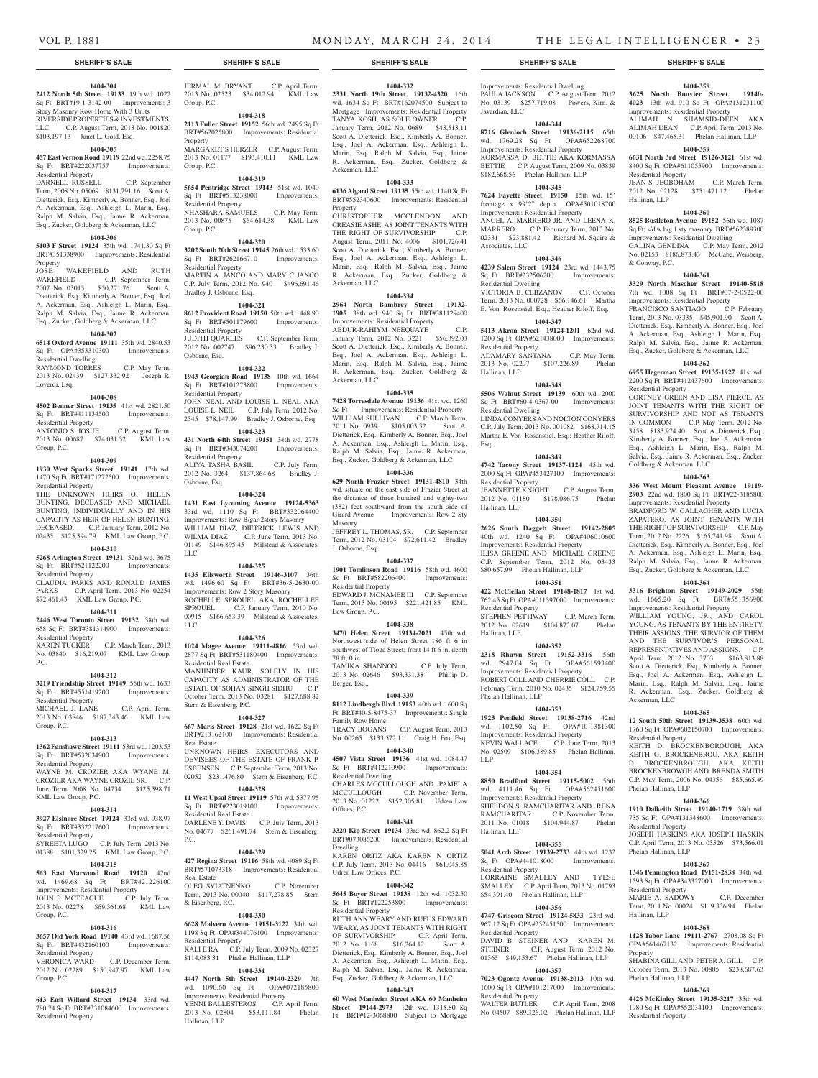Residential Property

Hallinan, LLP

& Conway, P.C.

Residential Property

Goldberg & Ackerman, LLC

Ackerman, LLC

Residential Property

Phelan Hallinan, LLP

Residential Property

Phelan Hallinan, LLP

Residential Property MARIE A. SADOWY

Phelan Hallinan, LLP

Residential Property

Hallinan, LLP

Property

**1404-365 12 South 50th Street 19139-3538** 60th wd. 1760 Sq Ft OPA#602150700 Improvements:

KEITH D. BROCKENBOROUGH, AKA KEITH G. BROCKENBROU, AKA KEITH D. BROCKENBROUGH, AKA KEITH BROCKENBROWGH AND BRENDA SMITH C.P. May Term, 2006 No. 04356 \$85,665.49

**1404-366 1910 Dalkeith Street 19140-1719** 38th wd. 735 Sq Ft OPA#131348600 Improvements:

JOSEPH HASKINS AKA JOSEPH HASKIN C.P. April Term, 2013 No. 03526 \$73,566.01

**1404-367 1346 Pennington Road 19151-2838** 34th wd. 1593 Sq Ft OPA#343327000 Improvements:

Term, 2011 No. 00024 \$119,336.94 Phelan

**1404-368 1128 Tabor Lane 19111-2767** 2708.08 Sq Ft OPA#561467132 Improvements: Residential

SHABINA GILL AND PETER A. GILL C.P. October Term, 2013 No. 00805 \$238,687.63

**1404-369 4426 McKinley Street 19135-3217** 35th wd. 1980 Sq Ft OPA#552034100 Improvements:

**1404-358 3625 North Bouvier Street 19140- 4023** 13th wd. 910 Sq Ft OPA#131231100 Improvements: Residential Property ALIMAH N. SHAMSID-DEEN AKA ALIMAH DEAN C.P. April Term, 2013 No. 00106 \$47,465.31 Phelan Hallinan, LLP **1404-359 6631 North 3rd Street 19126-3121** 61st wd. 8400 Sq Ft OPA#611055900 Improvements:

JEAN S. JEOBOHAM C.P. March Term, 2012 No. 02128 \$251,471.12 Phelan

**1404-360 8525 Bustleton Avenue 19152** 56th wd. 1087 Sq Ft; s/d w b/g 1 sty masonry BRT#562389300 Improvements: Residential Dwelling GALINA GENDINA C.P. May Term, 2012 No. 02153 \$186,873.43 McCabe, Weisberg,

**1404-361 3329 North Mascher Street 19140-5818**  7th wd. 1008 Sq Ft BRT#07-2-0522-00 Improvements: Residential Property FRANCISCO SANTIAGO C.P. February Term, 2013 No. 03335 \$45,901.90 Scott A. Dietterick, Esq., Kimberly A. Bonner, Esq., Joel A. Ackerman, Esq., Ashleigh L. Marin, Esq., Ralph M. Salvia, Esq., Jaime R. Ackerman, Esq., Zucker, Goldberg & Ackerman, LLC **1404-362 6955 Hegerman Street 19135-1927** 41st wd. 2200 Sq Ft BRT#412437600 Improvements:

CORTNEY GREEN AND LISA PIERCE, AS JOINT TENANTS WITH THE RIGHT OF SURVIVORSHIP AND NOT AS TENANTS IN COMMON C.P. May Term, 2012 No. 3458 \$183,974.40 Scott A. Dietterick, Esq., Kimberly A. Bonner, Esq., Joel A. Ackerman, Esq., Ashleigh L. Marin, Esq., Ralph M. Salvia, Esq., Jaime R. Ackerman, Esq., Zucker,

**1404-363 336 West Mount Pleasant Avenue 19119- 2903** 22nd wd. 1800 Sq Ft BRT#22-3185800 Improvements: Residential Property BRADFORD W. GALLAGHER AND LUCIA ZAPATERO, AS JOINT TENANTS WITH THE RIGHT OF SURVIVORSHIP C.P. May Term, 2012 No. 2226 \$165,741.98 Scott A. Dietterick, Esq., Kimberly A. Bonner, Esq., Joel A. Ackerman, Esq., Ashleigh L. Marin, Esq., Ralph M. Salvia, Esq., Jaime R. Ackerman, Esq., Zucker, Goldberg & Ackerman, LLC **1404-364 3316 Brighton Street 19149-2029** 55th wd. 1665.20 Sq Ft BRT#551356900 Improvements: Residential Property WILLIAM YOUNG, JR., AND CAROL YOUNG, AS TENANTS BY THE ENTIRETY, THEIR ASSIGNS, THE SURVIOR OF THEM AND THE SURVIVOR'S PERSONAL REPRESENTATIVES AND ASSIGNS. C.P. April Term, 2012 No. 3703 \$163,813.88 Scott A. Dietterick, Esq., Kimberly A. Bonner, Esq., Joel A. Ackerman, Esq., Ashleigh L. Marin, Esq., Ralph M. Salvia, Esq., Jaime R. Ackerman, Esq., Zucker, Goldberg &

JERMAL M. BRYANT C.P. April Term, 2013 No. 02523 \$34,012.94 KML Law

**1404-318 2113 Fuller Street 19152** 56th wd. 2495 Sq Ft BRT#562025800 Improvements: Residential

MARGARET S HERZER C.P. August Term, 2013 No. 01177 \$193,410.11 KML Law

**1404-319 5654 Pentridge Street 19143** 51st wd. 1040 Sq Ft BRT#513238000 Improvements:

NHASHARA SAMUELS C.P. May Term, 2013 No. 00875 \$64,614.38 KML Law

**1404-320 3202 South 20th Street 19145** 26th wd. 1533.60 Sq Ft BRT#262166710 Improvements:

MARTIN A. JANCO AND MARY C JANCO C.P. July Term, 2012 No. 940 \$496,691.46

**1404-321 8612 Provident Road 19150** 50th wd. 1448.90 Sq Ft BRT#501179600 Improvements:

JUDITH QUARLES C.P. September Term, 2012 No. 002747 \$96,230.33 Bradley J.

**1404-322 1943 Georgian Road 19138** 10th wd. 1664 Sq Ft BRT#101273800 Improvements:

JOHN NEAL AND LOUISE L. NEAL AKA LOUISE L. NEIL C.P. July Term, 2012 No. 2345 \$78,147.99 Bradley J. Osborne, Esq. **1404-323 431 North 64th Street 19151** 34th wd. 2778 Sq Ft BRT#343074200 Improvements:

ALIYA TASHA BASIL C.P. July Term, 2012 No. 3264 \$137,864.68 Bradley J.

**1404-324 1431 East Lycoming Avenue 19124-5363**  33rd wd. 1110 Sq Ft BRT#332064400 Improvements: Row B/gar 2story Masonry WILLIAM DIAZ, DIETRICK LEWIS AND WILMA DIAZ C.P. June Term, 2013 No. 01149 \$146,895.45 Milstead & Associates,

**1404-325 1435 Ellsworth Street 19146-3107** 36th wd. 1496.60 Sq Ft BRT#36-5-2630-00 Improvements: Row 2 Story Masonry ROCHELLE SPROUEL AKA ROCHELLEE SPROUEL C.P. January Term, 2010 No. 00915 \$166,653.39 Milstead & Associates,

**1404-326 1024 Magee Avenue 19111-4816** 53rd wd. 2877 Sq Ft BRT#531180400 Improvements:

MANJINDER KAUR, SOLELY IN HIS CAPACITY AS ADMINISTRATOR OF THE ESTATE OF SOHAN SINGH SIDHU C.P. October Term, 2013 No. 03281 \$127,688.82

**1404-327 667 Maris Street 19128** 21st wd. 1622 Sq Ft BRT#213162100 Improvements: Residential

UNKNOWN HEIRS, EXECUTORS AND DEVISEES OF THE ESTATE OF FRANK P. ESBENSEN C.P. September Term, 2013 No. 02052 \$231,476.80 Stern & Eisenberg, P.C. **1404-328 11 West Upsal Street 19119** 57th wd. 5377.95 Sq Ft BRT#223019100 Improvements:

DARLENE Y. DAVIS C.P. July Term, 2013 No. 04677 \$261,491.74 Stern & Eisenberg,

**1404-329 427 Regina Street 19116** 58th wd. 4089 Sq Ft BRT#571073318 Improvements: Residential

OLEG SVIATNENKO C.P. November Term, 2013 No. 00040 \$117,278.85 Stern

**1404-330 6628 Malvern Avenue 19151-3122** 34th wd. 1198 Sq Ft OPA#344076100 Improvements:

YENNI BALLESTEROS C.P. April Term,<br>2013 No. 02804 \$53.111.84 Phelan 2013 No. 02804 \$53,111.84

\$114,083.31 Phelan Hallinan, LLP **1404-331 4447 North 5th Street 19140-2329** 7th wd. 1090.60 Sq Ft OPA#072185800 Improvements: Residential Property

Group, P.C.

Property

Group, P.C.

 $G$ roup, P.C.

Residential Property

Residential Property

Bradley J. Osborne, Esq.

Residential Property

Residential Property

Residential Property

Osborne, Esq.

LLC

LLC

Residential Real Estate

Stern & Eisenberg, P.C.

Residential Real Estate

Real Estate

P.C.

Real Estate

& Eisenberg, P.C.

Hallinan, LLP

Osborne, Esq.

#### **1404-304**

**2412 North 5th Street 19133** 19th wd. 1022 Sq Ft BRT#19-1-3142-00 Improvements: 3 Story Masonry Row Home With 3 Units RIVERSIDE PROPERTIES & INVESTMENTS, LLC C.P. August Term, 2013 No. 001820

## \$103,197.13 Janet L. Gold, Esq. **1404-305**

### **457 East Vernon Road 19119** 22nd wd. 2258.75 Sq Ft BRT#222037757 Improvements:

Residential Property DARNELL RUSSELL C.P. September Term, 2008 No. 05069 \$131,791.16 Scott A. Dietterick, Esq., Kimberly A. Bonner, Esq., Joel A. Ackerman, Esq., Ashleigh L. Marin, Esq., Ralph M. Salvia, Esq., Jaime R. Ackerman, Esq., Zucker, Goldberg & Ackerman, LLC

#### **1404-306**

**5103 F Street 19124** 35th wd. 1741.30 Sq Ft BRT#351338900 Improvements: Residential Property

JOSE WAKEFIELD AND RUTH WAKEFIELD C.P. September Term, 2007 No. 03013 \$50,271.76 Scott A. Dietterick, Esq., Kimberly A. Bonner, Esq., Joel A. Ackerman, Esq., Ashleigh L. Marin, Esq., Ralph M. Salvia, Esq., Jaime R. Ackerman, Esq., Zucker, Goldberg & Ackerman, LLC

#### **1404-307**

**6514 Oxford Avenue 19111** 35th wd. 2840.53 Sq Ft OPA#353310300 Improvements: Residential Dwelling RAYMOND TORRES C.P. May Term,

2013 No. 02439 \$127,332.92 Joseph R. Loverdi, Esq.

#### **1404-308**

**4502 Benner Street 19135** 41st wd. 2821.50 Sq Ft BRT#411134500 Improvements:

Residential Property ANTONIO S. IOSUE C.P. August Term, 2013 No. 00687 \$74,031.32 KML Law Group, P.C.

#### **1404-309**

**1930 West Sparks Street 19141** 17th wd. 1470 Sq Ft BRT#171272500 Improvements: Residential Property THE UNKNOWN HEIRS OF HELEN BUNTING, DECEASED AND MICHAEL BUNTING, INDIVIDUALLY AND IN HIS

CAPACITY AS HEIR OF HELEN BUNTING, DECEASED. C.P. January Term, 2012 No. 02435 \$125,394.79 KML Law Group, P.C. **1404-310**

**5268 Arlington Street 19131** 52nd wd. 3675 Sq Ft BRT#521122200 Improvements: Residential Property CLAUDIA PARKS AND RONALD JAMES

PARKS C.P. April Term, 2013 No. 02254 \$72,461.43 KML Law Group, P.C. **1404-311**

#### **2446 West Toronto Street 19132** 38th wd.

658 Sq Ft BRT#381314900 Improvements: Residential Property KAREN TUCKER C.P. March Term, 2013

No. 03840 \$16,219.07 KML Law Group, P.C.

#### **1404-312**

**3219 Friendship Street 19149** 55th wd. 1633 Sq Ft BRT#551419200 Improvements: Residential Property<br>MICHAEL J. LANE C.P. April Term,

# 2013 No. 03846 \$187,343.46 KML Law Group, P.C.

# **1404-313**

**1362 Fanshawe Street 19111** 53rd wd. 1203.53 Sq Ft BRT#532034900 Improvements:

Residential Property WAYNE M. CROZIER AKA WYANE M. CROZIER AKA WAYNE CROZIE SR. C.P.

## June Term, 2008 No. 04734 \$125,398.71 KML Law Group, P.C.

**1404-314**

**3927 Elsinore Street 19124** 33rd wd. 938.97 Sq Ft BRT#332217600 Improvements: Residential Property SYREETA LUGO C.P. July Term, 2013 No.

# 01388 \$101,329.25 KML Law Group, P.C. **1404-315**

**563 East Marwood Road 19120** 42nd wd. 1469.68 Sq Ft BRT#421226100 Improvements: Residential Property OHN P. MCTEAGUE C.P. July 2013 No. 02278 \$69,361.68 KML Law Group, P.C.

#### **1404-316**

**3657 Old York Road 19140** 43rd wd. 1687.56 Sq Ft BRT#432160100 Improvements: Residential Property KALI E RA C.P. July Term, 2009 No. 02327

#### Residential Property VERONICA WARD C.P. December Term, 2012 No. 02289 \$150,947.97 KML Law

Group, P.C.

# **1404-317**

**613 East Willard Street 19134** 33rd wd. 780.74 Sq Ft BRT#331084600 Improvements: Residential Property

#### **SHERIFF'S SALE SHERIFF'S SALE SHERIFF'S SALE SHERIFF'S SALE SHERIFF'S SALE**

**1404-332 2331 North 19th Street 19132-4320** 16th wd. 1634 Sq Ft BRT#162074500 Subject to Mortgage Improvements: Residential Property TANYA KOSH, AS SOLE OWNER January Term, 2012 No. 0689 \$43,513.11 Scott A. Dietterick, Esq., Kimberly A. Bonner, Esq., Joel A. Ackerman, Esq., Ashleigh L. Marin, Esq., Ralph M. Salvia, Esq., Jaime R. Ackerman, Esq., Zucker, Goldberg & Ackerman, LLC

#### **1404-333**

**6136 Algard Street 19135** 55th wd. 1140 Sq Ft BRT#552340600 Improvements: Residential Property

CHRISTOPHER MCCLENDON AND CREASIE ASHE, AS JOINT TENANTS WITH THE RIGHT OF SURVIVORSHIP C.P. August Term, 2011 No. 4006 \$101,726.41 Scott A. Dietterick, Esq., Kimberly A. Bonner, Esq., Joel A. Ackerman, Esq., Ashleigh L. Marin, Esq., Ralph M. Salvia, Esq., Jaime R. Ackerman, Esq., Zucker, Goldberg & Ackerman, LLC

#### **1404-334**

**2964 North Bambrey Street 19132- 1905** 38th wd. 940 Sq Ft BRT#381129400 Improvements: Residential Property ABDUR-RAHIYM NEEQUAYE C.P.

January Term, 2012 No. 3221 \$56,392.03 Scott A. Dietterick, Esq., Kimberly A. Bonner, Esq., Joel A. Ackerman, Esq., Ashleigh L. Marin, Esq., Ralph M. Salvia, Esq., Jaime R. Ackerman, Esq., Zucker, Goldberg & Ackerman, LLC

#### **1404-335**

**7428 Torresdale Avenue 19136** 41st wd. 1260 Sq Ft Improvements: Residential Property WILLIAM SULLIVAN C.P. March Term, 2011 No. 0939 \$105,003.32 Scott A. Dietterick, Esq., Kimberly A. Bonner, Esq., Joel A. Ackerman, Esq., Ashleigh L. Marin, Esq., Ralph M. Salvia, Esq., Jaime R. Ackerman, Esq., Zucker, Goldberg & Ackerman, LLC

#### **1404-336**

**629 North Frazier Street 19131-4810** 34th wd. situate on the east side of Frazier Street at the distance of three hundred and eighty-two (382) feet southward from the south side of Girard Avenue Improvements: Row 2 Sty Masonry JEFFREY L. THOMAS, SR. C.P. September

Term, 2012 No. 03104 \$72,611.42 Bradley J. Osborne, Esq.

#### **1404-337**

**1901 Tomlinson Road 19116** 58th wd. 4600 Sq Ft BRT#582206400 Improvements: Residential Property EDWARD J. MCNAMEE III C.P. September Term, 2013 No. 00195 \$221,421.85 KML Law Group, P.C.

#### **1404-338**

**3470 Helen Street 19134-2021** 45th wd. Northwest side of Helen Street 186 ft 6 in southwest of Tioga Street; front 14 ft 6 in, depth 78 ft, 0 in TAMIKA SHANNON C.P. July Term, 2013 No. 02646 \$93,331.38 Phillip D. Berger, Esq.,

#### **1404-339**

**8112 Lindbergh Blvd 19153** 40th wd. 1600 Sq Ft BRT#40-5-8475-37 Improvements: Single Family Row Home TRACY BOGANS C.P. August Term, 2013 No. 00265 \$133,572.11 Craig H. Fox, Esq

**1404-340 4507 Vista Street 19136** 41st wd. 1084.47 Sq Ft BRT#412210900 Improvements: Residential Dwelling CHARLES MCCULLOUGH AND PAMELA

MCCULLOUGH C.P. November Term, 2013 No. 01222 \$152,305.81 Udren Law Offices, P.C.

# **1404-341**

**3320 Kip Street 19134** 33rd wd. 862.2 Sq Ft BRT#073086200 Improvements: Residential Dwelling

KAREN ORTIZ AKA KAREN N ORTIZ C.P. July Term, 2013 No. 04416 \$61,045.85 Udren Law Offices, P.C.

#### **1404-342**

**5645 Boyer Street 19138** 12th wd. 1032.50 Sq Ft BRT#122253800 Improvements: Residential Property

RUTH ANN WEARY AND RUFUS EDWARD WEARY, AS JOINT TENANTS WITH RIGHT OF SURVIVORSHIP C.P. April Term, 2012 No. 1168 \$16,264.12 Scott A. Dietterick, Esq., Kimberly A. Bonner, Esq., Joel A. Ackerman, Esq., Ashleigh L. Marin, Esq., Ralph M. Salvia, Esq., Jaime R. Ackerman, Esq., Zucker, Goldberg & Ackerman, LLC

#### **1404-343**

**60 West Manheim Street AKA 60 Manheim Street 19144-2973** 12th wd. 1315.80 Sq Ft BRT#12-3068800 Subject to Mortgage

Improvements: Residential Dwelling PAULA JACKSON C.P. August Term, 2012 No. 03139 \$257,719.08 Powers, Kirn, & Javardian, LLC

#### **1404-344**

**8716 Glenloch Street 19136-2115** 65th wd. 1769.28 Sq Ft OPA#652268700 Improvements: Residential Property KORMASSA D. BETTIE AKA KORMASSA BETTIE C.P. August Term, 2009 No. 03839 \$182,668.56 Phelan Hallinan, LLP

### **1404-345**

**7624 Fayette Street 19150** 15th wd. 15' frontage x 99'2" depth OPA#501018700 Improvements: Residential Property ANGEL A. MARRERO JR. AND LEENA K. MARRERO C.P. Feburary Term, 2013 No. 02331 \$23,881.42 Richard M. Squire & Associates, LLC

# **1404-346**

**4239 Salem Street 19124** 23rd wd. 1443.75 Sq Ft BRT#232506200 Improvements: Residential Dwelling VICTORIA B. CEBZANOV C.P. October Term, 2013 No. 000728 \$66,146.61 Martha E. Von Rosenstiel, Esq.; Heather Riloff, Esq.

#### **1404-347**

**5413 Akron Street 19124-1201** 62nd wd. 1200 Sq Ft OPA#621438000 Improvements: Residential Property ADAMARY SANTANA C.P. May Term, 2013 No. 02297 \$107,226.89 Phelan

Hallinan, LLP **1404-348 5506 Walnut Street 19139** 60th wd. 2000

Sq Ft BRT#60-4-0367-00 Improvements: Residential Dwelling

LINDA CONYERS AND NOLTON CONYERS C.P. July Term, 2013 No. 001082 \$168,714.15 Martha E. Von Rosenstiel, Esq.; Heather Riloff, Esq.

#### **1404-349**

**4742 Tacony Street 19137-1124** 45th wd. 2000 Sq Ft OPA#453427100 Improvements: Residential Property JEANNETTE KNIGHT C.P. August Term, 2012 No. 01180 \$178,086.75 Phelan

Hallinan, LLP

### **1404-350**

**2626 South Daggett Street 19142-2805**  40th wd. 1240 Sq Ft OPA#406010600 Improvements: Residential Property ILISA GREENE AND MICHAEL GREENE C.P. September Term, 2012 No. 03433 \$80,657.99 Phelan Hallinan, LLP

**1404-351**

#### **422 McClellan Street 19148-1817** 1st wd.

762.45 Sq Ft OPA#011397000 Improvements: Residential Property STEPHEN PETTIWAY C.P. March Term, 2012 No. 02619 \$104,873.07 Phelan Hallinan, LLP

#### **1404-352**

**2318 Rhawn Street 19152-3316** 56th wd. 2947.04 Sq Ft OPA#561593400 Improvements: Residential Property ROBERT COLL AND CHERRIE COLL C.P. February Term, 2010 No. 02435 \$124,759.55 Phelan Hallinan, LLP

# **1404-353**

**1923 Penfield Street 19138-2716** 42nd wd. 1102.50 Sq Ft OPA#10-1381300 Improvements: Residential Property<br>KEVIN WALLACE C.P. June 7 C.P. June Term, 2013 No. 02509 \$106,389.85 Phelan Hallinan, LLP

#### **1404-354**

**8850 Bradford Street 19115-5002** 56th wd. 4111.46 Sq Ft OPA#562451600 Improvements: Residential Property SHELDON S. RAMCHARITAR AND RENA<br>RAMCHARITAR C.P. November Term, C.P. November Term, 2011 No. 01018 \$104,944.87 Phelan Hallinan, LLP

#### **1404-355 5041 Arch Street 19139-2733** 44th wd. 1232 Sq Ft OPA#441018000 Improvements:

LORRAINE SMALLEY AND TYESE SMALLEY C.P. April Term, 2013 No. 01793 \$54,391.40 Phelan Hallinan, LLP **1404-356 4747 Griscom Street 19124-5833** 23rd wd. 967.12 Sq Ft OPA#232451500 Improvements:

DAVID B. STEINER AND KAREN M.<br>STEINER CP August Term 2012 No.

01365 \$49,153.67 Phelan Hallinan, LLP **1404-357 7023 Ogontz Avenue 19138-2013** 10th wd. 1600 Sq Ft OPA#101217000 Improvements:

WALTER BUTLER C.P. April Term, 2008 No. 04507 \$89,326.02 Phelan Hallinan, LLP

C.P. August Term, 2012 No.

Residential Property

Residential Property

Residential Property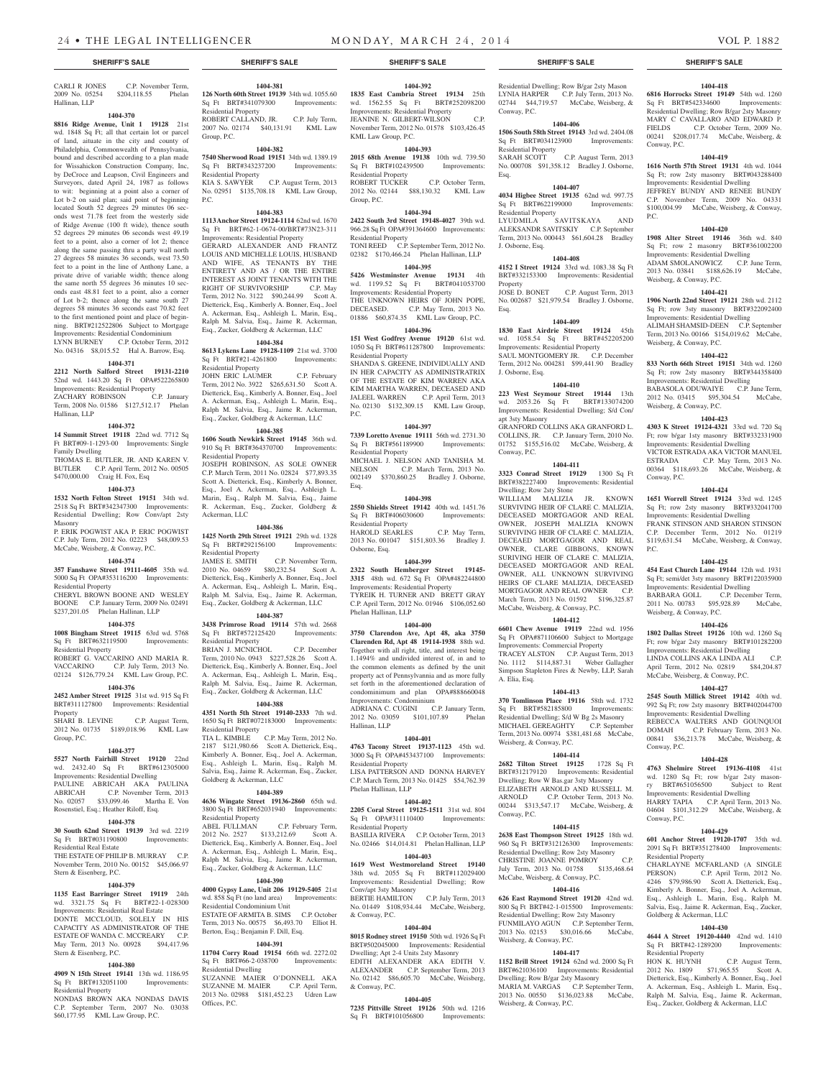CARLI R JONES C.P. November Term, 2009 No. 05254 \$204,118.55 Phelan Hallinan, LLP

#### **1404-370**

**8816 Ridge Avenue, Unit 1 19128** 21st wd. 1848 Sq Ft; all that certain lot or parcel of land, aituate in the city and county of Philadelphia, Commonwealth of Pennsylvania, bound and described according to a plan made for Wissahickon Construction Company, Inc, by DeCroce and Leapson, Civil Engineers and Surveyors, dated April 24, 1987 as follows to wit: beginning at a point also a corner of Lot b-2 on said plan; said point of beginning located South 52 degrees 29 minutes 06 seconds west 71.78 feet from the westerly side of Ridge Avenue (100 ft wide), thence south 52 degrees 29 minutes 06 seconds west 49.19 feet to a point, also a corner of lot 2; thence along the same passing thru a party wall north 27 degrees 58 minutes 36 seconds, west 73.50 feet to a point in the line of Anthony Lane, a private drive of variable width; thence along the same north 55 degrees 36 minutes 10 seconds east 48.81 feet to a point, also a corner of Lot b-2; thence along the same south 27 degrees 58 minutes 36 seconds east 70.82 feet to the first mentioned point and place of beginning. BRT#212522806 Subject to Mortgage Improvements: Residential Condominium LYNN BURNEY C.P. October Term, 2012 No. 04316 \$8,015.52 Hal A. Barrow, Esq.

#### **1404-371**

**2212 North Salford Street 19131-2210**  52nd wd. 1443.20 Sq Ft OPA#522265800 Improvements: Residential Property<br>
ZACHARY ROBINSON C.P. January ZACHARY ROBINSON

Term, 2008 No. 01586 \$127,512.17 Phelan Hallinan, LLP

### **1404-372**

**14 Summit Street 19118** 22nd wd. 7712 Sq Ft BRT#09-1-1293-00 Improvements: Single Family Dwelling

THOMAS E. BUTLER, JR. AND KAREN V. BUTLER C.P. April Term, 2012 No. 00505 \$470,000.00 Craig H. Fox, Esq

#### **1404-373**

**1532 North Felton Street 19151** 34th wd. 2518 Sq Ft BRT#342347300 Improvements: Residential Dwelling; Row Conv/apt 2sty Masonry

P. ERIK POGWIST AKA P. ERIC POGWIST C.P. July Term, 2012 No. 02223 \$48,009.53 McCabe, Weisberg, & Conway, P.C.

#### **1404-374**

**357 Fanshawe Street 19111-4605** 35th wd. 5000 Sq Ft OPA#353116200 Improvements:

Residential Property CHERYL BROWN BOONE AND WESLEY BOONE C.P. January Term, 2009 No. 02491 \$237,201.05 Phelan Hallinan, LLP

## **1404-375**

**1008 Bingham Street 19115** 63rd wd. 5768 Sq Ft BRT#632119500 Improvements: Residential Property ROBERT G. VACCARINO AND MARIA R.<br>VACCARINO C.P. July Term. 2013 No. C.P. July Term, 2013 No.

02124 \$126,779.24 KML Law Group, P.C. **1404-376**

**2452 Amber Street 19125** 31st wd. 915 Sq Ft BRT#311127800 Improvements: Residential Property

SHARI B. LEVINE C.P. August Term, 2012 No. 01735 \$189,018.96 KML Law Group, P.C.

#### **1404-377**

**5527 North Fairhill Street 19120** 22nd wd. 2432.40 Sq Ft BRT#612305000 Improvements: Residential Dwelling PAULINE ABRICAH AKA PAULINA ABRICAH C.P. November Term, 2013 No. 02057 \$33,099.46 Martha E. Von Rosenstiel, Esq.; Heather Riloff, Esq.

#### **1404-378**

**30 South 62nd Street 19139** 3rd wd. 2219 Sq Ft BRT#031190800 Improvements: Residential Real Estate

THE ESTATE OF PHILIP B. MURRAY C.P. November Term, 2010 No. 00152 \$45,066.97 Stern & Eisenberg, P.C.

#### **1404-379**

**1135 East Barringer Street 19119** 24th wd. 3321.75 Sq Ft BRT#22-1-028300 Improvements: Residential Real Estate DONTE MCCLOUD, SOLELY IN HIS CAPACITY AS ADMINISTRATOR OF THE ESTATE OF WANDA C. MCCREARY C.P. May Term, 2013 No. 00928 \$94,417.96 Stern & Eisenberg, P.C.

#### **1404-380**

**4909 N 15th Street 19141** 13th wd. 1186.95<br>Sq Ft BRT#132051100 Improvements: Sq Ft BRT#132051100 Residential Property

NONDAS BROWN AKA NONDAS DAVIS C.P. September Term, 2007 No. 03038 \$60,177.95 KML Law Group, P.C.

#### **1404-381 126 North 60th Street 19139** 34th wd. 1055.60

Sq Ft BRT#341079300 Improvements: Residential Property ROBERT CALLAND, JR. C.P. July Term, 2007 No. 02174 \$40,131.91 KML Law Group, P.C.

#### **1404-382**

**7540 Sherwood Road 19151** 34th wd. 1389.19 Sq Ft BRT#343237200 Improvements: Residential Property KIA S. SAWYER C.P. August Term, 2013 No. 02951 \$135,708.18 KML Law Group,

#### **1404-383**

P.C.

**1113 Anchor Street 19124-1114** 62nd wd. 1670 Sq Ft BRT#62-1-0674-00/BRT#73N23-311 Improvements: Residential Property

GERARD ALEXANDER AND FRANTZ LOUIS AND MICHELLE LOUIS, HUSBAND AND WIFE, AS TENANTS BY THE ENTIRETY AND AS / OR THE ENTIRE INTEREST AS JOINT TENANTS WITH THE RIGHT OF SURVIVORSHIP C.P. May Term, 2012 No. 3122 \$90,244.99 Scott A. Dietterick, Esq., Kimberly A. Bonner, Esq., Joel A. Ackerman, Esq., Ashleigh L. Marin, Esq., Ralph M. Salvia, Esq., Jaime R. Ackerman, Esq., Zucker, Goldberg & Ackerman, LLC

#### **1404-384**

**8613 Lykens Lane 19128-1109** 21st wd. 3700 Sq Ft BRT#21-4261800 Improvements: Residential Property JOHN ERIC LAUMER C.P. February

Term, 2012 No. 3922 \$265,631.50 Scott A. Dietterick, Esq., Kimberly A. Bonner, Esq., Joel A. Ackerman, Esq., Ashleigh L. Marin, Esq., Ralph M. Salvia, Esq., Jaime R. Ackerman, Esq., Zucker, Goldberg & Ackerman, LLC

#### **1404-385**

**1606 South Newkirk Street 19145** 36th wd. 910 Sq Ft BRT#364370700 Improvements: Residential Property JOSEPH ROBINSON, AS SOLE OWNER C.P. March Term, 2011 No. 02824 \$77,893.35 Scott A. Dietterick, Esq., Kimberly A. Bonner, Esq., Joel A. Ackerman, Esq., Ashleigh L.

Marin, Esq., Ralph M. Salvia, Esq., Jaime R. Ackerman, Esq., Zucker, Goldberg & Ackerman, LLC **1404-386**

**1425 North 29th Street 19121** 29th wd. 1328 Sq Ft BRT#292156100 Improvements: Residential Property JAMES E. SMITH C.P. November Term, 2010 No. 04659 \$80,232.54 Scott A. Dietterick, Esq., Kimberly A. Bonner, Esq., Joel A. Ackerman, Esq., Ashleigh L. Marin, Esq., Ralph M. Salvia, Esq., Jaime R. Ackerman, Esq., Zucker, Goldberg & Ackerman, LLC

#### **1404-387**

**3438 Primrose Road 19114** 57th wd. 2668 Sq Ft BRT#572125420 Improvements: Residential Property BRIAN J. MCNICHOL C.P. December Term, 2010 No. 0943 \$227,528.26 Scott A.

Dietterick, Esq., Kimberly A. Bonner, Esq., Joel A. Ackerman, Esq., Ashleigh L. Marin, Esq., Ralph M. Salvia, Esq., Jaime R. Ackerman, Esq., Zucker, Goldberg & Ackerman, LLC

# **1404-388**

**4351 North 5th Street 19140-2333** 7th wd. 1650 Sq Ft BRT#072183000 Improvements: Residential Property TIA L. KIMBLE C.P. May Term, 2012 No. 2187 \$121,980.66 Scott A. Dietterick, Esq., Kimberly A. Bonner, Esq., Joel A. Ackerman, Esq., Ashleigh L. Marin, Esq., Ralph M. Salvia, Esq., Jaime R. Ackerman, Esq., Zucker, Goldberg & Ackerman, LLC

#### **1404-389**

**4636 Wingate Street 19136-2860** 65th wd. 3800 Sq Ft BRT#652031940 Improvements: Residential Property ABEL FULLMAN C.P. February Term, 2012 No. 2527 \$133,212.69 Scott A. Dietterick, Esq., Kimberly A. Bonner, Esq., Joel A. Ackerman, Esq., Ashleigh L. Marin, Esq., Ralph M. Salvia, Esq., Jaime R. Ackerman, Esq., Zucker, Goldberg & Ackerman, LLC

#### **1404-390**

**4000 Gypsy Lane, Unit 206 19129-5405** 21st wd. 858 Sq Ft (no land area) Residential Condominium Unit ESTATE OF ARMITA B. SIMS C.P. October Term, 2013 No. 00575 \$6,493.70 Elliot H. Berton, Esq.; Benjamin F. Dill, Esq.

#### **1404-391**

**11704 Corry Road 19154** 66th wd. 2272.02 Sq Ft BRT#66-2-038700 Improvements: Residential Dwelling SUZANNE MAIER O'DONNELL AKA SUZANNE M. MAIER C.P. April Term, 2013 No. 02988 \$181,452.23 Udren Law

Offices, P.C.

# **1404-392**

**1835 East Cambria Street 19134** 25th wd. 1562.55 Sq Ft BRT#252098200 Improvements: Residential Property JEANINE N. GILBERT-WILSON November Term, 2012 No. 01578 \$103,426.45 KML Law Group, P.C.

# **1404-393**

**2015 68th Avenue 19138** 10th wd. 739.50 Sq Ft BRT#102439500 Improvements: Residential Property<br>ROBERT TUCKER C.P. October Term, 2012 No. 02144 \$88,130.32 KML Law Group, P.C.

#### **1404-394**

**2422 South 3rd Street 19148-4027** 39th wd. 966.28 Sq Ft OPA#391364600 Improvements: Residential Property TONI REED C.P. September Term, 2012 No.

02382 \$170,466.24 Phelan Hallinan, LLP **1404-395**

**5426 Westminster Avenue 19131** 4th wd. 1199.52 Sq Ft BRT#041053700 Improvements: Residential Property THE UNKNOWN HEIRS OF JOHN POPE,<br>DECEASED. C.P. May Term, 2013 No. C.P. May Term, 2013 No.

# 01886 \$60,874.35 KML Law Group, P.C.

**1404-396 151 West Godfrey Avenue 19120** 61st wd. 1050 Sq Ft BRT#611287800 Improvements: Residential Property SHANDA S. GREENE, INDIVIDUALLY AND IN HER CAPACITY AS ADMINISTRATRIX OF THE ESTATE OF KIM WARREN AKA KIM MARTHA WARREN, DECEASED AND JALEEL WARREN C.P. April Term, 2013 No. 02130 \$132,309.15 KML Law Group,

#### **1404-397**

P.C.

**7339 Loretto Avenue 19111** 56th wd. 2731.30 Sq Ft BRT#561189900 Improvements: Residential Property MICHAEL J. NELSON AND TANISHA M. NELSON C.P. March Term, 2013 No. 002149 \$370,860.25 Bradley J. Osborne, Esq.

#### **1404-398**

**2550 Shields Street 19142** 40th wd. 1451.76 Sq Ft BRT#406030600 Residential Property

HAROLD SEARLES C.P. May Term, 2013 No. 001047 \$151,803.36 Bradley J. Osborne, Esq.

#### **1404-399**

**2322 South Hemberger Street 19145- 3315** 48th wd. 672 Sq Ft OPA#482244800 Improvements: Residential Property TYREIK H. TURNER AND BRETT GRAY C.P. April Term, 2012 No. 01946 \$106,052.60 Phelan Hallinan, LLP

#### **1404-400**

**3750 Clarendon Ave, Apt 48, aka 3750 Clarenden Rd, Apt 48 19114-1938** 88th wd. Together with all right, title, and interest being 1.1494% and undivided interest of, in and to the common elements as defined by the unit property act of Pennsylvannia and as more fully set forth in the aforementioned declaration of condominimum and plan OPA#888660048 Improvements: Condominium ADRIANA C. CUGINI C.P. January Term, 2012 No. 03059 \$101,107.89 Phelan

#### **1404-401**

Hallinan, LLP

**4763 Tacony Street 19137-1123** 45th wd. 3000 Sq Ft OPA#453437100 Improvements: Residential Property LISA PATTERSON AND DONNA HARVEY C.P. March Term, 2013 No. 01425 \$54,762.39 Phelan Hallinan, LLP

#### **1404-402**

**2205 Coral Street 19125-1511** 31st wd. 804 Sq Ft OPA#311110400 Improvements: Residential Property BASILIA RIVERA C.P. October Term, 2013

No. 02466 \$14,014.81 Phelan Hallinan, LLP **1404-403**

### **1619 West Westmoreland Street 19140**  38th wd. 2055 Sq Ft BRT#112029400 Improvements: Residential Dwelling; Row Conv/apt 3sty Masonry C.P. July Term, 2013

No. 01449 \$108,934.44 McCabe, Weisberg, & Conway, P.C. **1404-404**

**8015 Rodney street 19150** 50th wd. 1926 Sq Ft BRT#502045000 Improvements: Residential Dwelling; Apt 2-4 Units 2sty Masonry EDITH ALEXANDER AKA EDITH V. ALEXANDER C.P. September Term, 2013 No. 02142 \$86,605.70 McCabe, Weisberg, & Conway, P.C.

#### **1404-405**

**7235 Pittville Street 19126** 50th wd. 1216 Sq Ft BRT#101056800 Improvements:

#### **SHERIFF'S SALE SHERIFF'S SALE SHERIFF'S SALE SHERIFF'S SALE SHERIFF'S SALE**

Residential Dwelling; Row B/gar 2sty Mason LYNIA HARPER C.P. July Term, 2013 No. 02744 \$44,719.57 McCabe, Weisberg, & Conway, P.C.

**1404-418 6816 Horrocks Street 19149** 54th wd. 1260 Sq Ft BRT#542334600 Improvements: Residential Dwelling; Row B/gar 2sty Masonry MARY C CAVALLARO AND EDWARD P. FIELDS C.P. October Term, 2009 No. 00241 \$208,017.74 McCabe, Weisberg, &

**1404-419 1616 North 57th Street 19131** 4th wd. 1044 Sq Ft; row 2sty masonry BRT#043288400 Improvements: Residential Dwelling JEFFREY BUNDY AND RENEE BUNDY C.P. November Term, 2009 No. 04331 \$100,004.99 McCabe, Weisberg, & Conway,

**1404-420 1908 Alter Street 19146** 36th wd. 840 Sq Ft; row 2 masonry BRT#361002200 Improvements: Residential Dwelling ADAM SMOLANOWICZ C.P. June Term, 2013 No. 03841 \$188,626.19 McCabe,

**1404-421 1906 North 22nd Street 19121** 28th wd. 2112 Sq Ft; row 3sty masonry BRT#322092400 Improvements: Residential Dwelling ALIMAH SHAMSID-DEEN C.P. September Term, 2013 No. 00166 \$154,019.62 McCabe,

**1404-422 833 North 66th Street 19151** 34th wd. 1260 Sq Ft; row 2sty masonry BRT#344358400 Improvements: Residential Dwelling BABASOLA ODUWAIYE C.P. June Term, 2012 No. 03415 \$95,304.54 McCabe,

**1404-423 4303 K Street 19124-4321** 33rd wd. 720 Sq Ft; row b/gar 1sty masonry BRT#332331900 Improvements: Residential Dwelling VICTOR ESTRADA AKA VICTOR MANUEL ESTRADA C.P. May Term, 2013 No. 00364 \$118,693.26 McCabe, Weisberg, &

**1404-424 1651 Worrell Street 19124** 33rd wd. 1245 Sq Ft; row 2sty masonry BRT#332041700 Improvements: Residential Dwelling FRANK STINSON AND SHARON STINSON C.P. December Term, 2012 No. 01219  $$119,631.54$  McCabe, Weisberg, & Conway,

**1404-425 454 East Church Lane 19144** 12th wd. 1931 Sq Ft; semi/det 3sty masonry BRT#122035900 Improvements: Residential Dwelling BARBARA GOLL C.P. December Term, 2011 No. 00783 \$95,928.89 McCabe,

**1404-426 1802 Dallas Street 19126** 10th wd. 1260 Sq Ft; row b/gar 2sty masonry BRT#101282200 Improvements: Residential Dwelling LINDA COLLINS AKA LINDA ALI C.P. April Term, 2012 No. 02819 \$84,204.87 McCabe, Weisberg, & Conway, P.C. **1404-427 2545 South Millick Street 19142** 40th wd. 992 Sq Ft; row 2sty masonry BRT#402044700 Improvements: Residential Dwelling REBECCA WALTERS AND GOUNQUOI DOMAH C.P. February Term, 2013 No. 00841 \$36,213.78 McCabe, Weisberg, &

**1404-428 4763 Shelmire Street 19136-4108** 41st wd. 1280 Sq Ft; row b/gar 2sty masonry BRT#651056500 Subject to Rent Improvements: Residential Dwelling HARRY TAPIA C.P. April Term, 2013 No. 04604 \$101,312.29 McCabe, Weisberg, &

**1404-429 601 Anchor Street 19120-1707** 35th wd. 2091 Sq Ft BRT#351278400 Improvements:

CHARLAYNE MCFARLAND (A SINGLE PERSON) C.P. April Term, 2012 No. 4246 \$79,986.90 Scott A. Dietterick, Esq., Kimberly A. Bonner, Esq., Joel A. Ackerman, Esq., Ashleigh L. Marin, Esq., Ralph M. Salvia, Esq., Jaime R. Ackerman, Esq., Zucker,

**1404-430 4644 A Street 19120-4440** 42nd wd. 1410<br>Sq Ft BRT#42-1289200 Improvements:

2012 No. 1809 \$71,965.55 Scott A. Dietterick, Esq., Kimberly A. Bonner, Esq., Joel A. Ackerman, Esq., Ashleigh L. Marin, Esq., Ralph M. Salvia, Esq., Jaime R. Ackerman, Esq., Zucker, Goldberg & Ackerman, LLC

C.P. August Term,

Weisberg, & Conway, P.C.

Conway, P.C.

Conway, P.C.

Residential Property

Goldberg & Ackerman, LLC

Sq Ft BRT#42-1289200 Residential Property<br>HON K. HUYNH

Weisberg, & Conway, P.C.

Weisberg, & Conway, P.C.

Weisberg, & Conway, P.C.

Conway, P.C.

P.C.

Conway, P.C.

P.C.

# **1404-406**

**1506 South 58th Street 19143** 3rd wd. 2404.08<br>
Sq Ft BRT#034123900 Improvements: Sq Ft BRT#034123900 Improvements: Residential Property

SARAH SCOTT C.P. August Term, 2013 No. 000708 \$91,358.12 Bradley J. Osborne, Esq.

#### **1404-407**

**4034 Higbee Street 19135** 62nd wd. 997.75 Sq Ft BRT#622199000 Improvements: Residential Property LYUDMILA SAVITSKAYA AND ALEKSANDR SAVITSKIY C.P. September Term, 2013 No. 000443 \$61,604.28 Bradley

J. Osborne, Esq. **1404-408**

#### **4152 I Street 19124** 33rd wd. 1083.38 Sq Ft BRT#332153300 Improvements: Residential Property

JOSE D. BONET C.P. August Term, 2013 No. 002687 \$21,979.54 Bradley J. Osborne, Esq.

wd. 1058.54 Sq Ft BRT#452205200 Improvements: Residential Property SAUL MONTGOMERY JR. C.P. December Term, 2012 No. 004281 \$99,441.90 Bradley

**1404-410 223 West Seymour Street 19144** 13th wd. 2053.26 Sq Ft BRT#133074200 Improvements: Residential Dwelling; S/d Con/

GRANFORD COLLINS AKA GRANFORD L. COLLINS, JR. C.P. January Term, 2010 No. 01752 \$155,516.02 McCabe, Weisberg, &

**1404-411 3323 Conrad Street 19129** 1300 Sq Ft BRT#382227400 Improvements: Residential

WILLIAM MALIZIA JR. KNOWN SURVIVING HEIR OF CLARE C. MALIZIA, DECEASED MORTGAGOR AND REAL OWNER, JOSEPH MALIZIA KNOWN SURVIVING HEIR OF CLARE C. MALIZIA, DECEAED MORTGAGOR AND REAL OWNER, CLARE GIBBONS, KNOWN SURIVING HEIR OF CLARE C. MALIZIA, DECEASED MORTGAGOR AND REAL OWNER, ALL UNKNOWN SURVIVING HEIRS OF CLARE MALIZIA, DECEASED MORTGAGOR AND REAL OWNER C.P. March Term, 2013 No. 01592 \$196,325.87 McCabe, Weisberg, & Conway, P.C. **1404-412 6601 Chew Avenue 19119** 22nd wd. 1956 Sq Ft OPA#871106600 Subject to Mortgage Improvements: Commercial Property TRACEY ALSTON C.P. August Term, 2013 No. 1112 \$114,887.31 Weber Gallagher Simpson Stapleton Fires & Newby, LLP, Sarah

**1404-413 370 Tomlinson Place 19116** 58th wd. 1732 Sq Ft BRT#582185800 Improvements: Residential Dwelling; S/d W Bg 2s Masonry MICHAEL GEREAGHTY C.P. September Term, 2013 No. 00974 \$381,481.68 McCabe,

**1404-414 2682 Tilton Street 19125** 1728 Sq Ft BRT#312179120 Improvements: Residential Dwelling; Row W Bas.gar 3sty Masonry ELIZABETH ARNOLD AND RUSSELL M.<br>ARNOLD C.P. October Term. 2013 No.

00244 \$313,547.17 McCabe, Weisberg, &

**1404-415 2638 East Thompson Street 19125** 18th wd. 960 Sq Ft BRT#312126300 Improvements: Residential Dwelling; Row 2sty Masonry CHRISTINE JOANNE POMROY C.P. July Term, 2013 No. 01758 \$135,468.64 McCabe, Weisberg, & Conway, P.C. **1404-416 626 East Raymond Street 19120** 42nd wd. 800 Sq Ft BRT#42-1-015500 Improvements: Residential Dwelling; Row 2sty Masonry FUNMILAYO AGUN C.P. September Term, 2013 No. 02153 \$30,016.66 McCabe,

**1404-417 1152 Brill Street 19124** 62nd wd. 2000 Sq Ft BRT#621036100 Improvements: Residential Dwelling; Row B/gar 2sty Masonry MARIA M. VARGAS C.P. September Term, 2013 No. 00550 \$136,023.88 McCabe,

C.P. October Term, 2013 No.

#### **1404-409 1830 East Airdrie Street 19124** 45th

J. Osborne, Esq.

apt 3sty Masonry

Conway, P.C.

A. Elia, Esq.

Conway, P.C.

Weisberg, & Conway, P.C.

Weisberg, & Conway, P.C.

Weisberg, & Conway, P.C.

Dwelling; Row 2sty Stone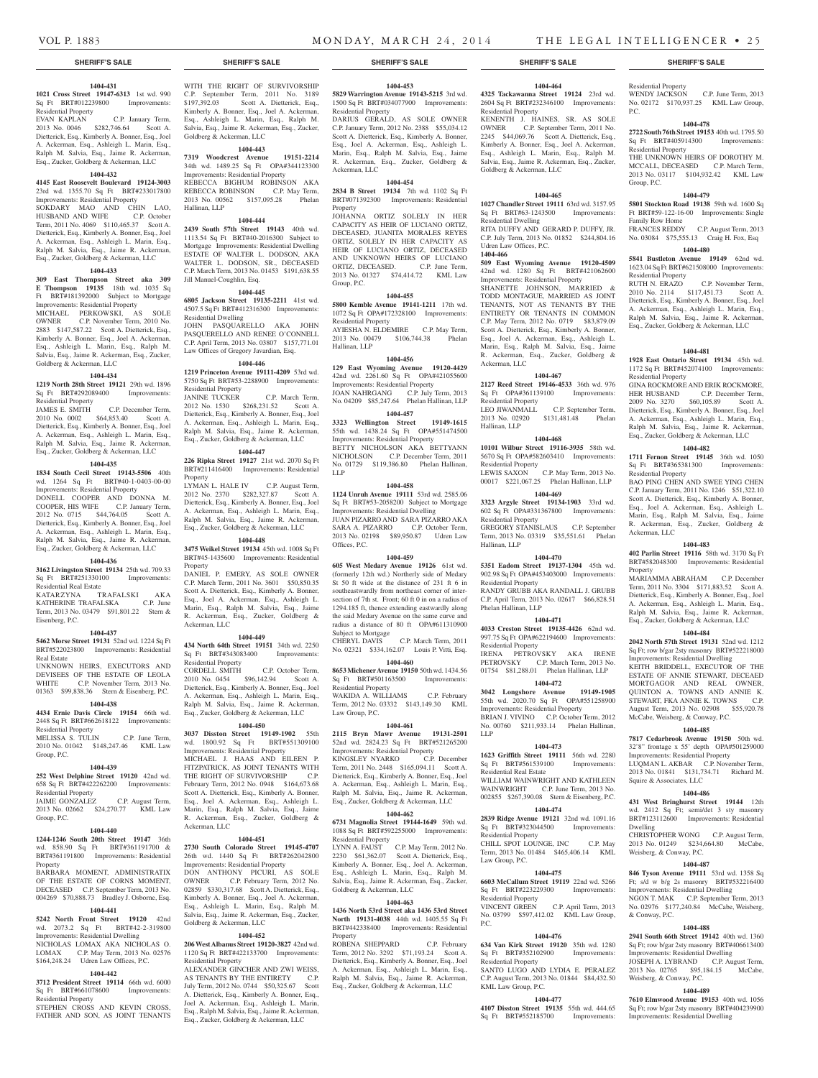P.C.

Residential Property

Residential Property

Family Row Home

Residential Property<br>RUTH N. ERAZO

Residential Property

Residential Property

Ackerman, LLC

Squire & Associates, LLC

Weisberg, & Conway, P.C.

Weisberg, & Conway, P.C.

Dwelling

& Conway, P.C.

**1404-486 431 West Bringhurst Street 19144** 12th wd. 2412 Sq Ft; semi/det 3 sty masonry BRT#123112600 Improvements: Residential

CHRISTOPHER WONG C.P. August Term, 2013 No. 01249 \$234,664.80 McCabe,

**1404-487 846 Tyson Avenue 19111** 53rd wd. 1358 Sq Ft; s/d w b/g 2s masonry BRT#532216400 Improvements: Residential Dwelling NGON T. MAK C.P. September Term, 2013 No. 02976 \$177,240.84 McCabe, Weisberg,

**1404-488 2941 South 66th Street 19142** 40th wd. 1360 Sq Ft; row b/gar 2sty masonry BRT#406613400 Improvements: Residential Dwelling JOSEPH A. LYBRAND C.P. August Term, 2013 No. 02765 \$95,184.15 McCabe,

**1404-489 7610 Elmwood Avenue 19153** 40th wd. 1056 Sq Ft; row b/gar 2sty masonry BRT#404239900 Improvements: Residential Dwelling

Property

Group, P.C.

WENDY JACKSON C.P. June Term, 2013 No. 02172 \$170,937.25 KML Law Group,

**1404-478 2722 South 76th Street 19153** 40th wd. 1795.50 Sq Ft BRT#405914300 Improvements:

THE UNKNOWN HEIRS OF DOROTHY M. MCCALL, DECEASED C.P. March Term, 2013 No. 03117 \$104,932.42 KML Law

**1404-479 5801 Stockton Road 19138** 59th wd. 1600 Sq Ft BRT#59-122-16-00 Improvements: Single

Framily Row Hollie<br>FRANCES REDDY C.P. August Term, 2013 No. 03084 \$75,555.13 Craig H. Fox, Esq **1404-480 5841 Bustleton Avenue 19149** 62nd wd. 1623.04 Sq Ft BRT#621508000 Improvements:

2010 No. 2114 \$117,451.73 Scott A. Dietterick, Esq., Kimberly A. Bonner, Esq., Joel A. Ackerman, Esq., Ashleigh L. Marin, Esq., Ralph M. Salvia, Esq., Jaime R. Ackerman, Esq., Zucker, Goldberg & Ackerman, LLC

**1404-481 1928 East Ontario Street 19134** 45th wd. 1172 Sq Ft BRT#452074100 Improvements:

GINA ROCKMORE AND ERIK ROCKMORE, HER HUSBAND C.P. December Term, 2009 No. 3270 \$60,105.89 Scott A. Dietterick, Esq., Kimberly A. Bonner, Esq., Joel A. Ackerman, Esq., Ashleigh L. Marin, Esq., Ralph M. Salvia, Esq., Jaime R. Ackerman, Esq., Zucker, Goldberg & Ackerman, LLC **1404-482 1711 Fernon Street 19145** 36th wd. 1050 Sq Ft BRT#365381300 Improvements:

BAO PING CHEN AND SWEE YING CHEN C.P. January Term, 2011 No. 1246 \$51,322.10 Scott A. Dietterick, Esq., Kimberly A. Bonner, Esq., Joel A. Ackerman, Esq., Ashleigh L. Marin, Esq., Ralph M. Salvia, Esq., Jaime R. Ackerman, Esq., Zucker, Goldberg &

**1404-483 402 Parlin Street 19116** 58th wd. 3170 Sq Ft BRT#582048300 Improvements: Residential

MARIAMMA ABRAHAM C.P. December Term, 2011 No. 3304 \$171,883.52 Scott A. Dietterick, Esq., Kimberly A. Bonner, Esq., Joel A. Ackerman, Esq., Ashleigh L. Marin, Esq., Ralph M. Salvia, Esq., Jaime R. Ackerman, Esq., Zucker, Goldberg & Ackerman, LLC **1404-484 2042 North 57th Street 19131** 52nd wd. 1212 Sq Ft; row b/gar 2sty masonry BRT#522218000 Improvements: Residential Dwelling KEITH BRIDDELL, EXECUTOR OF THE ESTATE OF ANNIE STEWART, DECEAED MORTGAGOR AND REAL OWNER, QUINTON A. TOWNS AND ANNIE K. STEWART, FKA ANNIE K. TOWNS C.P. August Term, 2013 No. 02908 \$55,920.78 McCabe, Weisberg, & Conway, P.C. **1404-485 7817 Cedarbrook Avenue 19150** 50th wd. 32'8" frontage x 55' depth OPA#501259000 Improvements: Residential Property LUQMAN L. AKBAR C.P. November Term, 2013 No. 01841 \$131,734.71 Richard M.

C.P. November Term,

# **SHERIFF'S SALE SHERIFF'S SALE SHERIFF'S SALE SHERIFF'S SALE SHERIFF'S SALE**

#### **1404-431 1021 Cross Street 19147-6313** 1st wd. 990 Sq Ft BRT#012239800 Improvements:

Residential Property EVAN KAPLAN C.P. January Term, 2013 No. 0046 \$282,746.64 Scott A. Dietterick, Esq., Kimberly A. Bonner, Esq., Joel A. Ackerman, Esq., Ashleigh L. Marin, Esq., Ralph M. Salvia, Esq., Jaime R. Ackerman, Esq., Zucker, Goldberg & Ackerman, LLC

#### **1404-432**

#### **4145 East Roosevelt Boulevard 19124-3003**  23rd wd. 1355.70 Sq Ft BRT#233017800

Improvements: Residential Property SOKDARY MAO AND CHIN LAO, HUSBAND AND WIFE C.P. October Term, 2011 No. 4069 \$110,465.37 Scott A. Dietterick, Esq., Kimberly A. Bonner, Esq., Joel A. Ackerman, Esq., Ashleigh L. Marin, Esq., Ralph M. Salvia, Esq., Jaime R. Ackerman, Esq., Zucker, Goldberg & Ackerman, LLC

# **1404-433**

**309 East Thompson Street aka 309 E Thompson 19135** 18th wd. 1035 Sq Ft BRT#181392000 Subject to Mortgage Improvements: Residential Property MICHAEL PERKOWSKI, AS SOLE OWNER C.P. November Term, 2010 No. 2883 \$147,587.22 Scott A. Dietterick, Esq., Kimberly A. Bonner, Esq., Joel A. Ackerman, Esq., Ashleigh L. Marin, Esq., Ralph M. Salvia, Esq., Jaime R. Ackerman, Esq., Zucker, Goldberg & Ackerman, LLC

#### **1404-434**

**1219 North 28th Street 19121** 29th wd. 1896 Sq Ft BRT#292089400 Improvements:

#### Residential Property<br>JAMES E. SMITH C.P. December Term, 2010 No. 0002 \$64,853.40 Scott A. Dietterick, Esq., Kimberly A. Bonner, Esq., Joel A. Ackerman, Esq., Ashleigh L. Marin, Esq., Ralph M. Salvia, Esq., Jaime R. Ackerman, Esq., Zucker, Goldberg & Ackerman, LLC

#### **1404-435**

**1834 South Cecil Street 19143-5506** 40th wd. 1264 Sq Ft BRT#40-1-0403-00-00 Improvements: Residential Property DONELL COOPER AND DONNA M. COOPER, HIS WIFE C.P. January Term, 2012 No. 0715 \$44,764.05 Scott A. Dietterick, Esq., Kimberly A. Bonner, Esq., Joel A. Ackerman, Esq., Ashleigh L. Marin, Esq., Ralph M. Salvia, Esq., Jaime R. Ackerman, Esq., Zucker, Goldberg & Ackerman, LLC

#### **1404-436**

Eisenberg, P.C.

**3162 Livingston Street 19134** 25th wd. 709.33 Sq Ft BRT#251330100 Improvements:

Residential Real Estate KATARZYNA TRAFALSKI AKA KATHERINE TRAFALSKA C.P. June Term, 2013 No. 03479 \$91,801.22 Stern &

#### **1404-437**

**5462 Morse Street 19131** 52nd wd. 1224 Sq Ft BRT#522023800 Improvements: Residential Real Estate

UNKNOWN HEIRS, EXECUTORS AND DEVISEES OF THE ESTATE OF LEOLA<br>WHITE C.P. November Term, 2013 No. C.P. November Term, 2013 No. 01363 \$99,838.36 Stern & Eisenberg, P.C.

#### **1404-438 4434 Ernie Davis Circle 19154** 66th wd.

2448 Sq Ft BRT#662618122 Improvements: Residential Property MELISSA S. TULIN C.P. June Term,

**MELISSA S. TULIN** C.P. June Term,<br>2010 No. 01042 \$148,247.46 KML Law Group, P.C.

#### **1404-439**

**252 West Delphine Street 19120** 42nd wd. 658 Sq Ft BRT#422262200 Improvements: Residential Property JAIME GONZALEZ C.P. August Term,

# 2013 No. 02662 \$24,270.77 KML Law Group, P.C.

### **1404-440**

**1244-1246 South 20th Street 19147** 36th wd. 858.90 Sq Ft BRT#361191700 & BRT#361191800 Improvements: Residential Property

BARBARA MOMENT, ADMINISTRATIX OF THE ESTATE OF CORNS MOMENT, DECEASED C.P. September Term, 2013 No. 004269 \$70,888.73 Bradley J. Osborne, Esq.

#### **1404-441**

**5242 North Front Street 19120** 42nd wd. 2073.2 Sq Ft BRT#42-2-319800 Improvements: Residential Dwelling NICHOLAS LOMAX AKA NICHOLAS O. LOMAX C.P. May Term, 2013 No. 02576 \$164,248.24 Udren Law Offices, P.C.

### **1404-442**

**3712 President Street 19114** 66th wd. 6000 Sq Ft BRT#661078600 Improvements: Residential Property

STEPHEN CROSS AND KEVIN CROSS, FATHER AND SON, AS JOINT TENANTS

WITH THE RIGHT OF SURVIVORSHIP C.P. September Term, 2011 No. 3189<br>\$197,392.03 Scott A. Dietterick, Esq., Scott A. Dietterick, Esq., Kimberly A. Bonner, Esq., Joel A. Ackerman, Esq., Ashleigh L. Marin, Esq., Ralph M. Salvia, Esq., Jaime R. Ackerman, Esq., Zucker, Goldberg & Ackerman, LLC

#### **1404-443**

**7319 Woodcrest Avenue 19151-2214**  34th wd. 1489.25 Sq Ft OPA#344123300 Improvements: Residential Property REBECCA BIGHUM ROBINSON AKA REBECCA ROBINSON C.P. May Term, 2013 No. 00562 \$157,095.28 Phelan Hallinan, LLP

#### **1404-444**

**2439 South 57th Street 19143** 40th wd. 1113.54 Sq Ft BRT#40-2016300 Subject to Mortgage Improvements: Residential Dwelling ESTATE OF WALTER L. DODSON, AKA WALTER L. DODSON, SR., DECEASED C.P. March Term, 2013 No. 01453 \$191,638.55 Jill Manuel-Coughlin, Esq.

#### **1404-445**

**6805 Jackson Street 19135-2211** 41st wd. 4507.5 Sq Ft BRT#412316300 Improvements: Residential Dwelling JOHN PASQUARELLO AKA JOHN PASQUERELLO AND RENEE O'CONNELL C.P. April Term, 2013 No. 03807 \$157,771.01 Law Offices of Gregory Javardian, Esq.

# **1404-446**

**1219 Princeton Avenue 19111-4209** 53rd wd. 5750 Sq Ft BRT#53-2288900 Improvements: Residential Property JANINE TUCKER C.P. March Term, 2012 No. 1530 \$268,231.52 Scott A. Dietterick, Esq., Kimberly A. Bonner, Esq., Joel A. Ackerman, Esq., Ashleigh L. Marin, Esq., Ralph M. Salvia, Esq., Jaime R. Ackerman, Esq., Zucker, Goldberg & Ackerman, LLC

#### **1404-447**

**226 Ripka Street 19127** 21st wd. 2070 Sq Ft BRT#211416400 Improvements: Residential Property LYMAN L. HALE IV C.P. August Term,

2012 No. 2370 \$282,327.87 Scott A. Dietterick, Esq., Kimberly A. Bonner, Esq., Joel A. Ackerman, Esq., Ashleigh L. Marin, Esq., Ralph M. Salvia, Esq., Jaime R. Ackerman, Esq., Zucker, Goldberg & Ackerman, LLC

#### **1404-448**

**3475 Weikel Street 19134** 45th wd. 1008 Sq Ft BRT#45-1435600 Improvements: Residential Property DANIEL P. EMERY, AS SOLE OWNER C.P. March Term, 2011 No. 3601 \$50,850.35

Scott A. Dietterick, Esq., Kimberly A. Bonner, Esq., Joel A. Ackerman, Esq., Ashleigh L. Marin, Esq., Ralph M. Salvia, Esq., Jaime R. Ackerman, Esq., Zucker, Goldberg & Ackerman, LLC

#### **1404-449**

**434 North 64th Street 19151** 34th wd. 2250 Sq Ft BRT#343083400 Residential Property<br>CORDELL SMITH C.P. October Term, 2010 No. 0454 \$96,142.94 Scott A. Dietterick, Esq., Kimberly A. Bonner, Esq., Joel

A. Ackerman, Esq., Ashleigh L. Marin, Esq., Ralph M. Salvia, Esq., Jaime R. Ackerman, Esq., Zucker, Goldberg & Ackerman, LLC

# **1404-450**

**3037 Disston Street 19149-1902** 55th wd. 1800.92 Sq Ft BRT#551309100 Improvements: Residential Property MICHAEL J. HAAS AND EILEEN P. FITZPATRICK, AS JOINT TENANTS WITH THE RIGHT OF SURVIVORSHIP C.P. February Term, 2012 No. 0948 \$164,673.68 Scott A. Dietterick, Esq., Kimberly A. Bonner, Esq., Joel A. Ackerman, Esq., Ashleigh L. Marin, Esq., Ralph M. Salvia, Esq., Jaime R. Ackerman, Esq., Zucker, Goldberg & Ackerman, LLC

#### **1404-451**

**2730 South Colorado Street 19145-4707**  26th wd. 1440 Sq Ft BRT#262042800 Improvements: Residential Property DON ANTHONY PICURI, AS SOLE OWNER C.P. February Term, 2012 No. 02859 \$330,317.68 Scott A. Dietterick, Esq.,

Kimberly A. Bonner, Esq., Joel A. Ackerman, Esq., Ashleigh L. Marin, Esq., Ralph M. Salvia, Esq., Jaime R. Ackerman, Esq., Zucker, Goldberg & Ackerman, LLC

#### **1404-452**

**206 West Albanus Street 19120-3827** 42nd wd. 1120 Sq Ft BRT#422133700 Improvements: Residential Property

ALEXANDER GINCHER AND ZWI WEISS, AS TENANTS BY THE ENTIRETY C.P. July Term, 2012 No. 0744 \$50,325.67 Scott A. Dietterick, Esq., Kimberly A. Bonner, Esq., Joel A. Ackerman, Esq., Ashleigh L. Marin, Esq., Ralph M. Salvia, Esq., Jaime R. Ackerman, Esq., Zucker, Goldberg & Ackerman, LLC

# **1404-453**

**5829 Warrington Avenue 19143-5215** 3rd wd. 1500 Sq Ft BRT#034077900 Improvements: Residential Property

DARIUS GERALD, AS SOLE OWNER C.P. January Term, 2012 No. 2388 \$55,034.12 Scott A. Dietterick, Esq., Kimberly A. Bonner, Esq., Joel A. Ackerman, Esq., Ashleigh L. Marin, Esq., Ralph M. Salvia, Esq., Jaime R. Ackerman, Esq., Zucker, Goldberg & Ackerman, LLC

#### **1404-454**

**2834 B Street 19134** 7th wd. 1102 Sq Ft BRT#071392300 Improvements: Residential Property

JOHANNA ORTIZ SOLELY IN HER CAPACITY AS HEIR OF LUCIANO ORTIZ, DECEASED, JUANITA MORALES REYES ORTIZ, SOLELY IN HER CAPACITY AS HEIR OF LUCIANO ORTIZ, DECEASED AND UNKNOWN HEIRS OF LUCIANO ORTIZ, DECEASED. C.P. June Term, 2013 No. 01327 \$74,414.72 KML Law Group, P.C.

#### **1404-455**

**5800 Kemble Avenue 19141-1211** 17th wd. 1072 Sq Ft OPA#172328100 Improvements: Residential Property AYIESHA N. ELDEMIRE C.P. May Term, 2013 No. 00479 \$106,744.38 Phelan

# Hallinan, LLP

**1404-456 129 East Wyoming Avenue 19120-4429**  42nd wd. 2261.60 Sq Ft OPA#421055600 Improvements: Residential Property JOAN NAHRGANG C.P. July Term, 2013 No. 04209 \$85,247.64 Phelan Hallinan, LLP

#### **1404-457**

**3323 Wellington Street 19149-1615**  55th wd. 1438.24 Sq Ft OPA#551474500 Improvements: Residential Property BETTY NICHOLSON AKA BETTYANN NICHOLSON C.P. December Term, 2011 No. 01729 \$119,386.80 Phelan Hallinan, LLP

#### **1404-458**

**1124 Unruh Avenue 19111** 53rd wd. 2585.06 Sq Ft BRT#53-2058200 Subject to Mortgage Improvements: Residential Dwelling JUAN PIZARRO AND SARA PIZARRO AKA SARA A. PIZARRO C.P. October Term,

2013 No. 02198 \$89,950.87 Udren Law Offices, P.C. **1404-459**

**605 West Medary Avenue 19126** 61st wd. (formerly 12th wd.) Northerly side of Medary St 50 ft wide at the distance of 231 ft 6 in southeastwardly from northeast corner of intersection of 7th st. Front; 60 ft 0 in on a radius of 1294.185 ft, thence extending eastwardly along the said Medary Avenue on the same curve and radius a distance of 80 ft OPA#611310900 Subject to Mortgage CHERYL DAVIS C.P. March Term, 2011

No. 02321 \$334,162.07 Louis P. Vitti, Esq. **1404-460**

**8653 Michener Avenue 19150** 50th wd. 1434.56 Sq Ft BRT#501163500 Improvements: Residential Property

WAKIDA A. WILLIAMS C.P. February Term, 2012 No. 03332 \$143,149.30 KML Law Group, P.C.

#### **1404-461**

**2115 Bryn Mawr Avenue 19131-2501**  52nd wd. 2824.23 Sq Ft BRT#521265200 Improvements: Residential Property KINGSLEY NYARKO C.P. December Term, 2011 No. 2448 \$165,094.11 Scott A. Dietterick, Esq., Kimberly A. Bonner, Esq., Joel A. Ackerman, Esq., Ashleigh L. Marin, Esq., Ralph M. Salvia, Esq., Jaime R. Ackerman, Esq., Zucker, Goldberg & Ackerman, LLC

#### **1404-462**

**6731 Magnolia Street 19144-1649** 59th wd. 1088 Sq Ft BRT#592255000 Improvements: Residential Property

LYNN A. FAUST C.P. May Term, 2012 No. 2230 \$61,362.07 Scott A. Dietterick, Esq., Kimberly A. Bonner, Esq., Joel A. Ackerman, Esq., Ashleigh L. Marin, Esq., Ralph M. Salvia, Esq., Jaime R. Ackerman, Esq., Zucker, Goldberg & Ackerman, LLC

#### **1404-463**

**1436 North 53rd Street aka 1436 53rd Street North 19131-4038** 44th wd. 1405.55 Sq Ft BRT#442338400 Improvements: Residential **Property** 

ROBENA SHEPPARD C.P. February Term, 2012 No. 3292 \$71,193.24 Scott A. Dietterick, Esq., Kimberly A. Bonner, Esq., Joel A. Ackerman, Esq., Ashleigh L. Marin, Esq., Ralph M. Salvia, Esq., Jaime R. Ackerman, Esq., Zucker, Goldberg & Ackerman, LLC

# **1404-464**

**4325 Tackawanna Street 19124** 23rd wd. 2604 Sq Ft BRT#232346100 Improvements: Residential Property KENENTH J. HAINES, SR. AS SOLE OWNER C.P. September Term, 2011 No. 2245 \$44,069.76 Scott A. Dietterick, Esq., Kimberly A. Bonner, Esq., Joel A. Ackerman, Esq., Ashleigh L. Marin, Esq., Ralph M. Salvia, Esq., Jaime R. Ackerman, Esq., Zucker, Goldberg & Ackerman, LLC

#### **1404-465**

**1027 Chandler Street 19111** 63rd wd. 3157.95 Sq Ft BRT#63-1243500 Improvements: Residential Dwelling RITA DUFFY AND GERARD P. DUFFY, JR. C.P. July Term, 2013 No. 01852 \$244,804.16 Udren Law Offices, P.C.

#### **1404-466 509 East Wyoming Avenue 19120-4509**

42nd wd. 1280 Sq Ft BRT#421062600 Improvements: Residential Property SHANETTE JOHNSON, MARRIED & TODD MONTAGUE, MARRIED AS JOINT TENANTS, NOT AS TENANTS BY THE ENTIRETY OR TENANTS IN COMMON C.P. May Term, 2012 No. 0719 \$83,879.09 Scott A. Dietterick, Esq., Kimberly A. Bonner, Esq., Joel A. Ackerman, Esq., Ashleigh L. Marin, Esq., Ralph M. Salvia, Esq., Jaime R. Ackerman, Esq., Zucker, Goldberg & Ackerman, LLC

#### **1404-467**

**2127 Reed Street 19146-4533** 36th wd. 976 Sq Ft OPA#361139100 Residential Property<br>LEO JIWANMALL C.P. September Term,

2013 No. 02920 \$131,481.48 Phelan Hallinan, LLP **1404-468 10101 Wilbur Street 19116-3935** 58th wd.

5670 Sq Ft OPA#582603410 Improvements:

LEWIS SAXON C.P. May Term, 2013 No. 00017 \$221,067.25 Phelan Hallinan, LLP **1404-469 3323 Argyle Street 19134-1903** 33rd wd. 602 Sq Ft OPA#331367800 Improvements:

GREGORY STANISLAUS C.P. September Term, 2013 No. 03319 \$35,551.61 Phelan

**1404-470 5351 Eadom Street 19137-1304** 45th wd. 902.98 Sq Ft OPA#453403000 Improvements:

RANDY GRUBB AKA RANDALL J. GRUBB C.P. April Term, 2013 No. 02617 \$66,828.51

**1404-471 4033 Creston Street 19135-4426** 62nd wd. 997.75 Sq Ft OPA#622194600 Improvements:

IRENA PETROVSKY AKA IRENE PETROVSKY C.P. March Term, 2013 No. 01754 \$81,288.01 Phelan Hallinan, LLP **1404-472 3042 Longshore Avenue 19149-1905**  55th wd. 2020.70 Sq Ft OPA#551258900 Improvements: Residential Property BRIAN J. VIVINO C.P. October Term, 2012 No. 00760 \$211,933.14 Phelan Hallinan,

**1404-473 1623 Griffith Street 19111** 56th wd. 2280 Sq Ft BRT#561539100 Improvements:

WILLIAM WAINWRIGHT AND KATHLEEN WAINWRIGHT C.P. June Term, 2013 No. 002855 \$267,390.08 Stern & Eisenberg, P.C. **1404-474 2839 Ridge Avenue 19121** 32nd wd. 1091.16 Sq Ft BRT#323044500 Improvements:

CHILL SPOT LOUNGE, INC C.P. May Term, 2013 No. 01484 \$465,406.14 KML

**1404-475 6603 McCallum Street 19119** 22nd wd. 5266 Sq Ft BRT#223229300 Improvements:

VINCENT GREEN C.P. April Term, 2013 No. 03799 \$597,412.02 KML Law Group,

**1404-476 634 Van Kirk Street 19120** 35th wd. 1280 Sq Ft BRT#352102900 Improvements:

SANTO LUGO AND LYDIA E. PERALEZ C.P. August Term, 2013 No. 01844 \$84,432.50

**1404-477 4107 Disston Street 19135** 55th wd. 444.65 Sq Ft BRT#552185700 Improvements:

Residential Property

Residential Property

Residential Property

Phelan Hallinan, LLP

Residential Property

Residential Real Estate

Residential Property

Law Group, P.C.

Residential Property

Residential Property

KML Law Group, P.C.

P.C.

LLP

Hallinan, LLP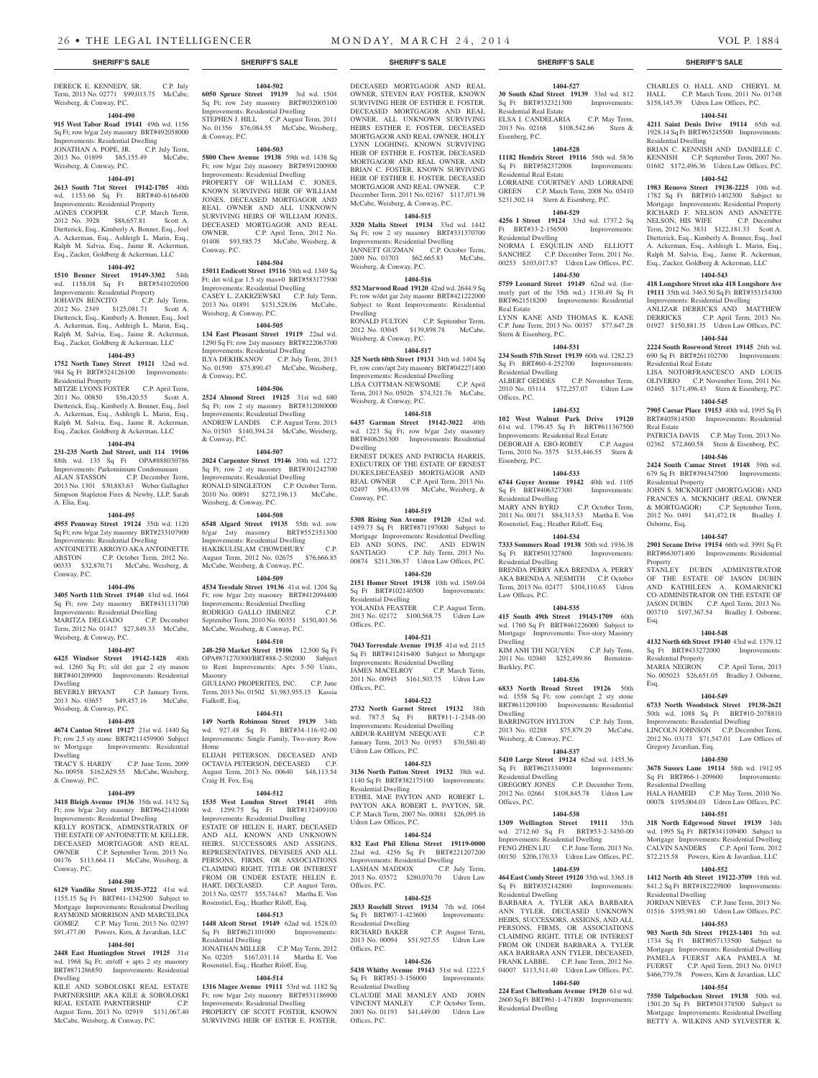#### DERECK E. KENNEDY, SR. C.P. July Term, 2013 No. 02771 \$99,013.75 McCabe, Weisberg, & Conway, P.C.

#### **1404-490**

**915 West Tabor Road 19141** 49th wd. 1156 Sq Ft; row b/gar 2sty masonry BRT#492058000 Improvements: Residential Dwelling

JONATHAN A. POPE, JR. C.P. July Term, 2013 No. 01899 \$85,155.49 McCabe, Weisberg, & Conway, P.C.

#### **1404-491**

**2613 South 71st Street 19142-1705** 40th wd. 1153.66 Sq Ft BRT#40-6166400 Improvements: Residential Property AGNES COOPER C.P. March Term, 2012 No. 3928 \$88,657.81 Scott A. Dietterick, Esq., Kimberly A. Bonner, Esq., Joel A. Ackerman, Esq., Ashleigh L. Marin, Esq., Ralph M. Salvia, Esq., Jaime R. Ackerman, Esq., Zucker, Goldberg & Ackerman, LLC

#### **1404-492**

**1510 Benner Street 19149-3302** 54th wd. 1158.08 Sq Ft BRT#541020500 Improvements: Residential Property

JOHAVIN BENCITO C.P. July Term, 2012 No. 2349 \$125,081.71 Scott A. Dietterick, Esq., Kimberly A. Bonner, Esq., Joel A. Ackerman, Esq., Ashleigh L. Marin, Esq., Ralph M. Salvia, Esq., Jaime R. Ackerman, Esq., Zucker, Goldberg & Ackerman, LLC

#### **1404-493**

**1752 North Taney Street 19121** 32nd wd. 984 Sq Ft BRT#324126100 Improvements: Residential Property

MITZIE LYONS FOSTER C.P. April Term, 2011 No. 00850 \$56,420.55 Scott A. Dietterick, Esq., Kimberly A. Bonner, Esq., Joel A. Ackerman, Esq., Ashleigh L. Marin, Esq., Ralph M. Salvia, Esq., Jaime R. Ackerman, Esq., Zucker, Goldberg & Ackerman, LLC

#### **1404-494**

**231-235 North 2nd Street, unit 114 19106**  88th wd. 135 Sq Ft OPA#888030786 Improvements: Parkominium Condominium ALAN STASSON C.P. December Term, 2013 No. 1301 \$30,883.63 Weber Gallagher Simpson Stapleton Fires & Newby, LLP, Sarah A. Elia, Esq.

#### **1404-495**

**4955 Pennway Street 19124** 35th wd. 1120 Sq Ft; row b/gar 2sty masonry BRT#233107900 Improvements: Residential Dwelling ANTOINETTE ARROYO AKA ANTOINETTE ABSTON C.P. October Term, 2012 No. 00333 \$32,870.71 McCabe, Weisberg, & Conway, P.C.

### **1404-496**

**3405 North 11th Street 19140** 43rd wd. 1664 Sq Ft; row 2sty masonry BRT#431131700 Improvements: Residential Dwelling MARITZA DELGADO C.P. December Term, 2012 No. 01417 \$27,849.33 McCabe,

Weisberg, & Conway, P.C. **1404-497**

#### **6425 Windsor Street 19142-1428** 40th wd. 1260 Sq Ft; s/d det gar 2 sty mason BRT#401209900 Improvements: Residential Dwelling

BEVERLY BRYANT C.P. January Term, 2013 No. 03657 \$49,457.16 McCabe, Weisberg, & Conway, P.C.

#### **1404-498**

**4674 Canton Street 19127** 21st wd. 1440 Sq Ft; row 2.5 sty stone BRT#211459900 Subject to Mortgage Improvements: Residential Dwelling

TRACY S. HARDY C.P. June Term, 2009 No. 00958 \$162,629.55 McCabe, Weisberg, & Conway, P.C.

# **1404-499**

**3418 Bleigh Avenue 19136** 35th wd. 1432 Sq Ft; row b/gar 2sty masonry BRT#642141000 Improvements: Residential Dwelling

KELLY ROSTICK, ADMINSTRATRIX OF THE ESTATE OF ANTOINETTE M. KELLER, DECEASED MORTGAGOR AND REAL OWNER C.P. September Term, 2013 No. 04176 \$113,664.11 McCabe, Weisberg, & Conway, P.C.

# **1404-500**

**6129 Vandike Street 19135-3722** 41st wd. 1155.15 Sq Ft BRT#41-1342500 Subject to Mortgage Improvements: Residential Dwelling RAYMOND MORRISON AND MARCELINA GOMEZ C.P. May Term, 2013 No. 02397 \$91,477.00 Powers, Kirn, & Javardian, LLC

# **1404-501**

**2448 East Huntingdon Street 19125** 31st wd. 1968 Sq Ft; str/off + apts 2 sty masonry BRT#871286850 Improvements: Residential Dwelling

KILE AND SOBOLOSKI REAL ESTATE PARTNERSHIP, AKA KILE & SOBOLOSKI REAL ESTATE PARNTERSHIP C.P. August Term, 2013 No. 02919 \$131,067.40 McCabe, Weisberg, & Conway, P.C.

**1404-502 6050 Spruce Street 19139** 3rd wd. 1504 Sq Ft; row 2sty masonry BRT#032005100 Improvements: Residential Dwelling STEPHEN J. HILL C.P. August Term, 2011 No. 01356 \$76,084.55 McCabe, Weisberg,

### & Conway, P.C. **1404-503**

**5800 Chew Avenue 19138** 59th wd. 1438 Sq Ft; row b/gar 2sty masonry BRT#591200900 Improvements: Residential Dwelling PROPERTY OF WILLIAM C. JONES, KNOWN SURVIVING HEIR OF WILLIAM JONES, DECEASED MORTGAGOR AND REAL OWNER AND ALL UNKNOWN SURVIVING HEIRS OF WILLIAM JONES, DECEASED MORTGAGOR AND REAL OWNER. C.P. April Term, 2012 No. C.P. April Term, 2012 No. 01408 \$93,585.75 McCabe, Weisberg, &

## **1404-504**

Conway, P.C.

**15011 Endicott Street 19116** 58th wd. 1349 Sq Ft; det w/d.gar 1.5 sty mas+0 BRT#583177500 Improvements: Residential Dwelling

CASEY L. ZAKRZEWSKI C.P. July Term, 2013 No. 01891 \$151,528.06 McCabe, Weisberg, & Conway, P.C.

# **1404-505**

**134 East Pleasant Street 19119** 22nd wd. 1290 Sq Ft; row 2sty masonry BRT#222063700 Improvements: Residential Dwelling ILYA DEKHKANOV C.P. July Term, 2013 No. 01590 \$75,890.47 McCabe, Weisberg, & Conway, P.C.

### **1404-506**

**2524 Almond Street 19125** 31st wd. 680 Sq Ft; row 2 sty masonry BRT#312080000 Improvements: Residential Dwelling ANDREW LANDIS C.P. August Term, 2013 No. 01503 \$140,394.24 McCabe, Weisberg, & Conway, P.C.

#### **1404-507**

**2024 Carpenter Street 19146** 30th wd. 1272 Sq Ft; row 2 sty masonry BRT#301242700 Improvements: Residential Dwelling RONALD SINGLETON C.P. October Term, 2010 No. 00891 \$272,196.13 McCabe, Weisberg, & Conway, P.C.

### **1404-508**

**6548 Algard Street 19135** 55th wd. row b/gar 2sty masonry BRT#552351300 Improvements: Residential Dwelling HAKIKULISLAM CHOWDHURY C.P. August Term, 2012 No. 02675 \$76,666.85 McCabe, Weisberg, & Conway, P.C.

#### **1404-509**

**4534 Teesdale Street 19136** 41st wd. 1204 Sq Ft; row b/gar 2sty masonry BRT#412094400 Improvements: Residential Dwelling RODRIGO GALLO JIMENEZ C.P. September Term, 2010 No. 00351 \$150,401.56 McCabe, Weisberg, & Conway, P.C.

#### **1404-510**

**248-250 Market Street 19106** 12,500 Sq Ft OPA#871270300/BRT#88-2-502000 Subject to Rent Improvements: Apts 5-50 Units, Masonry GIULIANO PROPERITES, INC. C.P. June

Term, 2013 No. 01502 \$1,983,955.15 Kassia Fialkoff, Esq,

### **1404-511**

**149 North Robinson Street 19139** 34th wd. 927.48 Sq Ft BRT#34-116-92-00 Improvements: Single Family, Two-story Row Home

ELIJAH PETERSON, DECEASED AND OCTAVIA PETERSON, DECEASED C.P. August Term, 2013 No. 00640 \$48,113.54 Craig H. Fox, Esq

#### **1404-512**

**1535 West Loudon Street 19141** 49th wd. 1299.75 Sq Ft BRT#132409100 Improvements: Residential Dwelling

ESTATE OF HELEN E. HART, DECEASED AND ALL KNOWN AND UNKNOWN HEIRS, SUCCESSORS AND ASSIGNS, REPRESENTATIVES, DEVISEES AND ALL PERSONS, FIRMS, OR ASSOCIATIONS CLAIMING RIGHT, TITLE OR INTEREST FROM OR UNDER ESTATE HELEN E. HART, DECEASED. C.P. August Term, 2013 No. 02577 \$55,744.67 Martha E. Von Rosenstiel, Esq.; Heather Riloff, Esq.

#### **1404-513**

**1448 Alcott Street 19149** 62nd wd. 1528.03 Sq Ft BRT#621101000 Residential Dwelling

JONATHAN MILLER C.P. May Term, 2012 No. 02205 \$167,031.14 Martha E. Von Rosenstiel, Esq.; Heather Riloff, Esq.

#### **1404-514**

**1316 Magee Avenue 19111** 53rd wd. 1182 Sq Ft; row b/gar 2sty masonry BRT#531186900 Improvements: Residential Dwelling

PROPERTY OF SCOTT FOSTER, KNOWN SURVIVING HEIR OF ESTER E. FOSTER,

# **SHERIFF'S SALE SHERIFF'S SALE SHERIFF'S SALE SHERIFF'S SALE SHERIFF'S SALE**

DECEASED MORTGAGOR AND REAL OWNER, STEVEN RAY FOSTER, KNOWN SURVIVING HEIR OF ESTHER E. FOSTER, DECEASED MORTGAGOR AND REAL OWNER, ALL UNKNOWN SURVIVING HEIRS ESTHER E. FOSTER, DECEASED MORTGAGOR AND REAL OWNER, HOLLY LYNN LOGHING, KNOWN SURVIVING HEIR OF ESTHER E. FOSTER, DECEASED MORTGAGOR AND REAL OWNER, AND BRIAN C. FOSTER, KNOWN SURVIVING HEIR OF ESTHER E. FOSTER, DECEASED MORTGAGOR AND REAL OWNER. C.P. December Term, 2011 No. 02167 \$117,071.98 McCabe, Weisberg, & Conway, P.C.

# **1404-515**

**3320 Malta Street 19134** 33rd wd. 1442 Sq Ft; row 2 sty masonry BRT#331370700 Improvements: Residential Dwelling JANNETT GUZMAN C.P. October Term, 2009 No. 03703 \$62,665.83 McCabe, Weisberg, & Conway, P.C.

**1404-516 552 Marwood Road 19120** 42nd wd. 2644.9 Sq Ft; row w/det gar 2sty masonr BRT#421222000 Subject to Rent Improvements: Residential Dwelling RONALD FULTON C.P. September Term,

2012 No. 03045 \$139,898.78 McCabe, Weisberg, & Conway, P.C. **1404-517**

**325 North 60th Street 19131** 34th wd. 1404 Sq Ft, row conv/apt 2sty masonry BRT#042271400 Improvements: Residential Dwelling<br>LISA COTTMAN-NEWSOME C.P. April LISA COTTMAN-NEWSOME

Term, 2013 No. 05026 \$74,321.76 McCabe, Weisberg, & Conway, P.C. **1404-518**

**6437 Garman Street 19142-3022** 40th wd. 1223 Sq Ft; row b/gar 2sty masonry BRT#406261300 Improvements: Residential Dwelling ERNEST DUKES AND PATRICIA HARRIS, EXECUTRIX OF THE ESTATE OF ERNEST DUKES,DECEASED MORTGAGOR AND REAL OWNER C.P. April Term, 2013 No. 02497 \$96,433.98 McCabe, Weisberg, &

#### **1404-519**

Conway, P.C.

**5308 Rising Sun Avenue 19120** 42nd wd. 1459.73 Sq Ft BRT#871197000 Subject to Mortgage Improvements: Residential Dwelling ED AND SONS, INC. AND EDWIN C.P. July Term, 2013 No. 00874 \$211,306.37 Udren Law Offices, P.C.

**1404-520 2151 Homer Street 19138** 10th wd. 1569.04 Sq Ft BRT#102140500 Improvements: Residential Dwelling

YOLANDA FEASTER C.P. August Term, 2013 No. 02172 \$100,568.75 Udren Law Offices, P.C.

#### **1404-521**

**7043 Torresdale Avenue 19135** 41st wd. 2115 Sq Ft BRT#412416400 Subject to Mortgage Improvements: Residential Dwelling JAMES MACELROY C.P. March Term, 2011 No. 00945 \$161,503.75 Udren Law Offices, P.C.

#### **1404-522**

**2732 North Garnet Street 19132** 38th wd. 787.5 Sq Ft BRT#11-1-2348-00 Improvements: Residential Dwelling ABDUR-RAHIYM NEEQUAYE C.P. January Term, 2013 No. 01953 \$70,580.40 Udren Law Offices, P.C.

#### **1404-523**

**3136 North Patton Street 19132** 38th wd. 1140 Sq Ft BRT#382175100 Improvements: Residential Dwelling ETHEL MAE PAYTON AND ROBERT L. PAYTON AKA ROBERT L. PAYTON, SR. C.P. March Term, 2007 No. 00881 \$26,095.16 Udren Law Offices, P.C.

#### **1404-524**

**832 East Phil Ellena Street 19119-0000**  22nd wd. 4256 Sq Ft BRT#221207200 Improvements: Residential Dwelling<br>LASHAN MADDOX C.P. July Term, LASHAN MADDOX 2013 No. 03572 \$280,070.70 Udren Law Offices, P.C.

#### **1404-525**

Offices, P.C.

**2833 Rosehill Street 19134** 7th wd. 1064 Sq Ft BRT#07-1-423600 Improvements: Residential Dwelling RICHARD BAKER C.P. August Term, 2013 No. 00094 \$51,927.55 Udren Law Offices, P.C.

### **1404-526**

**5438 Whitby Avenue 19143** 51st wd. 1222.5 Sq Ft BRT#51-3-156000 Improvements: Residential Dwelling CLAUDIE MAE MANLEY AND JOHN VINCENT MANLEY C.P. October Term, 2003 No. 01193 \$41,449.00 Udren Law

# **1404-527**

CHARLES O. HALL AND CHERYL M. HALL C.P. March Term, 2011 No. 01748 \$158,145.39 Udren Law Offices, P.C. **1404-541 4211 Saint Denis Drive 19114** 65th wd. 1928.14 Sq Ft BRT#65245500 Improvements:

BRIAN C. KENNISH AND DANIELLE C. KENNISH C.P. September Term, 2007 No. 01682 \$172,496.36 Udren Law Offices, P.C. **1404-542 1983 Renovo Street 19138-2225** 10th wd. 1782 Sq Ft BRT#10-1402300 Subject to Mortgage Improvements: Residential Property RICHARD F. NELSON AND ANNETTE<br>NELSON. HIS WIFE C.P. December NELSON, HIS WIFE C.P. December Term, 2012 No. 3831 \$122,181.33 Scott A. Dietterick, Esq., Kimberly A. Bonner, Esq., Joel A. Ackerman, Esq., Ashleigh L. Marin, Esq., Ralph M. Salvia, Esq., Jaime R. Ackerman, Esq., Zucker, Goldberg & Ackerman, LLC **1404-543 418 Longshore Street nka 418 Longshore Ave 19111** 35th wd. 3463.50 Sq Ft BRT#353154300 Improvements: Residential Dwelling ANLIZAR DERRICKS AND MATTHEW DERRICKS C.P. April Term, 2013 No. 01927 \$150,881.35 Udren Law Offices, P.C. **1404-544 2224 South Rosewood Street 19145** 26th wd. 690 Sq Ft BRT#261102700 Improvements:

Residential Dwelling

Residential Real Estate

Real Estate

Residential Property

Osborne, Esq.

Property

Esq.

Esq.

Residential Property

Gregory Javardian, Esq.

Residential Dwelling

Residential Dwelling

2012 No. 0491 \$41,472.18

LISA NOTORFRANCESCO AND LOUIS OLIVERIO C.P. November Term, 2011 No. 02465 \$171,496.43 Stern & Eisenberg, P.C. **1404-545 7905 Caesar Place 19153** 40th wd. 1995 Sq Ft BRT#405814500 Improvements: Residential

PATRICIA DAVIS C.P. May Term, 2013 No. 02362 \$72,860.58 Stern & Eisenberg, P.C. **1404-546 2424 South Camac Street 19148** 39th wd. 679 Sq Ft BRT#394347500 Improvements:

JOHN S. MCKNIGHT (MORTGAGOR) AND FRANCES A. MCKNIGHT (REAL OWNER & MORTGAGOR) C.P. September Term,<br>2012 No. 0491 \$41,472.18 Bradley J.

**1404-547 2901 Secane Drive 19154** 66th wd. 3991 Sq Ft BRT#663071400 Improvements: Residential

STANLEY DUBIN ADMINISTRATOR OF THE ESTATE OF JASON DUBIN AND KATHILEEN A. KOMARNICKI CO-ADMINISTRATOR ON THE ESTATE OF JASON DUBIN C.P. April Term, 2013 No. 003710 \$197,367.54 Bradley J. Osborne,

**1404-548 4132 North 6th Street 19140** 43rd wd. 1379.12 Sq Ft BRT#433272000 Improvements:

MARIA NEGRON C.P. April Term, 2013 No. 005023 \$26,651.05 Bradley J. Osborne,

**1404-549 6733 North Woodstock Street 19138-2621**  50th wd. 1088 Sq Ft BRT#10-2078810 Improvements: Residential Dwelling LINCOLN JOHNSON C.P. December Term, 2012 No. 03173 \$71,547.01 Law Offices of

**1404-550 3678 Sussex Lane 19114** 58th wd. 1912.95 Sq Ft BRT#66-1-209600 Improvements:

HALA HAMEID C.P. May Term, 2010 No. 00078 \$195,004.03 Udren Law Offices, P.C. **1404-551 318 North Edgewood Street 19139** 34th wd. 1995 Sq Ft BRT#341109400 Subject to Mortgage Improvements: Residential Dwelling CALVIN SANDERS C.P. April Term, 2012 \$72,215.58 Powers, Kirn & Javardian, LLC **1404-552 1412 North 4th Street 19122-3709** 18th wd. 841.2 Sq Ft BRT#182229800 Improvements:

JORDAN NIEVES C.P. June Term, 2013 No. 01516 \$195,981.60 Udren Law Offices, P.C. **1404-553 903 North 5th Street 19123-1401** 5th wd. 1734 Sq Ft BRT#057133500 Subject to Mortgage Improvements: Residential Dwelling PAMELA FUERST AKA PAMELA M. FUERST C.P. April Term, 2013 No. 01913 \$466,779.78 Powers, Kirn & Javardian, LLC **1404-554 7550 Tulpehocken Street 19138** 50th wd. 1501.20 Sq Ft BRT#501378500 Subject to Mortgage Improvements: Residential Dwelling BETTY A. WILKINS AND SYLVESTER K

**30 South 62nd Street 19139** 33rd wd. 812 Sq Ft BRT#332321300 Improvements: Residential Real Estate ELSA I. CANDELARIA C.P. May Term, 2013 No. 02168 \$108,542.66 Stern & Eisenberg, P.C.

### **1404-528**

**11182 Hendrix Street 19116** 58th wd. 5836 Sq Ft BRT#582372008 Improvements: Residential Real Estate

LORRAINE COURTNEY AND LORRAINE GREEN C.P. March Term, 2008 No. 05410 \$231,502.14 Stern & Eisenberg, P.C.

# **1404-529**

**4256 I Street 19124** 33rd wd. 1737.2 Sq Ft BRT#33-2-156500 Improvements: Residential Dwelling NORMA I. ESQUILIN AND ELLIOTT SANCHEZ C.P. December Term, 2011 No.

00253 \$103,017.87 Udren Law Offices, P.C. **1404-530 5759 Leonard Street 19149** 62nd wd. (for-

merly part of the 35th wd.) 1130.49 Sq Ft BRT#621518200 Improvements: Residential

LYNN KANE AND THOMAS K. KANE C.P. June Term, 2013 No. 00357 \$77,647.28

**1404-531 234 South 57th Street 19139** 60th wd. 1282.23 Sq Ft BRT#60-4-252700 Improvements:

2010 No. 03114 \$72,257.07 Udren Law

**1404-532 102 West Walnut Park Drive 19120**  61st wd. 1796.45 Sq Ft BRT#611367500 Improvements: Residential Real Estate DEBORAH A. EBO-ROBEY C.P. August Term, 2010 No. 3575 \$135,446.55 Stern &

**1404-533 6744 Guyer Avenue 19142** 40th wd. 1105 Sq Ft BRT#406327300 Improvements:

MARY ANN BYRD C.P. October Term, 2011 No. 00171 \$84,313.53 Martha E. Von Rosenstiel, Esq.; Heather Riloff, Esq. **1404-534 7333 Sommers Road 19138** 50th wd. 1936.38 Sq Ft BRT#501327800 Improvements:

BRENDA PERRY AKA BRENDA A. PERRY AKA BRENDA A. NESMITH C.P. October Term, 2013 No. 02477 \$104,110.65 Udren

**1404-535 415 South 49th Street 19143-1709** 60th wd. 1760 Sq Ft BRT#461226000 Subject to Mortgage Improvements: Two-story Masonry

KIM ANH THI NGUYEN C.P. July Term, 2011 No. 02040 \$252,499.86 Bernstein-

**1404-536 6833 North Broad Street 19126** 50th wd. 1558 Sq Ft; row conv/apt 2 sty stone BRT#611209100 Improvements: Residential

BARRINGTON HYLTON C.P. July Term, 2013 No. 02288 \$75,879.29 McCabe,

**1404-537 5410 Large Street 19124** 62nd wd. 1455.36 Sq Ft BRT#621334000 Improvements:

2012 No. 02661 \$108,845.78 Udren Law

**1404-538 1309 Wellington Street 19111** 35th wd. 2712.60 Sq Ft BRT#53-2-3450-00 Improvements: Residential Dwelling FENG ZHEN LIU C.P. June Term, 2013 No. 00150 \$206,170.33 Udren Law Offices, P.C. **1404-539 464 East Comly Street 19120** 35th wd. 3365.18 Sq Ft BRT#352142800 Improvements:

BARBARA A. TYLER AKA BARBARA ANN TYLER, DECEASED UNKNOWN HEIRS, SUCCESSORS, ASSIGNS, AND ALL PERSONS, FIRMS, OR ASSOCIATIONS CLAIMING RIGHT, TITLE OR INTEREST FROM OR UNDER BARBARA A. TYLER AKA BARBARA ANN TYLER, DECEASED, FRANK LABBE. C.P. June Term, 2012 No. 04007 \$113,511.40 Udren Law Offices, P.C. **1404-540 224 East Cheltenham Avenue 19120** 61st wd. 2600 Sq Ft BRT#61-1-471800 Improvements:

C.P. December Term,

C.P. November Term,

Real Estate

Stern & Eisenberg, P.C.

Residential Dwelling<br>ALBERT GEDDES

Offices, P.C.

Eisenberg, P.C.

Residential Dwelling

Residential Dwelling

Law Offices, P.C.

Dwelling

Dwelling

Weisberg, & Conway, P.C.

Residential Dwelling<br>GREGORY JONES

Residential Dwelling

Residential Dwelling

Offices, P.C.

Burkley, P.C.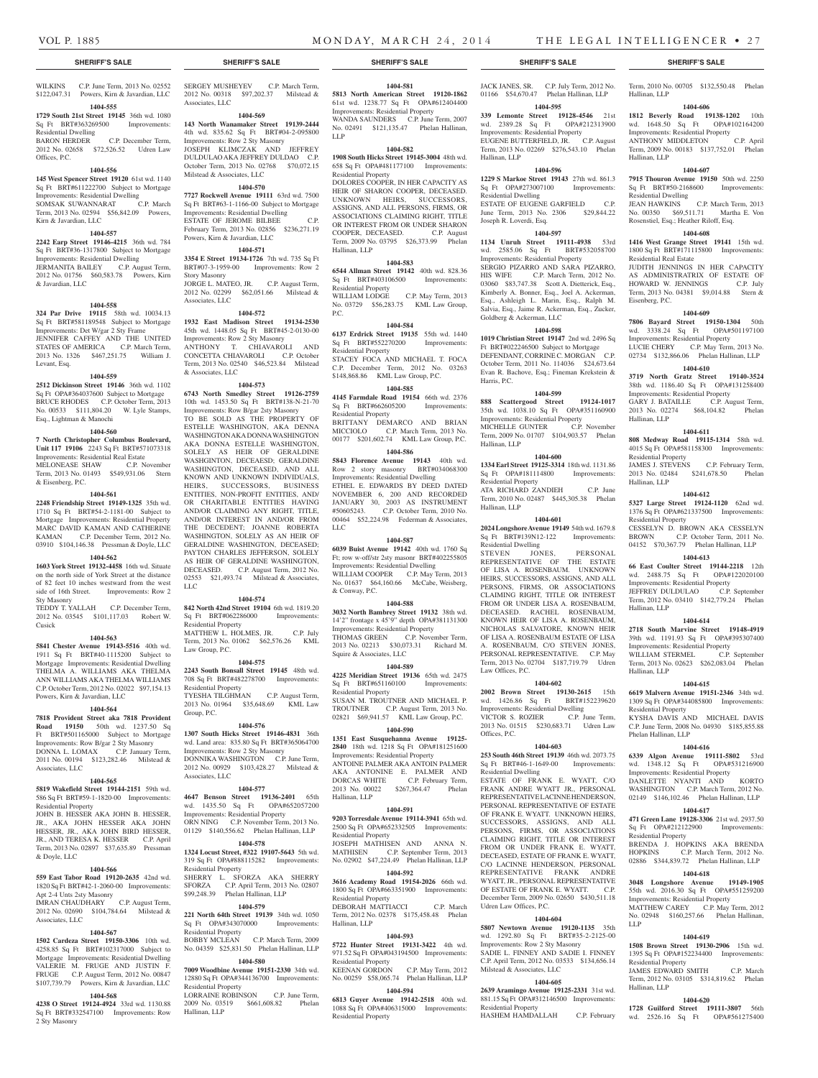Hallinan, LLP

Hallinan, LLP

Residential Dwelling

Residential Real Estate

Eisenberg, P.C.

Hallinan, LLP

Hallinan, LLP

Residential Property<br>JAMES J. STEVENS

Residential Property

Hallinan, LLP

Hallinan, LLP

Residential Property

Phelan Hallinan, LLP

Residential Property

Residential Property

Hallinan, LLP

LLP

Term, 2010 No. 00705 \$132,550.48 Phelan

**1404-606 1812 Beverly Road 19138-1202** 10th wd. 1648.50 Sq Ft OPA#102164200 Improvements: Residential Property ANTHONY MIDDLETON C.P. April Term, 2009 No. 00183 \$137,752.01 Phelan

**1404-607 7915 Thouron Avenue 19150** 50th wd. 2250<br>
Sq Ft BRT#50-2168600 Improvements Sq Ft BRT#50-2168600 Improvements:

JEAN HAWKINS C.P. March Term, 2013 No. 00350 \$69,511.71 Martha E. Von Rosenstiel, Esq.; Heather Riloff, Esq. **1404-608 1416 West Grange Street 19141** 15th wd. 1800 Sq Ft BRT#171115800 Improvements:

JUDITH JENNINGS IN HER CAPACITY AS ADMINISTRATRIX OF ESTATE OF HOWARD W. JENNINGS C.P. July Term, 2013 No. 04381 \$9,014.88 Stern &

**1404-609 7806 Bayard Street 19150-1304** 50th wd. 3338.24 Sq Ft OPA#501197100 Improvements: Residential Property LUCIE CHERY C.P. May Term, 2013 No. 02734 \$132,866.06 Phelan Hallinan, LLP **1404-610 3719 North Gratz Street 19140-3524**  38th wd. 1186.40 Sq Ft OPA#131258400 Improvements: Residential Property GARY J. BATAILLE C.P. August Term, 2013 No. 02274 \$68,104.82 Phelan

**1404-611 808 Medway Road 19115-1314** 58th wd. 4015 Sq Ft OPA#581158300 Improvements:

2013 No. 02484 \$241,678.50 Phelan

**1404-612 5327 Large Street 19124-1120** 62nd wd. 1376 Sq Ft OPA#621337500 Improvements:

CESSELYN D. BROWN AKA CESSELYN<br>RROWN CP October Term 2011 No

04152 \$70,367.79 Phelan Hallinan, LLP **1404-613 66 East Coulter Street 19144-2218** 12th wd. 2488.75 Sq Ft OPA#122020100 Improvements: Residential Property JEFFREY DULDULAO C.P. September Term, 2012 No. 03410 \$142,779.24 Phelan

**1404-614 2718 South Marvine Street 19148-4919**  39th wd. 1191.93 Sq Ft OPA#395307400 Improvements: Residential Property WILLIAM STERMEL C.P. September Term, 2013 No. 02623 \$262,083.04 Phelan

**1404-615 6619 Malvern Avenue 19151-2346** 34th wd. 1309 Sq Ft OPA#344085800 Improvements:

KYSHA DAVIS AND MICHAEL DAVIS C.P. June Term, 2008 No. 04930 \$185,855.88

**1404-616 6339 Algon Avenue 19111-5802** 53rd wd. 1348.12 Sq Ft OPA#531216900 Improvements: Residential Property DANLETTE NYANTI AND KORTO WASHINGTON C.P. March Term, 2012 No. 02149 \$146,102.46 Phelan Hallinan, LLP **1404-617 471 Green Lane 19128-3306** 21st wd. 2937.50 Sq Ft OPA#212122900 Improvements:

BRENDA J. HOPKINS AKA BRENDA HOPKINS C.P. March Term, 2012 No. 02886 \$344,839.72 Phelan Hallinan, LLP **1404-618 3048 Longshore Avenue 19149-1905**  55th wd. 2016.30 Sq Ft OPA#551259200 Improvements: Residential Property MATTHEW CAREY C.P. May Term, 2012 No. 02948 \$160,257.66 Phelan Hallinan,

**1404-619 1508 Brown Street 19130-2906** 15th wd. 1395 Sq Ft OPA#152234400 Improvements:

JAMES EDWARD SMITH C.P. March Term, 2012 No. 03105 \$314,819.62 Phelan

**1404-620 1728 Guilford Street 19111-3807** 56th wd. 2526.16 Sq Ft OPA#561275400

C.P. October Term, 2011 No.

C.P. February Term,

### **SHERIFF'S SALE SHERIFF'S SALE SHERIFF'S SALE SHERIFF'S SALE SHERIFF'S SALE**

WILKINS C.P. June Term, 2013 No. 02552 \$122,047.31 Powers, Kirn & Javardian, LLC **1404-555**

**1729 South 21st Street 19145** 36th wd. 1080 Sq Ft BRT#363269500 Improvements: Residential Dwelling BARON HERDER C.P. December Term, 2012 No. 02658 \$72,526.52 Udren Law

# Offices, P.C.

**1404-556 145 West Spencer Street 19120** 61st wd. 1140 Sq Ft BRT#611222700 Subject to Mortgage Improvements: Residential Dwelling<br>
SOMSAK SUWANNARAT C.P. March SOMSAK SUWANNARAT Term, 2013 No. 02594 \$56,842.09 Powers, Kirn & Javardian, LLC

#### **1404-557**

**2242 Earp Street 19146-4215** 36th wd. 784 Sq Ft BRT#36-1317800 Subject to Mortgage Improvements: Residential Dwelling JERMANITA BAILEY C.P. August Term, 2012 No. 01756 \$60,583.78 Powers, Kirn & Javardian, LLC

#### **1404-558**

**324 Par Drive 19115** 58th wd. 10034.13 Sq Ft BRT#581189548 Subject to Mortgage Improvements: Det W/gar 2 Sty Frame JENNIFER CAFFEY AND THE UNITED STATES OF AMERICA C.P. March Term, 2013 No. 1326 \$467,251.75 William J. Levant, Esq.

#### **1404-559**

**2512 Dickinson Street 19146** 36th wd. 1102 Sq Ft OPA#364037600 Subject to Mortgage BRUCE RHODES C.P. October Term, 2013 No. 00533 \$111,804.20 W. Lyle Stamps, Esq., Lightman & Manochi

#### **1404-560**

**7 North Christopher Columbus Boulevard, Unit 117 19106** 2243 Sq Ft BRT#571073318

Improvements: Residential Real Estate MELONEASE SHAW C.P. November Term, 2013 No. 01493 \$549,931.06 Stern & Eisenberg, P.C.

#### **1404-561**

**2248 Friendship Street 19149-1325** 35th wd. 1710 Sq Ft BRT#54-2-1181-00 Subject to Mortgage Improvements: Residential Property MARC DAVID KAMAN AND CATHERINE KAMAN C.P. December Term, 2012 No. 03910 \$104,146.38 Pressman & Doyle, LLC

#### **1404-562**

**1603 York Street 19132-4458** 16th wd. Situate on the north side of York Street at the distance of 82 feet 10 inches westward from the west side of 16th Street. Improvements: Row 2 Sty Masonry

TEDDY T. YALLAH C.P. December Term, 2012 No. 03545 \$101,117.03 Robert W. Cusick

#### **1404-563**

**5841 Chester Avenue 19143-5516** 40th wd. 1911 Sq Ft BRT#40-1115200 Subject to Mortgage Improvements: Residential Dwelling THELMA A. WILLIAMS AKA THELMA ANN WILLIAMS AKA THELMA WILLIAMS C.P. October Term, 2012 No. 02022 \$97,154.13 Powers, Kirn & Javardian, LLC

#### **1404-564**

**7818 Provident Street aka 7818 Provident Road 19150** 50th wd. 1237.50 Sq Ft BRT#501165000 Subject to Mortgage Improvements: Row B/gar 2 Sty Masonry DONNA L. LOMAX C.P. January Term, 2011 No. 00194 \$123,282.46 Milstead & Associates, LLC

#### **1404-565**

**5819 Wakefield Street 19144-2151** 59th wd. 586 Sq Ft BRT#59-1-1820-00 Improvements: Residential Property

JOHN B. HESSER AKA JOHN B. HESSER, JR., AKA JOHN HESSER AKA JOHN HESSER, JR., AKA JOHN BIRD HESSER, JR., AND TERESA K. HESSER C.P. April Term, 2013 No. 02897 \$37,635.89 Pressman & Doyle, LLC

#### **1404-566**

**559 East Tabor Road 19120-2635** 42nd wd. 1820 Sq Ft BRT#42-1-2060-00 Improvements: Apt 2-4 Unts 2sty Masonry IMRAN CHAUDHARY C.P. August Term, 2012 No. 02690 \$104,784.64 Milstead & Associates, LLC

#### **1404-567**

**1502 Cardeza Street 19150-3306** 10th wd. 4258.85 Sq Ft BRT#102317000 Subject to Mortgage Improvements: Residential Dwelling VALERIE M. FRUGE AND JUSTIN F. FRUGE C.P. August Term, 2012 No. 00847 \$107,739.79 Powers, Kirn & Javardian, LLC

# **1404-568**

**4238 O Street 19124-4924** 33rd wd. 1130.88 Sq Ft BRT#332547100 Improvements: Row 2 Sty Masonry

SERGEY MUSHEYEV C.P. March Term, 2012 No. 00318 \$97,202.37 Milstead & Associates, LLC

**1404-569**

**143 North Wanamaker Street 19139-2444**  4th wd. 835.62 Sq Ft BRT#04-2-095800 Improvements: Row 2 Sty Masonry JOSEPH KLIMCZAK AND JEFFREY DULDULAO AKA JEFFREY DULDAO C.P. October Term, 2013 No. 02768 \$70,072.15 Milstead & Associates, LLC

# **1404-570**

**7727 Rockwell Avenue 19111** 63rd wd. 7500 Sq Ft BRT#63-1-1166-00 Subject to Mortgage Improvements: Residential Dwelling ESTATE OF JEROME BILBEE C.P. February Term, 2013 No. 02856 \$236,271.19 Powers, Kirn & Javardian, LLC

#### **1404-571**

**3354 E Street 19134-1726** 7th wd. 735 Sq Ft BRT#07-3-1959-00 Improvements: Row 2 Story Masonry JORGE L. MATEO, JR. C.P. August Term, 2012 No. 02299 \$62,051.66 Milstead & Associates, LLC

#### **1404-572**

**1932 East Madison Street 19134-2530**  45th wd. 1448.05 Sq Ft BRT#45-2-0130-00 Improvements: Row 2 Sty Masonry ANTHONY T. CHIAVAROLI AND CONCETTA CHIAVAROLI C.P. October Term, 2013 No. 02540 \$46,523.84 Milstead & Associates, LLC

#### **1404-573**

**6743 North Smedley Street 19126-2759**  10th wd. 1453.50 Sq Ft BRT#138-N-21-70 Improvements: Row B/gar 2sty Masonry

TO BE SOLD AS THE PROPERTY OF ESTELLE WASHINGTON, AKA DENNA WASHINGTON AKA DONNA WASHINGTON AKA DONNA ESTELLE WASHINGTON, SOLELY AS HEIR OF GERALDINE WASHGINTON, DECEAESD; GERALDINE WASHINGTON, DECEASED, AND ALL KNOWN AND UNKNOWN INDIVIDUALS, HEIRS, SUCCESSORS, BUSINESS ENTITIES, NON-PROFIT ENTITIES, AND/ OR CHARITABLE ENTITIES HAVING AND/OR CLAIMING ANY RIGHT, TITLE, AND/OR INTEREST IN AND/OR FROM THE DECEDENT; JOANNE ROBERTA WASHINGTON, SOLELY AS AN HEIR OF GERALDINE WASHINGTON, DECEASED; PAYTON CHARLES JEFFERSON, SOLELY AS HEIR OF GERALDINE WASHINGTON,<br>DECEASED. C.P. August Term. 2012 No. C.P. August Term, 2012 No. 02553 \$21,493.74 Milstead & Associates, LLC

#### **1404-574**

**842 North 42nd Street 19104** 6th wd. 1819.20 Sq Ft BRT#062286000 Improvements: Residential Property MATTHEW L. HOLMES, JR. C.P. July Term, 2013 No. 01062 \$62,576.26 KML Law Group, P.C.

#### **1404-575**

**2243 South Bonsall Street 19145** 48th wd. 708 Sq Ft BRT#482278700 Improvements: Residential Property TYESHA TILGHMAN C.P. August Term, 2013 No. 01964 \$35,648.69 KML Law Group, P.C.

#### **1404-576**

**1307 South Hicks Street 19146-4831** 36th wd. Land area: 835.80 Sq Ft BRT#365064700 Improvements: Row 2 Sty Masonry DONNIKA WASHINGTON C.P. June Term, 2012 No. 00929 \$103,428.27 Milstead & Associates, LLC

#### **1404-577**

**4647 Benson Street 19136-2401** 65th wd. 1435.50 Sq Ft OPA#652057200 Improvements: Residential Property ORN NING C.P. November Term, 2013 No. 01129 \$140,556.62 Phelan Hallinan, LLP

#### **1404-578**

**1324 Locust Street, #322 19107-5643** 5th wd. 319 Sq Ft OPA#888115282 Improvements: Residential Property SHERRY L. SFORZA AKA SHERRY SFORZA C.P. April Term, 2013 No. 02807 \$99,248.39 Phelan Hallinan, LLP

#### **1404-579**

**221 North 64th Street 19139** 34th wd. 1050 Sq Ft OPA#343070000 Improvements: Residential Property BOBBY MCLEAN C.P. March Term, 2009 No. 04359 \$25,831.50 Phelan Hallinan, LLP

# **1404-580**

**7009 Woodbine Avenue 19151-2330** 34th wd. 12880 Sq Ft OPA#344136700 Improvements: Residential Property LORRAINE ROBINSON C.P. June Term,

2009 No. 03519 \$661,608.82 Phelan Hallinan, LLP

**1404-581**

**5813 North American Street 19120-1862**  61st wd. 1238.77 Sq Ft OPA#612404400 Improvements: Residential Property WANDA SAUNDERS C.P. June Term, 2007 No. 02491 \$121,135.47 Phelan Hallinan, LLP

### **1404-582**

**1908 South Hicks Street 19145-3004** 48th wd. 658 Sq Ft OPA#481177100 Improvements: Residential Property

DOLORES COOPER, IN HER CAPACITY AS HEIR OF SHARON COOPER, DECEASED. UNKNOWN HEIRS, SUCCESSORS, ASSIGNS, AND ALL PERSONS, FIRMS, OR ASSOCIATIONS CLAIMING RIGHT, TITLE OR INTEREST FROM OR UNDER SHARON COOPER, DECEASED. C.P. August Term, 2009 No. 03795 \$26,373.99 Phelan Hallinan, LLP

#### **1404-583**

**6544 Allman Street 19142** 40th wd. 828.36 Sq Ft BRT#403106500 Improvements: Residential Property C.P. May Term, 2013 No. 03729 \$56,283.75 KML Law Group, P.C.

# **1404-584**

**6137 Erdrick Street 19135** 55th wd. 1440 Sq Ft BRT#552270200 Improvements: Residential Property STACEY FOCA AND MICHAEL T. FOCA C.P. December Term, 2012 No. 03263 \$148,868.86 KML Law Group, P.C.

### **1404-585**

**4145 Farmdale Road 19154** 66th wd. 2376 Sq Ft BRT#662605200 Improvements: Residential Property BRITTANY DEMARCO AND BRIAN

MICCIOLO C.P. March Term, 2013 No. 00177 \$201,602.74 KML Law Group, P.C. **1404-586**

**5843 Florence Avenue 19143** 40th wd. Row 2 story masonry BRT#034068300 Improvements: Residential Dwelling ETHEL E. EDWARDS BY DEED DATED NOVEMBER 6, 200 AND RECORDED JANUARY 30, 2003 AS INSTRUMENT<br>#50605243 CP October Term 2010 No C.P. October Term, 2010 No. 00464 \$52,224.98 Federman & Associates, LLC

#### **1404-587**

**6039 Buist Avenue 19142** 40th wd. 1760 Sq Ft; row w-off/str 2sty masonr BRT#402255805 Improvements: Residential Dwelling WILLIAM COOPER C.P. May Term, 2013 No. 01637 \$64,160.66 McCabe, Weisberg, & Conway, P.C.

### **1404-588**

**3032 North Bambrey Street 19132** 38th wd. 14'2" frontage x 45'9" depth OPA#381131300 Improvements: Residential Property THOMAS GREEN C.P. November Term, 2013 No. 02213 \$30,073.31 Richard M. Squire & Associates, LLC

#### **1404-589**

**4225 Meridian Street 19136** 65th wd. 2475 Sq Ft BRT#651160100 Improvements: Residential Property SUSAN M. TROUTNER AND MICHAEL P. TROUTNER C.P. August Term, 2013 No. 02821 \$69,941.57 KML Law Group, P.C.

#### **1404-590**

**1351 East Susquehanna Avenue 19125- 2840** 18th wd. 1218 Sq Ft OPA#181251600 Improvements: Residential Property ANTOINE PALMER AKA ANTOIN PALMER AKA ANTONINE E. PALMER AND DORCAS WHITE C.P. February Term, 2013 No. 00022 \$267,364.47 Phelan Hallinan, LLP

#### **1404-591**

**9203 Torresdale Avenue 19114-3941** 65th wd. 2500 Sq Ft OPA#652332505 Improvements: Residential Property JOSEPH MATHISEN AND ANNA N.

MATHISEN C.P. September Term, 2013 No. 02902 \$47,224.49 Phelan Hallinan, LLP **1404-592**

# **3616 Academy Road 19154-2026** 66th wd.

1800 Sq Ft OPA#663351900 Improvements: Residential Property DEBORAH MATTIACCI C.P. March Term, 2012 No. 02378 \$175,458.48 Phelan Hallinan, LLP

#### **1404-593**

**5722 Hunter Street 19131-3422** 4th wd. 971.52 Sq Ft OPA#043194500 Improvements: Residential Property KEENAN GORDON C.P. May Term, 2012

# No. 00259 \$58,065.74 Phelan Hallinan, LLP **1404-594**

**6813 Guyer Avenue 19142-2518** 40th wd. 1088 Sq Ft OPA#406315000 Improvements: Residential Property

# JACK JANES, SR. C.P. July Term, 2012 No.

01166 \$54,670.47 Phelan Hallinan, LLP

**1404-595 339 Lemonte Street 19128-4546** 21st wd. 2389.28 Sq Ft OPA#212313900 **Improvements: Residential Property<br>EUGENE BUTTERFIELD, JR. C.P. August** EUGENE BUTTERFIELD, JR.

Term, 2013 No. 02269 \$276,543.10 Phelan Hallinan, LLP **1404-596**

#### **1229 S Markoe Street 19143** 27th wd. 861.3

Sq Ft OPA#273007100 Improvements: Residential Dwelling ESTATE OF EUGENE GARFIELD C.P. June Term, 2013 No. 2306 \$29,844.22 Joseph R. Loverdi, Esq.

#### **1404-597**

**1134 Unruh Street 19111-4938** 53rd wd. 2585.06 Sq Ft BRT#532058700 Improvements: Residential Property SERGIO PIZARRO AND SARA PIZARRO, HIS WIFE C.P. March Term, 2012 No. 03060 \$83,747.38 Scott A. Dietterick, Esq., Kimberly A. Bonner, Esq., Joel A. Ackerman, Esq., Ashleigh L. Marin, Esq., Ralph M. Salvia, Esq., Jaime R. Ackerman, Esq., Zucker, Goldberg & Ackerman, LLC **1404-598**

**1019 Christian Street 19147** 2nd wd. 2496 Sq Ft BRT#022246500 Subject to Mortgage DEFENDANT, CORRINE C. MORGAN C.P. October Term, 2011 No. 114036 \$24,673.64 Evan R. Bachove, Esq.; Fineman Krekstein &

**1404-599 888 Scattergood Street 19124-1017**  35th wd. 1038.10 Sq Ft OPA#351160900 Improvements: Residential Property<br>MICHELLE GUNTER C.P. November

Term, 2009 No. 01707 \$104,903.57 Phelan

**1404-600 1334 Earl Street 19125-3314** 18th wd. 1131.86 Sq Ft OPA#181114800 Improvements:

ATA RICHARD ZANDIEH C.P. June Term, 2010 No. 02487 \$445,305.38 Phelan

**1404-601 2024 Longshore Avenue 19149** 54th wd. 1679.8 Sq Ft BRT#139N12-122 Improvements:

STEVEN JONES, PERSONAL REPRESENTATIVE OF THE ESTATE OF LISA A. ROSENBAUM. UNKNOWN HEIRS, SUCCESSORS, ASSIGNS, AND ALL PERSONS, FIRMS, OR ASSOCIATIONS CLAIMING RIGHT, TITLE OR INTEREST FROM OR UNDER LISA A. ROSENBAUM, DECEASED. RACHEL ROSENBAUM, KNOWN HEIR OF LISA A. ROSENBAUM, NICHOLAS SALVATORE, KNOWN HEIR OF LISA A. ROSENBAUM ESTATE OF LISA A. ROSENBAUM, C/O STEVEN JONES, PERSONAL REPRESENTATIVE. C.P. May Term, 2013 No. 02704 \$187,719.79 Udren

**1404-602 2002 Brown Street 19130-2615** 15th wd. 1426.86 Sq Ft BRT#152239620 Improvements: Residential Dwelling VICTOR S. ROZIER C.P. June Term, 2013 No. 01515 \$230,683.71 Udren Law

**1404-603 253 South 46th Street 19139** 46th wd. 2073.75 Sq Ft BRT#46-1-1649-00 Improvements:

ESTATE OF FRANK E. WYATT, CO FRANK ANDRE WYATT JR., PERSONAL REPRESENTATIVE LACINNE HENDERSON, PERSONAL REPRESENTATIVE OF ESTATE OF FRANK E. WYATT. UNKNOWN HEIRS, SUCCESSORS, ASSIGNS, AND ALL PERSONS, FIRMS, OR ASSOCIATIONS CLAIMING RIGHT, TITLE OR INTEREST FROM OR UNDER FRANK E. WYATT, DECEASED, ESTATE OF FRANK E. WYATT, C/O LACINNE HENDERSON, PERSONAL REPRESENTATIVE FRANK ANDRE WYATT, JR., PERSONAL REPRESENTATIVE OF ESTATE OF FRANK E. WYATT. C.P. December Term, 2009 No. 02650 \$430,511.18

**1404-604 5807 Newtown Avenue 19120-1135** 35th wd. 1292.80 Sq Ft BRT#35-2-2125-00 Improvements: Row 2 Sty Masonry SADIE L. FINNEY AND SADIE I. FINNEY C.P. April Term, 2012 No. 03533 \$134,656.14

**1404-605 2639 Aramingo Avenue 19125-2331** 31st wd. 881.15 Sq Ft OPA#312146500 Improvements:

HASHEM HAMDALLAH C.P. February

MICHELLE GUNTER

Harris, P.C.

Hallinan, LLP

Hallinan, LLP

Residential Property

Residential Dwelling

Law Offices, P.C.

Offices, P.C.

Residential Dwelling

Udren Law Offices, P.C.

Milstead & Associates, LLC

Residential Property